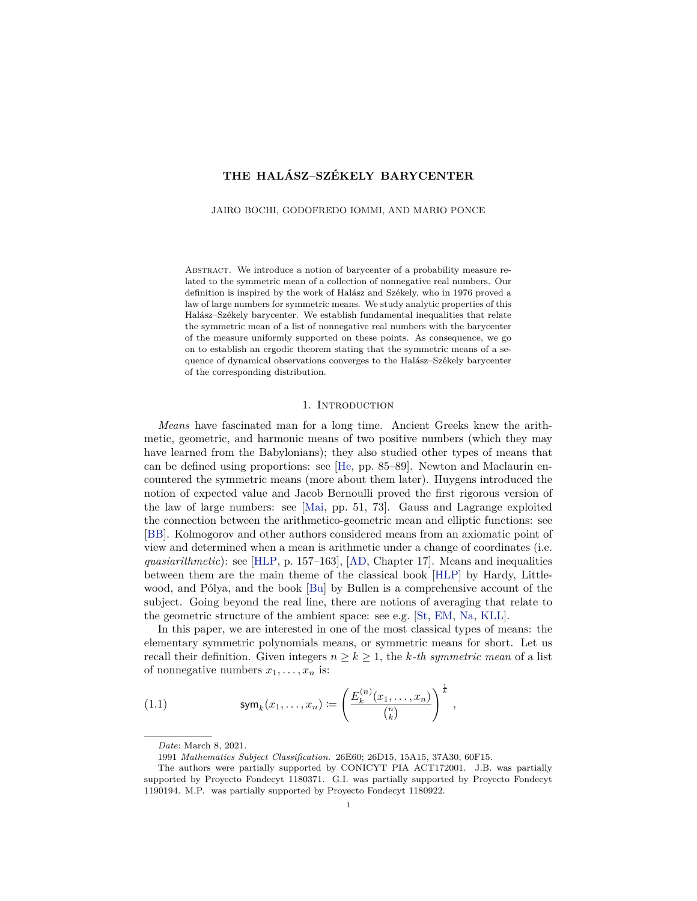# <span id="page-0-1"></span>**THE HALÁSZ–SZÉKELY BARYCENTER**

JAIRO BOCHI, GODOFREDO IOMMI, AND MARIO PONCE

ABSTRACT. We introduce a notion of barycenter of a probability measure related to the symmetric mean of a collection of nonnegative real numbers. Our definition is inspired by the work of Halász and Székely, who in 1976 proved a law of large numbers for symmetric means. We study analytic properties of this Halász–Székely barycenter. We establish fundamental inequalities that relate the symmetric mean of a list of nonnegative real numbers with the barycenter of the measure uniformly supported on these points. As consequence, we go on to establish an ergodic theorem stating that the symmetric means of a sequence of dynamical observations converges to the Halász–Székely barycenter of the corresponding distribution.

#### 1. INTRODUCTION

*Means* have fascinated man for a long time. Ancient Greeks knew the arithmetic, geometric, and harmonic means of two positive numbers (which they may have learned from the Babylonians); they also studied other types of means that can be defined using proportions: see [\[He,](#page-33-1) pp. 85–89]. Newton and Maclaurin encountered the symmetric means (more about them later). Huygens introduced the notion of expected value and Jacob Bernoulli proved the first rigorous version of the law of large numbers: see [\[Mai,](#page-34-0) pp. 51, 73]. Gauss and Lagrange exploited the connection between the arithmetico-geometric mean and elliptic functions: see [\[BB\]](#page-33-2). Kolmogorov and other authors considered means from an axiomatic point of view and determined when a mean is arithmetic under a change of coordinates (i.e. *quasiarithmetic*): see [\[HLP,](#page-33-3) p. 157–163], [\[AD,](#page-33-4) Chapter 17]. Means and inequalities between them are the main theme of the classical book [\[HLP\]](#page-33-3) by Hardy, Littlewood, and Pólya, and the book [\[Bu\]](#page-33-5) by Bullen is a comprehensive account of the subject. Going beyond the real line, there are notions of averaging that relate to the geometric structure of the ambient space: see e.g. [\[St,](#page-34-1) [EM,](#page-33-6) [Na,](#page-34-2) [KLL\]](#page-33-0).

In this paper, we are interested in one of the most classical types of means: the elementary symmetric polynomials means, or symmetric means for short. Let us recall their definition. Given integers  $n \geq k \geq 1$ , the *k*-th symmetric mean of a list of nonnegative numbers  $x_1, \ldots, x_n$  is:

(1.1) 
$$
\mathsf{sym}_k(x_1,\ldots,x_n) \coloneqq \left(\frac{E_k^{(n)}(x_1,\ldots,x_n)}{{n \choose k}}\right)^{\frac{1}{k}},
$$

<span id="page-0-0"></span>*Date*: March 8, 2021.

<sup>1991</sup> *Mathematics Subject Classification.* 26E60; 26D15, 15A15, 37A30, 60F15.

The authors were partially supported by CONICYT PIA ACT172001. J.B. was partially supported by Proyecto Fondecyt 1180371. G.I. was partially supported by Proyecto Fondecyt 1190194. M.P. was partially supported by Proyecto Fondecyt 1180922.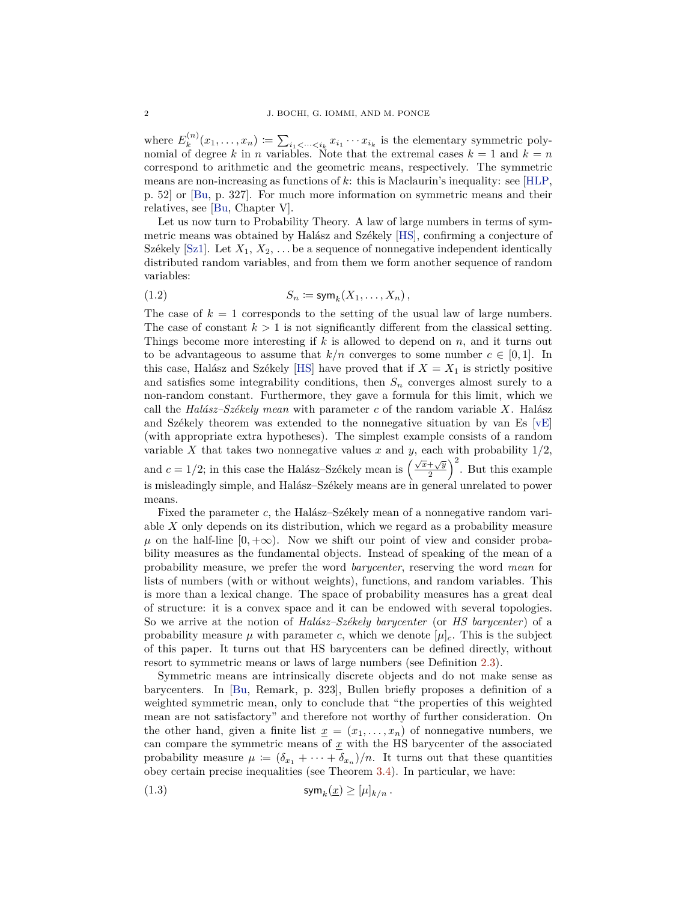<span id="page-1-0"></span>where  $E_k^{(n)}(x_1, \ldots, x_n) := \sum_{i_1 < \cdots < i_k} x_{i_1} \cdots x_{i_k}$  is the elementary symmetric polynomial of degree *k* in *n* variables. Note that the extremal cases  $k = 1$  and  $k = n$ correspond to arithmetic and the geometric means, respectively. The symmetric means are non-increasing as functions of *k*: this is Maclaurin's inequality: see [\[HLP,](#page-33-3) p. 52] or [\[Bu,](#page-33-5) p. 327]. For much more information on symmetric means and their relatives, see [\[Bu,](#page-33-5) Chapter V].

Let us now turn to Probability Theory. A law of large numbers in terms of symmetric means was obtained by Halász and Székely [\[HS\]](#page-33-7), confirming a conjecture of Székely  $[Sz1]$ . Let  $X_1, X_2, \ldots$  be a sequence of nonnegative independent identically distributed random variables, and from them we form another sequence of random variables:

$$
(1.2) \tS_n := \text{sym}_k(X_1,\ldots,X_n),
$$

The case of  $k = 1$  corresponds to the setting of the usual law of large numbers. The case of constant  $k > 1$  is not significantly different from the classical setting. Things become more interesting if *k* is allowed to depend on *n*, and it turns out to be advantageous to assume that  $k/n$  converges to some number  $c \in [0,1]$ . In this case, Halász and Székely [\[HS\]](#page-33-7) have proved that if  $X = X_1$  is strictly positive and satisfies some integrability conditions, then  $S_n$  converges almost surely to a non-random constant. Furthermore, they gave a formula for this limit, which we call the *Halász–Székely mean* with parameter *c* of the random variable *X*. Halász and Székely theorem was extended to the nonnegative situation by van Es  $[vE]$ (with appropriate extra hypotheses). The simplest example consists of a random variable *X* that takes two nonnegative values *x* and *y*, each with probability  $1/2$ , and  $c = 1/2$ ; in this case the Halász–Székely mean is  $\left(\frac{\sqrt{x} + \sqrt{y}}{2}\right)^2$ . But this example is misleadingly simple, and Halász–Székely means are in general unrelated to power means.

Fixed the parameter *c*, the Halász–Székely mean of a nonnegative random variable *X* only depends on its distribution, which we regard as a probability measure  $\mu$  on the half-line  $[0, +\infty)$ . Now we shift our point of view and consider probability measures as the fundamental objects. Instead of speaking of the mean of a probability measure, we prefer the word *barycenter*, reserving the word *mean* for lists of numbers (with or without weights), functions, and random variables. This is more than a lexical change. The space of probability measures has a great deal of structure: it is a convex space and it can be endowed with several topologies. So we arrive at the notion of *Halász–Székely barycenter* (or *HS barycenter*) of a probability measure  $\mu$  with parameter *c*, which we denote  $[\mu]_c$ . This is the subject of this paper. It turns out that HS barycenters can be defined directly, without resort to symmetric means or laws of large numbers (see Definition [2.3\)](#page-3-0).

Symmetric means are intrinsically discrete objects and do not make sense as barycenters. In [\[Bu,](#page-33-5) Remark, p. 323], Bullen briefly proposes a definition of a weighted symmetric mean, only to conclude that "the properties of this weighted mean are not satisfactory" and therefore not worthy of further consideration. On the other hand, given a finite list  $\underline{x} = (x_1, \ldots, x_n)$  of nonnegative numbers, we can compare the symmetric means of  $\underline{x}$  with the HS barycenter of the associated probability measure  $\mu := (\delta_{x_1} + \cdots + \delta_{x_n})/n$ . It turns out that these quantities obey certain precise inequalities (see Theorem [3.4\)](#page-10-0). In particular, we have:

(1.3) 
$$
\mathsf{sym}_k(\underline{x}) \geq [\mu]_{k/n}.
$$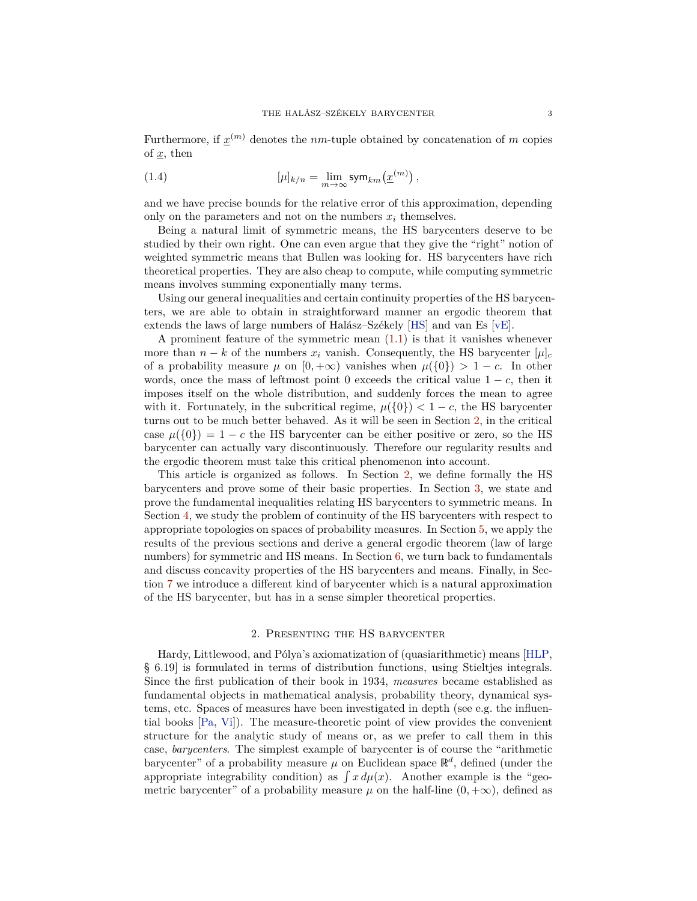<span id="page-2-1"></span>Furthermore, if  $\underline{x}^{(m)}$  denotes the *nm*-tuple obtained by concatenation of *m* copies of *x*, then

(1.4) 
$$
[\mu]_{k/n} = \lim_{m \to \infty} \text{sym}_{km}(\underline{x}^{(m)}),
$$

and we have precise bounds for the relative error of this approximation, depending only on the parameters and not on the numbers  $x_i$  themselves.

Being a natural limit of symmetric means, the HS barycenters deserve to be studied by their own right. One can even argue that they give the "right" notion of weighted symmetric means that Bullen was looking for. HS barycenters have rich theoretical properties. They are also cheap to compute, while computing symmetric means involves summing exponentially many terms.

Using our general inequalities and certain continuity properties of the HS barycenters, we are able to obtain in straightforward manner an ergodic theorem that extends the laws of large numbers of Halász–Székely [\[HS\]](#page-33-7) and van Es [\[vE\]](#page-34-4).

A prominent feature of the symmetric mean [\(1.1\)](#page-0-0) is that it vanishes whenever more than  $n - k$  of the numbers  $x_i$  vanish. Consequently, the HS barycenter  $[\mu]_c$ of a probability measure  $\mu$  on  $[0, +\infty)$  vanishes when  $\mu({0}) > 1 - c$ . In other words, once the mass of leftmost point 0 exceeds the critical value  $1 - c$ , then it imposes itself on the whole distribution, and suddenly forces the mean to agree with it. Fortunately, in the subcritical regime,  $\mu({0}) < 1 - c$ , the HS barycenter turns out to be much better behaved. As it will be seen in Section [2,](#page-2-0) in the critical case  $\mu({0}) = 1 - c$  the HS barycenter can be either positive or zero, so the HS barycenter can actually vary discontinuously. Therefore our regularity results and the ergodic theorem must take this critical phenomenon into account.

This article is organized as follows. In Section [2,](#page-2-0) we define formally the HS barycenters and prove some of their basic properties. In Section [3,](#page-9-0) we state and prove the fundamental inequalities relating HS barycenters to symmetric means. In Section [4,](#page-14-0) we study the problem of continuity of the HS barycenters with respect to appropriate topologies on spaces of probability measures. In Section [5,](#page-21-0) we apply the results of the previous sections and derive a general ergodic theorem (law of large numbers) for symmetric and HS means. In Section [6,](#page-25-0) we turn back to fundamentals and discuss concavity properties of the HS barycenters and means. Finally, in Section [7](#page-29-0) we introduce a different kind of barycenter which is a natural approximation of the HS barycenter, but has in a sense simpler theoretical properties.

#### 2. Presenting the HS barycenter

<span id="page-2-0"></span>Hardy, Littlewood, and Pólya's axiomatization of (quasiarithmetic) means [\[HLP,](#page-33-3) § 6.19] is formulated in terms of distribution functions, using Stieltjes integrals. Since the first publication of their book in 1934, *measures* became established as fundamental objects in mathematical analysis, probability theory, dynamical systems, etc. Spaces of measures have been investigated in depth (see e.g. the influential books [\[Pa,](#page-34-6) [Vi\]](#page-34-5)). The measure-theoretic point of view provides the convenient structure for the analytic study of means or, as we prefer to call them in this case, *barycenters*. The simplest example of barycenter is of course the "arithmetic barycenter" of a probability measure  $\mu$  on Euclidean space  $\mathbb{R}^d$ , defined (under the appropriate integrability condition) as  $\int x d\mu(x)$ . Another example is the "geometric barycenter" of a probability measure  $\mu$  on the half-line  $(0, +\infty)$ , defined as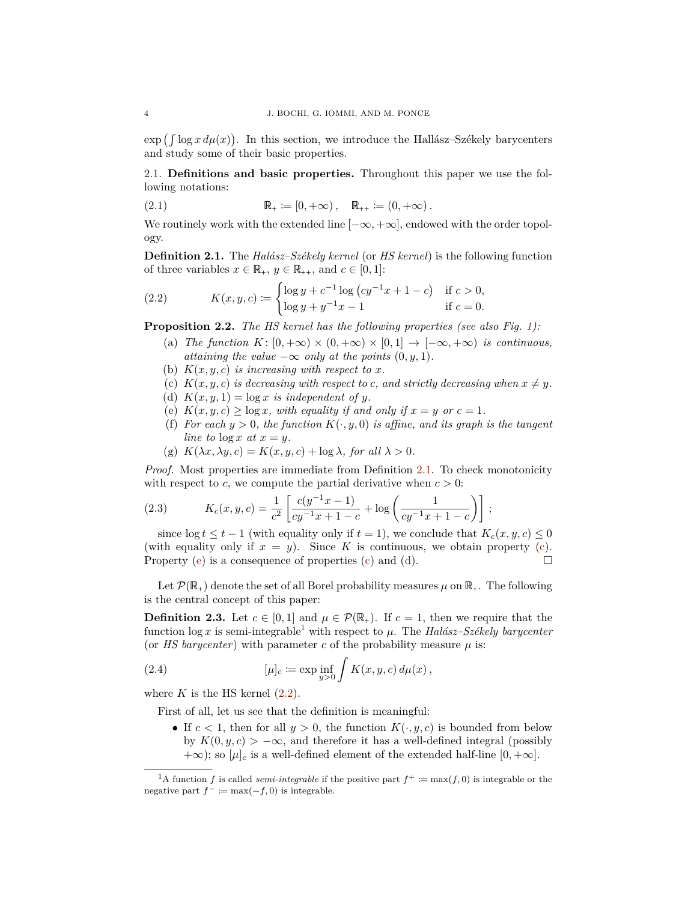$\exp\left(\int \log x \, d\mu(x)\right)$ . In this section, we introduce the Hallász–Székely barycenters and study some of their basic properties.

2.1. **Definitions and basic properties.** Throughout this paper we use the following notations:

(2.1) 
$$
\mathbb{R}_{+} \coloneqq [0, +\infty), \quad \mathbb{R}_{++} \coloneqq (0, +\infty).
$$

We routinely work with the extended line  $[-\infty, +\infty]$ , endowed with the order topology.

<span id="page-3-2"></span>**Definition 2.1.** The *Halász–Székely kernel* (or *HS kernel*) is the following function of three variables  $x \in \mathbb{R}_+$ ,  $y \in \mathbb{R}_{++}$ , and  $c \in [0, 1]$ :

<span id="page-3-1"></span>(2.2) 
$$
K(x, y, c) := \begin{cases} \log y + c^{-1} \log (cy^{-1}x + 1 - c) & \text{if } c > 0, \\ \log y + y^{-1}x - 1 & \text{if } c = 0. \end{cases}
$$

<span id="page-3-8"></span>**Proposition 2.2.** *The HS kernel has the following properties (see also Fig. [1\)](#page-4-0):*

- (a) *The function*  $K: [0, +\infty) \times (0, +\infty) \times [0, 1] \rightarrow [-\infty, +\infty)$  *is continuous, attaining the value*  $-\infty$  *only at the points*  $(0, y, 1)$ *.*
- <span id="page-3-10"></span>(b)  $K(x, y, c)$  *is increasing with respect to x.*
- <span id="page-3-3"></span>(c)  $K(x, y, c)$  *is decreasing with respect to c, and strictly decreasing when*  $x \neq y$ .
- <span id="page-3-5"></span>(d)  $K(x, y, 1) = \log x$  *is independent of y.*
- <span id="page-3-4"></span>(e)  $K(x, y, c) \ge \log x$ , with equality if and only if  $x = y$  or  $c = 1$ .
- (f) *For each*  $y > 0$ *, the function*  $K(\cdot, y, 0)$  *is affine, and its graph is the tangent line to*  $\log x$  *at*  $x = y$ *.*
- <span id="page-3-9"></span>(g)  $K(\lambda x, \lambda y, c) = K(x, y, c) + \log \lambda$ , for all  $\lambda > 0$ .

*Proof.* Most properties are immediate from Definition [2.1.](#page-3-2) To check monotonicity with respect to *c*, we compute the partial derivative when  $c > 0$ :

(2.3) 
$$
K_c(x, y, c) = \frac{1}{c^2} \left[ \frac{c(y^{-1}x - 1)}{cy^{-1}x + 1 - c} + \log \left( \frac{1}{cy^{-1}x + 1 - c} \right) \right];
$$

since  $\log t \leq t - 1$  (with equality only if  $t = 1$ ), we conclude that  $K_c(x, y, c) \leq 0$ (with equality only if  $x = y$ ). Since K is continuous, we obtain property [\(c\)](#page-3-3). Property [\(e\)](#page-3-4) is a consequence of properties [\(c\)](#page-3-3) and [\(d\)](#page-3-5).  $\Box$ 

Let  $\mathcal{P}(\mathbb{R}_+)$  denote the set of all Borel probability measures  $\mu$  on  $\mathbb{R}_+$ . The following is the central concept of this paper:

<span id="page-3-0"></span>**Definition 2.3.** Let  $c \in [0,1]$  and  $\mu \in \mathcal{P}(\mathbb{R}_+)$ . If  $c = 1$ , then we require that the function  $\log x$  is semi-integrable<sup>[1](#page-3-6)</sup> with respect to  $\mu$ . The *Halász–Székely barycenter* (or *HS barycenter*) with parameter *c* of the probability measure  $\mu$  is:

(2.4) 
$$
[\mu]_c := \exp \inf_{y>0} \int K(x, y, c) d\mu(x),
$$

where  $K$  is the HS kernel  $(2.2)$ .

First of all, let us see that the definition is meaningful:

<span id="page-3-7"></span>• If  $c < 1$ , then for all  $y > 0$ , the function  $K(\cdot, y, c)$  is bounded from below by  $K(0, y, c) > -\infty$ , and therefore it has a well-defined integral (possibly  $+\infty$ ; so  $[\mu]_c$  is a well-defined element of the extended half-line  $[0, +\infty]$ .

<span id="page-3-6"></span><sup>&</sup>lt;sup>1</sup>A function *f* is called *semi-integrable* if the positive part  $f^+ := max(f, 0)$  is integrable or the negative part  $f^- := \max(-f, 0)$  is integrable.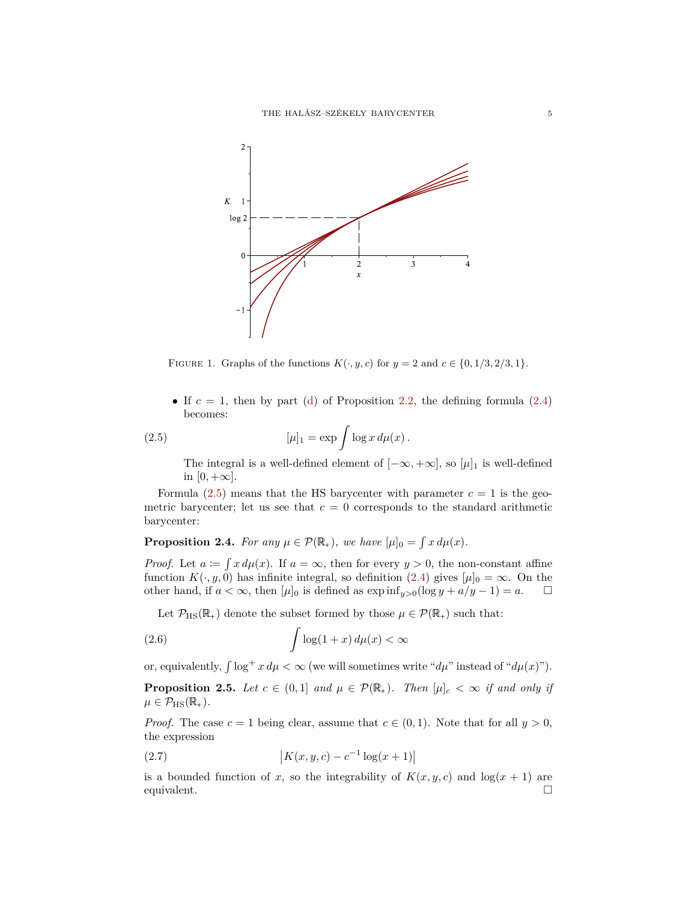<span id="page-4-0"></span>

FIGURE 1. Graphs of the functions  $K(\cdot, y, c)$  for  $y = 2$  and  $c \in \{0, 1/3, 2/3, 1\}.$ 

• If  $c = 1$ , then by part [\(d\)](#page-3-5) of Proposition [2.2,](#page-3-8) the defining formula  $(2.4)$ becomes:

(2.5) 
$$
[\mu]_1 = \exp \int \log x \, d\mu(x).
$$

<span id="page-4-1"></span>The integral is a well-defined element of  $[-\infty, +\infty]$ , so  $[\mu]_1$  is well-defined in  $[0, +\infty]$ .

Formula  $(2.5)$  means that the HS barycenter with parameter  $c = 1$  is the geometric barycenter; let us see that  $c = 0$  corresponds to the standard arithmetic barycenter:

**Proposition 2.4.** *For any*  $\mu \in \mathcal{P}(\mathbb{R}_+)$ *, we have*  $[\mu]_0 = \int x d\mu(x)$ *.* 

*Proof.* Let  $a := \int x d\mu(x)$ . If  $a = \infty$ , then for every  $y > 0$ , the non-constant affine function  $K(\cdot, y, 0)$  has infinite integral, so definition [\(2.4\)](#page-3-7) gives  $[\mu]_0 = \infty$ . On the other hand, if  $a < \infty$ , then  $[\mu]_0$  is defined as  $\exp \inf_{y>0} (\log y + a/y - 1) = a$ . other hand, if  $a < \infty$ , then  $[\mu]_0$  is defined as  $\exp \inf_{y>0} (\log y + a/y - 1) = a$ .

<span id="page-4-3"></span>Let  $\mathcal{P}_{\text{HS}}(\mathbb{R}_+)$  denote the subset formed by those  $\mu \in \mathcal{P}(\mathbb{R}_+)$  such that:

(2.6) 
$$
\int \log(1+x) \, d\mu(x) < \infty
$$

or, equivalently,  $\int \log^+ x \, d\mu < \infty$  (we will sometimes write " $d\mu$ " instead of " $d\mu(x)$ ").

<span id="page-4-2"></span>**Proposition 2.5.** *Let*  $c \in (0,1]$  *and*  $\mu \in \mathcal{P}(\mathbb{R}_+)$ *. Then*  $[\mu]_c < \infty$  *if and only if*  $\mu \in \mathcal{P}_{\text{HS}}(\mathbb{R}_+).$ 

*Proof.* The case  $c = 1$  being clear, assume that  $c \in (0,1)$ . Note that for all  $y > 0$ , the expression

(2.7) 
$$
\left| K(x, y, c) - c^{-1} \log(x + 1) \right|
$$

is a bounded function of *x*, so the integrability of  $K(x, y, c)$  and  $\log(x + 1)$  are equivalent.  $\Box$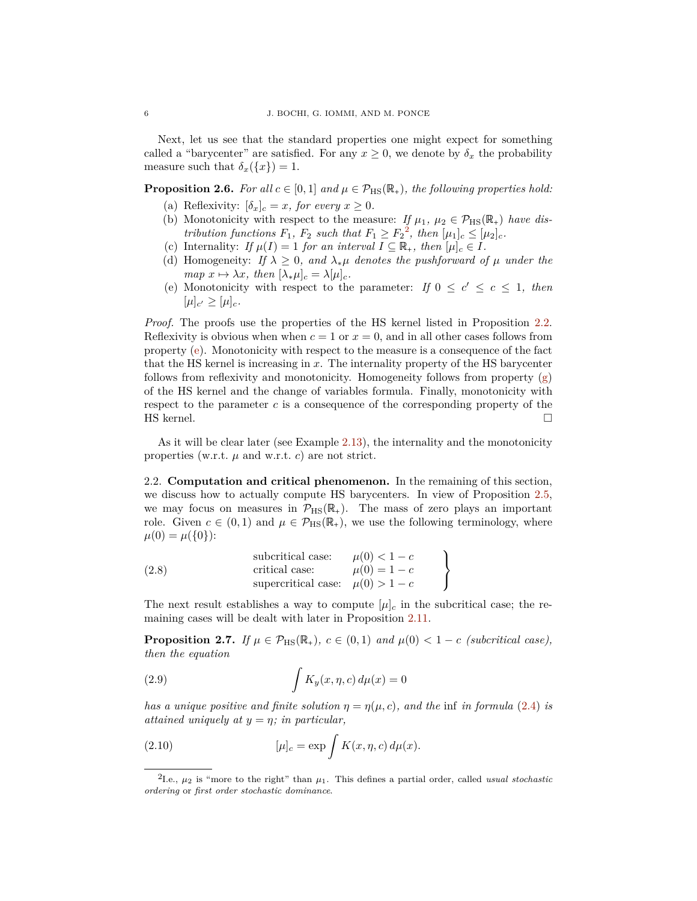Next, let us see that the standard properties one might expect for something called a "barycenter" are satisfied. For any  $x \geq 0$ , we denote by  $\delta_x$  the probability measure such that  $\delta_x(\lbrace x \rbrace) = 1$ .

<span id="page-5-5"></span>**Proposition 2.6.** *For all*  $c \in [0,1]$  *and*  $\mu \in \mathcal{P}_{\text{HS}}(\mathbb{R}_+),$  *the following properties hold:* 

- (a) Reflexivity:  $[\delta_x]_c = x$ *, for every*  $x \geq 0$ *.*
- <span id="page-5-6"></span>(b) Monotonicity with respect to the measure: *If*  $\mu_1, \mu_2 \in \mathcal{P}_{\text{HS}}(\mathbb{R}_+)$  *have distribution functions*  $F_1$ ,  $F_2$  $F_2$  *such that*  $F_1 \ge F_2^2$ , *then*  $[\mu_1]_c \le [\mu_2]_c$ *.*
- (c) Internality: *If*  $\mu(I) = 1$  *for an interval*  $I \subseteq \mathbb{R}_+$ *, then*  $[\mu]_c \in I$ *.*
- (d) Homogeneity: *If*  $\lambda \geq 0$ *, and*  $\lambda_*\mu$  *denotes the pushforward of*  $\mu$  *under the map*  $x \mapsto \lambda x$ *, then*  $[\lambda_* \mu]_c = \lambda[\mu]_c$ *.*
- <span id="page-5-7"></span>(e) Monotonicity with respect to the parameter: *If*  $0 \leq c' \leq c \leq 1$ , then  $[\mu]_{c'} \geq [\mu]_{c}.$

*Proof.* The proofs use the properties of the HS kernel listed in Proposition [2.2.](#page-3-8) Reflexivity is obvious when when  $c = 1$  or  $x = 0$ , and in all other cases follows from property [\(e\)](#page-3-4). Monotonicity with respect to the measure is a consequence of the fact that the HS kernel is increasing in *x*. The internality property of the HS barycenter follows from reflexivity and monotonicity. Homogeneity follows from property [\(g\)](#page-3-9) of the HS kernel and the change of variables formula. Finally, monotonicity with respect to the parameter *c* is a consequence of the corresponding property of the HS kernel.  $\Box$ 

As it will be clear later (see Example [2.13\)](#page-8-0), the internality and the monotonicity properties (w.r.t.  $\mu$  and w.r.t. *c*) are not strict.

2.2. **Computation and critical phenomenon.** In the remaining of this section, we discuss how to actually compute HS barycenters. In view of Proposition [2.5,](#page-4-2) we may focus on measures in  $\mathcal{P}_{\text{HS}}(\mathbb{R}_+).$  The mass of zero plays an important role. Given  $c \in (0,1)$  and  $\mu \in \mathcal{P}_{\text{HS}}(\mathbb{R}_+),$  we use the following terminology, where  $\mu(0) = \mu({0})$ :

<span id="page-5-4"></span>

|       | subcritical case:                    | $\mu(0) < 1 - c$ |  |
|-------|--------------------------------------|------------------|--|
| (2.8) | critical case:                       | $\mu(0) = 1 - c$ |  |
|       | supercritical case: $\mu(0) > 1 - c$ |                  |  |

The next result establishes a way to compute  $[\mu]_c$  in the subcritical case; the remaining cases will be dealt with later in Proposition [2.11.](#page-8-1)

<span id="page-5-3"></span>**Proposition 2.7.** *If*  $\mu \in \mathcal{P}_{\text{HS}}(\mathbb{R}_+), c \in (0,1)$  *and*  $\mu(0) < 1 - c$  *(subcritical case), then the equation*

<span id="page-5-1"></span>(2.9) 
$$
\int K_y(x,\eta,c) d\mu(x) = 0
$$

*has a unique positive and finite solution*  $\eta = \eta(\mu, c)$ *, and the* inf *in formula* [\(2.4\)](#page-3-7) *is attained uniquely at*  $y = \eta$ *; in particular,* 

<span id="page-5-2"></span>(2.10) 
$$
[\mu]_c = \exp \int K(x, \eta, c) d\mu(x).
$$

<span id="page-5-0"></span><sup>&</sup>lt;sup>2</sup>I.e.,  $\mu_2$  is "more to the right" than  $\mu_1$ . This defines a partial order, called *usual stochastic ordering* or *first order stochastic dominance*.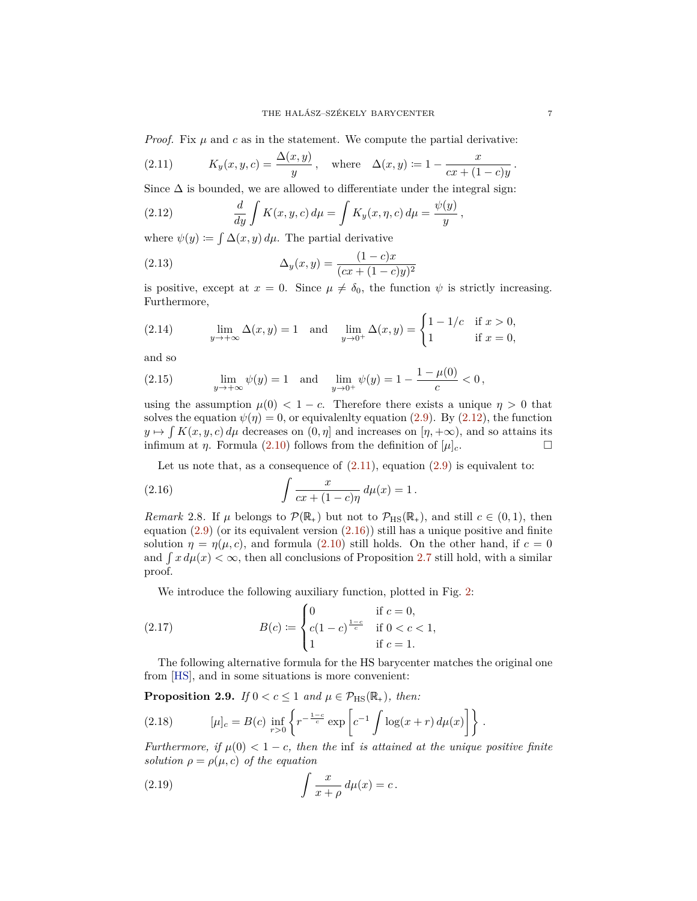<span id="page-6-9"></span>*Proof.* Fix  $\mu$  and  $c$  as in the statement. We compute the partial derivative:

<span id="page-6-1"></span>(2.11) 
$$
K_y(x, y, c) = \frac{\Delta(x, y)}{y}
$$
, where  $\Delta(x, y) := 1 - \frac{x}{cx + (1 - c)y}$ .

Since  $\Delta$  is bounded, we are allowed to differentiate under the integral sign:

<span id="page-6-0"></span>(2.12) 
$$
\frac{d}{dy}\int K(x,y,c)\,d\mu = \int K_y(x,\eta,c)\,d\mu = \frac{\psi(y)}{y},
$$

where  $\psi(y) := \int \Delta(x, y) d\mu$ . The partial derivative

<span id="page-6-8"></span>(2.13) 
$$
\Delta_y(x,y) = \frac{(1-c)x}{(cx + (1-c)y)^2}
$$

is positive, except at  $x = 0$ . Since  $\mu \neq \delta_0$ , the function  $\psi$  is strictly increasing. Furthermore,

(2.14) 
$$
\lim_{y \to +\infty} \Delta(x, y) = 1 \text{ and } \lim_{y \to 0^+} \Delta(x, y) = \begin{cases} 1 - 1/c & \text{if } x > 0, \\ 1 & \text{if } x = 0, \end{cases}
$$

and so

(2.15) 
$$
\lim_{y \to +\infty} \psi(y) = 1 \text{ and } \lim_{y \to 0^+} \psi(y) = 1 - \frac{1 - \mu(0)}{c} < 0,
$$

using the assumption  $\mu(0) < 1 - c$ . Therefore there exists a unique  $\eta > 0$  that solves the equation  $\psi(\eta)=0$ , or equivalently equation [\(2.9\)](#page-5-1). By [\(2.12\)](#page-6-0), the function  $y \mapsto \int K(x, y, c) d\mu$  decreases on  $(0, \eta]$  and increases on  $[\eta, +\infty)$ , and so attains its infimum at  $\eta$ . Formula (2.10) follows from the definition of  $[\mu]_c$ . infimum at *η*. Formula [\(2.10\)](#page-5-2) follows from the definition of  $[\mu]_c$ .

<span id="page-6-2"></span>Let us note that, as a consequence of  $(2.11)$ , equation  $(2.9)$  is equivalent to:

(2.16) 
$$
\int \frac{x}{cx + (1 - c)\eta} d\mu(x) = 1.
$$

<span id="page-6-7"></span>*Remark* 2.8. If  $\mu$  belongs to  $\mathcal{P}(\mathbb{R}_+)$  but not to  $\mathcal{P}_{\text{HS}}(\mathbb{R}_+)$ , and still  $c \in (0,1)$ , then equation  $(2.9)$  (or its equivalent version  $(2.16)$ ) still has a unique positive and finite solution  $\eta = \eta(\mu, c)$ , and formula [\(2.10\)](#page-5-2) still holds. On the other hand, if  $c = 0$ and  $\int x d\mu(x) < \infty$ , then all conclusions of Proposition [2.7](#page-5-3) still hold, with a similar proof.

<span id="page-6-3"></span>We introduce the following auxiliary function, plotted in Fig. [2:](#page-7-0)

(2.17) 
$$
B(c) := \begin{cases} 0 & \text{if } c = 0, \\ c(1-c)^{\frac{1-c}{c}} & \text{if } 0 < c < 1, \\ 1 & \text{if } c = 1. \end{cases}
$$

The following alternative formula for the HS barycenter matches the original one from [\[HS\]](#page-33-7), and in some situations is more convenient:

<span id="page-6-6"></span>**Proposition 2.9.** *If*  $0 < c \leq 1$  *and*  $\mu \in \mathcal{P}_{\text{HS}}(\mathbb{R}_+)$ *, then:* 

<span id="page-6-5"></span>(2.18) 
$$
[\mu]_c = B(c) \inf_{r>0} \left\{ r^{-\frac{1-c}{c}} \exp \left[ c^{-1} \int \log(x+r) \, d\mu(x) \right] \right\}.
$$

*Furthermore, if*  $\mu(0) < 1 - c$ *, then the* inf *is attained at the unique positive finite solution*  $\rho = \rho(\mu, c)$  *of the equation* 

<span id="page-6-4"></span>(2.19) 
$$
\int \frac{x}{x+\rho} d\mu(x) = c.
$$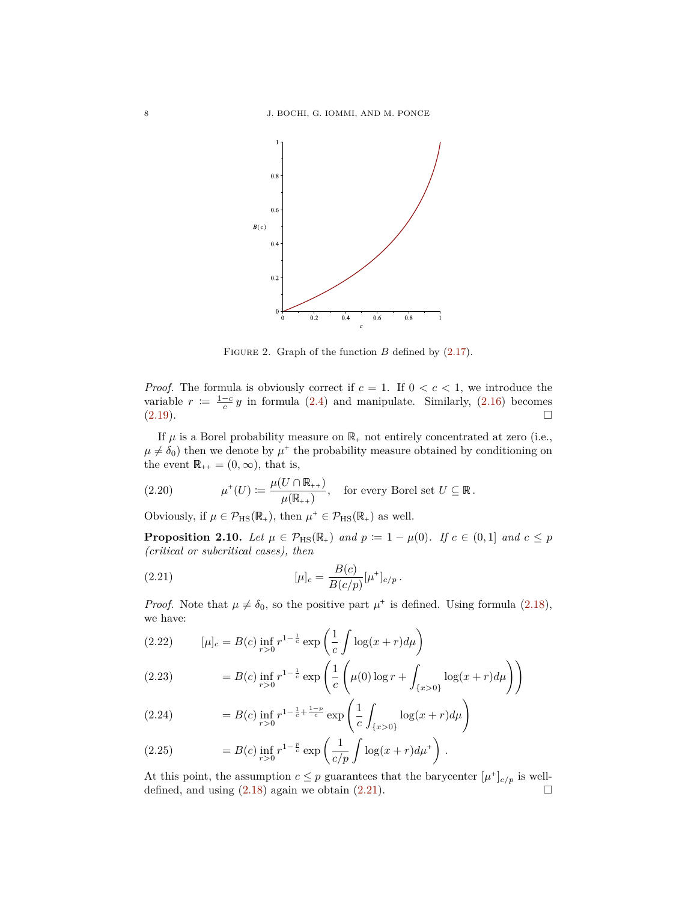<span id="page-7-0"></span>

FIGURE 2. Graph of the function *B* defined by  $(2.17)$ .

*Proof.* The formula is obviously correct if  $c = 1$ . If  $0 < c < 1$ , we introduce the variable  $r := \frac{1-c}{c}y$  in formula [\(2.4\)](#page-3-7) and manipulate. Similarly, [\(2.16\)](#page-6-2) becomes  $(2.19).$  $(2.19).$ 

If  $\mu$  is a Borel probability measure on  $\mathbb{R}_+$  not entirely concentrated at zero (i.e.,  $\mu \neq \delta_0$ ) then we denote by  $\mu^+$  the probability measure obtained by conditioning on the event  $\mathbb{R}_{++} = (0, \infty)$ , that is,

(2.20) 
$$
\mu^+(U) := \frac{\mu(U \cap \mathbb{R}_{++})}{\mu(\mathbb{R}_{++})}, \text{ for every Borel set } U \subseteq \mathbb{R}.
$$

Obviously, if  $\mu \in \mathcal{P}_{\text{HS}}(\mathbb{R}_+),$  then  $\mu^+ \in \mathcal{P}_{\text{HS}}(\mathbb{R}_+)$  as well.

**Proposition 2.10.** *Let*  $\mu \in \mathcal{P}_{\text{HS}}(\mathbb{R}_+)$  *and*  $p \coloneqq 1 - \mu(0)$ *. If*  $c \in (0,1]$  *and*  $c \leq p$ *(critical or subcritical cases), then*

<span id="page-7-1"></span>(2.21) 
$$
[\mu]_c = \frac{B(c)}{B(c/p)} [\mu^+]_{c/p}.
$$

*Proof.* Note that  $\mu \neq \delta_0$ , so the positive part  $\mu^+$  is defined. Using formula [\(2.18\)](#page-6-5), we have:

(2.22) 
$$
[\mu]_c = B(c) \inf_{r>0} r^{1-\frac{1}{c}} \exp\left(\frac{1}{c} \int \log(x+r) d\mu\right)
$$

(2.23) 
$$
= B(c) \inf_{r>0} r^{1-\frac{1}{c}} \exp\left(\frac{1}{c} \left(\mu(0) \log r + \int_{\{x>0\}} \log(x+r) d\mu\right)\right)
$$

(2.24) 
$$
= B(c) \inf_{r>0} r^{1-\frac{1}{c}+\frac{1-p}{c}} \exp\left(\frac{1}{c} \int_{\{x>0\}} \log(x+r) d\mu\right)
$$

<span id="page-7-2"></span>(2.25) 
$$
= B(c) \inf_{r>0} r^{1-\frac{p}{c}} \exp\left(\frac{1}{c/p} \int \log(x+r) d\mu^+\right).
$$

At this point, the assumption  $c \leq p$  guarantees that the barycenter  $[\mu^+]_{c/p}$  is well-<br>defined, and using (2.18) again we obtain (2.21). defined, and using  $(2.18)$  again we obtain  $(2.21)$ .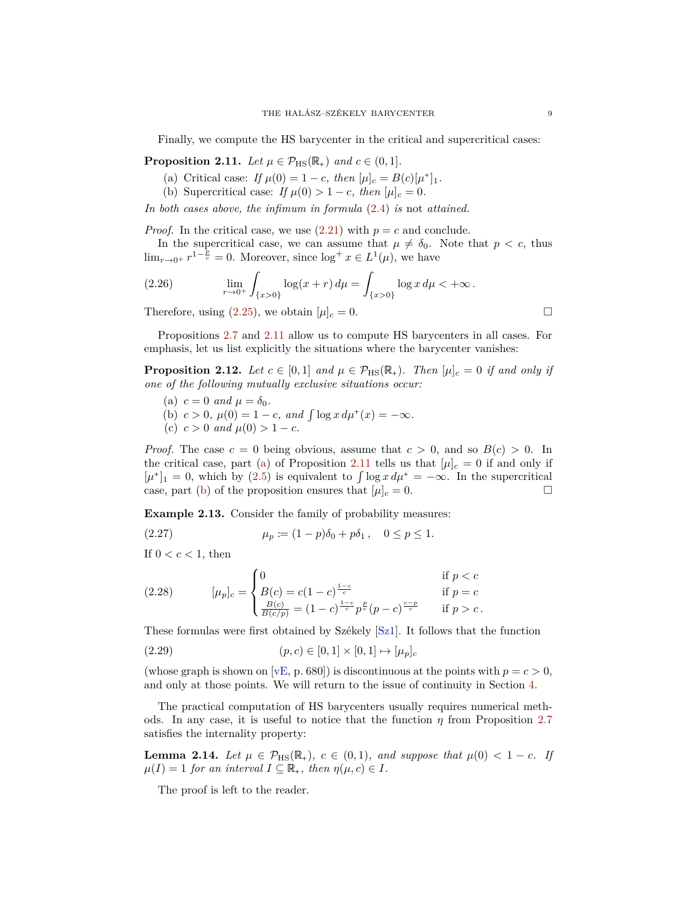<span id="page-8-5"></span>Finally, we compute the HS barycenter in the critical and supercritical cases:

<span id="page-8-2"></span><span id="page-8-1"></span>**Proposition 2.11.** *Let*  $\mu \in \mathcal{P}_{\text{HS}}(\mathbb{R}_+)$  *and*  $c \in (0,1]$ *.* 

- (a) Critical case: *If*  $\mu(0) = 1 c$ , then  $[\mu]_c = B(c)[\mu^+]_1$ .
- <span id="page-8-3"></span>(b) Supercritical case: *If*  $\mu(0) > 1 - c$ , then  $[\mu]_c = 0$ .

*In both cases above, the infimum in formula* [\(2.4\)](#page-3-7) *is* not *attained.*

*Proof.* In the critical case, we use  $(2.21)$  with  $p = c$  and conclude.

In the supercritical case, we can assume that  $\mu \neq \delta_0$ . Note that  $p < c$ , thus  $\lim_{r\to 0^+} r^{1-\frac{2}{c}} = 0$ . Moreover, since  $\log^+ x \in L^1(\mu)$ , we have

(2.26) 
$$
\lim_{r \to 0^+} \int_{\{x > 0\}} \log(x + r) d\mu = \int_{\{x > 0\}} \log x d\mu < +\infty.
$$

Therefore, using  $(2.25)$ , we obtain  $[\mu]_c = 0$ .

Propositions [2.7](#page-5-3) and [2.11](#page-8-1) allow us to compute HS barycenters in all cases. For emphasis, let us list explicitly the situations where the barycenter vanishes:

**Proposition 2.12.** Let  $c \in [0,1]$  and  $\mu \in \mathcal{P}_{\text{HS}}(\mathbb{R}_+)$ . Then  $[\mu]_c = 0$  if and only if *one of the following mutually exclusive situations occur:*

- (a)  $c = 0$  *and*  $\mu = \delta_0$ .
- (b)  $c > 0$ ,  $\mu(0) = 1 c$ , and  $\int \log x \, d\mu^+(x) = -\infty$ .
- (c)  $c > 0$  *and*  $\mu(0) > 1 c$ *.*

*Proof.* The case  $c = 0$  being obvious, assume that  $c > 0$ , and so  $B(c) > 0$ . In the critical case, part [\(a\)](#page-8-2) of Proposition [2.11](#page-8-1) tells us that  $[\mu]_c = 0$  if and only if  $[\mu^+]_1 = 0$ , which by [\(2.5\)](#page-4-1) is equivalent to  $\int \log x \, d\mu^+ = -\infty$ . In the supercritical case, part (b) of the proposition ensures that  $[\mu]_2 = 0$ . case, part [\(b\)](#page-8-3) of the proposition ensures that  $[\mu]_c = 0$ .

<span id="page-8-0"></span>**Example 2.13.** Consider the family of probability measures:

(2.27) 
$$
\mu_p := (1 - p)\delta_0 + p\delta_1, \quad 0 \le p \le 1.
$$

If  $0 < c < 1$ , then

(2.28) 
$$
[\mu_p]_c = \begin{cases} 0 & \text{if } p < c \\ B(c) = c(1 - c)^{\frac{1 - c}{c}} & \text{if } p = c \\ \frac{B(c)}{B(c/p)} = (1 - c)^{\frac{1 - c}{c}} p^{\frac{p}{c}} (p - c)^{\frac{c - p}{c}} & \text{if } p > c. \end{cases}
$$

These formulas were first obtained by Székely [\[Sz1\]](#page-34-3). It follows that the function

(2.29) 
$$
(p, c) \in [0, 1] \times [0, 1] \mapsto [\mu_p]_c
$$

(whose graph is shown on [\[vE,](#page-34-4) p. 680]) is discontinuous at the points with  $p = c > 0$ , and only at those points. We will return to the issue of continuity in Section [4.](#page-14-0)

The practical computation of HS barycenters usually requires numerical methods. In any case, it is useful to notice that the function *η* from Proposition [2.7](#page-5-3) satisfies the internality property:

<span id="page-8-4"></span>**Lemma 2.14.** *Let*  $\mu \in \mathcal{P}_{\text{HS}}(\mathbb{R}_+), c \in (0,1)$ *, and suppose that*  $\mu(0) < 1 - c$ *. If*  $\mu(I) = 1$  *for an interval*  $I \subseteq \mathbb{R}_+$ *, then*  $\eta(\mu, c) \in I$ *.* 

The proof is left to the reader.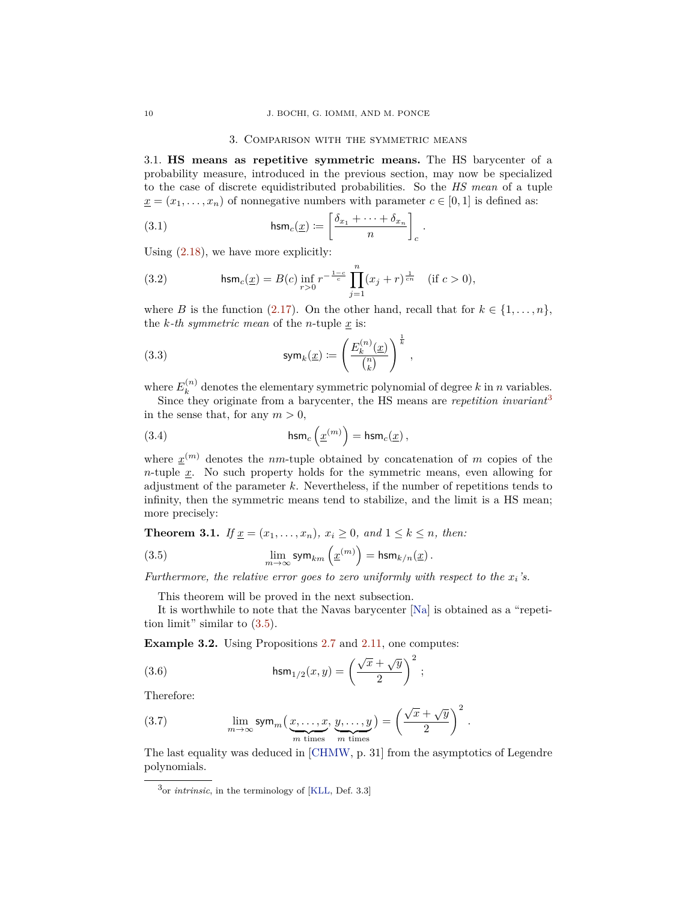#### <span id="page-9-7"></span>3. Comparison with the symmetric means

<span id="page-9-8"></span><span id="page-9-0"></span>3.1. **HS means as repetitive symmetric means.** The HS barycenter of a probability measure, introduced in the previous section, may now be specialized to the case of discrete equidistributed probabilities. So the *HS mean* of a tuple  $\underline{x} = (x_1, \ldots, x_n)$  of nonnegative numbers with parameter  $c \in [0, 1]$  is defined as:

(3.1) 
$$
\mathsf{hsm}_c(\underline{x}) := \left[\frac{\delta_{x_1} + \cdots + \delta_{x_n}}{n}\right]_c.
$$

Using  $(2.18)$ , we have more explicitly:

<span id="page-9-5"></span>(3.2) 
$$
\operatorname{hsm}_c(\underline{x}) = B(c) \inf_{r>0} r^{-\frac{1-c}{c}} \prod_{j=1}^n (x_j + r)^{\frac{1}{cn}} \quad (\text{if } c > 0),
$$

where *B* is the function [\(2.17\)](#page-6-3). On the other hand, recall that for  $k \in \{1, \ldots, n\}$ , the  $k$ -th symmetric mean of the *n*-tuple  $\underline{x}$  is:

<span id="page-9-6"></span>(3.3) 
$$
\operatorname{sym}_k(\underline{x}) := \left(\frac{E_k^{(n)}(\underline{x})}{\binom{n}{k}}\right)^{\frac{1}{k}},
$$

where  $E_k^{(n)}$  denotes the elementary symmetric polynomial of degree k in *n* variables.

Since they originate from a barycenter, the HS means are *repetition invariant*<sup>[3](#page-9-1)</sup> in the sense that, for any  $m > 0$ ,

<span id="page-9-4"></span>(3.4) 
$$
\mathsf{hsm}_c\left(\underline{x}^{(m)}\right) = \mathsf{hsm}_c(\underline{x})\,,
$$

where  $x^{(m)}$  denotes the *nm*-tuple obtained by concatenation of *m* copies of the *n*-tuple *x*. No such property holds for the symmetric means, even allowing for adjustment of the parameter *k*. Nevertheless, if the number of repetitions tends to infinity, then the symmetric means tend to stabilize, and the limit is a HS mean; more precisely:

<span id="page-9-3"></span>**Theorem 3.1.** *If*  $x = (x_1, \ldots, x_n)$ *,*  $x_i \geq 0$ *, and*  $1 \leq k \leq n$ *, then:* 

(3.5) 
$$
\lim_{m \to \infty} \text{sym}_{km} \left( \underline{x}^{(m)} \right) = \text{hsm}_{k/n}(\underline{x}).
$$

*Furthermore, the relative error goes to zero uniformly with respect to the*  $x_i$ 's.

<span id="page-9-2"></span>This theorem will be proved in the next subsection.

It is worthwhile to note that the Navas barycenter [\[Na\]](#page-34-2) is obtained as a "repetition limit" similar to [\(3.5\)](#page-9-2).

**Example 3.2.** Using Propositions [2.7](#page-5-3) and [2.11,](#page-8-1) one computes:

(3.6) 
$$
\operatorname{hsm}_{1/2}(x,y) = \left(\frac{\sqrt{x} + \sqrt{y}}{2}\right)^2;
$$

Therefore:

(3.7) 
$$
\lim_{m \to \infty} \text{sym}_m\left(\underbrace{x, \dots, x}_{m \text{ times}}, \underbrace{y, \dots, y}_{m \text{ times}}\right) = \left(\frac{\sqrt{x} + \sqrt{y}}{2}\right)^2.
$$

The last equality was deduced in [\[CHMW,](#page-33-8) p. 31] from the asymptotics of Legendre polynomials.

<span id="page-9-1"></span><sup>3</sup>or *intrinsic*, in the terminology of [\[KLL,](#page-33-0) Def. 3.3]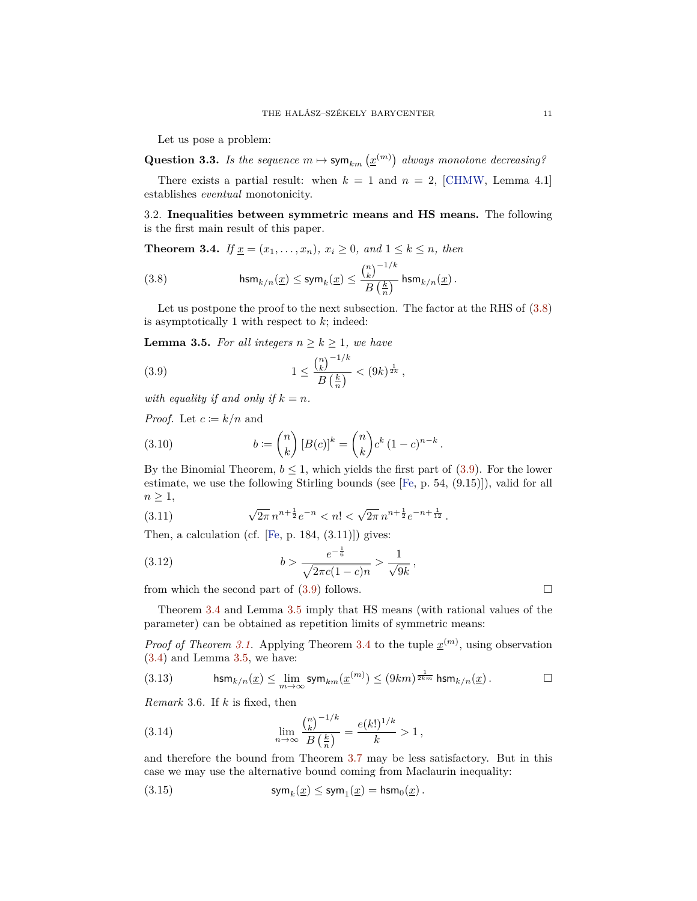<span id="page-10-5"></span>Let us pose a problem:

**Question 3.3.** *Is the sequence*  $m \mapsto \text{sym}_{km}(\underline{x}^{(m)})$  always monotone decreasing?

There exists a partial result: when  $k = 1$  and  $n = 2$ , [\[CHMW,](#page-33-8) Lemma 4.1] establishes *eventual* monotonicity.

3.2. **Inequalities between symmetric means and HS means.** The following is the first main result of this paper.

<span id="page-10-0"></span>**Theorem 3.4.** *If*  $\underline{x} = (x_1, ..., x_n)$ *,*  $x_i \geq 0$ *, and*  $1 \leq k \leq n$ *, then* 

<span id="page-10-1"></span>(3.8) 
$$
\mathsf{hsm}_{k/n}(\underline{x}) \leq \mathsf{sym}_k(\underline{x}) \leq \frac{{n \choose k}^{-1/k}}{B\left(\frac{k}{n}\right)} \mathsf{hsm}_{k/n}(\underline{x})\,.
$$

Let us postpone the proof to the next subsection. The factor at the RHS of  $(3.8)$ is asymptotically 1 with respect to *k*; indeed:

<span id="page-10-3"></span>**Lemma 3.5.** *For all integers*  $n \geq k \geq 1$ *, we have* 

<span id="page-10-2"></span>(3.9) 
$$
1 \leq \frac{{\binom{n}{k}}^{-1/k}}{B\left(\frac{k}{n}\right)} < (9k)^{\frac{1}{2k}},
$$

*with equality if and only if*  $k = n$ *.* 

*Proof.* Let  $c \coloneqq k/n$  and

(3.10) 
$$
b := \binom{n}{k} [B(c)]^k = \binom{n}{k} c^k (1-c)^{n-k}.
$$

By the Binomial Theorem,  $b \leq 1$ , which yields the first part of [\(3.9\)](#page-10-2). For the lower estimate, we use the following Stirling bounds (see [\[Fe,](#page-33-9) p. 54, (9.15)]), valid for all  $n \geq 1$ ,

(3.11) 
$$
\sqrt{2\pi} n^{n+\frac{1}{2}} e^{-n} < n! < \sqrt{2\pi} n^{n+\frac{1}{2}} e^{-n+\frac{1}{12}}.
$$

Then, a calculation (cf. [\[Fe,](#page-33-9) p. 184,  $(3.11)$ ]) gives:

(3.12) 
$$
b > \frac{e^{-\frac{1}{6}}}{\sqrt{2\pi c(1-c)n}} > \frac{1}{\sqrt{9k}},
$$

from which the second part of  $(3.9)$  follows.

Theorem [3.4](#page-10-0) and Lemma [3.5](#page-10-3) imply that HS means (with rational values of the parameter) can be obtained as repetition limits of symmetric means:

*Proof of Theorem [3.1.](#page-9-3)* Applying Theorem [3.4](#page-10-0) to the tuple  $\underline{x}^{(m)}$ , using observation [\(3.4\)](#page-9-4) and Lemma [3.5,](#page-10-3) we have:

(3.13) 
$$
\operatorname{hsm}_{k/n}(\underline{x}) \leq \lim_{m \to \infty} \operatorname{sym}_{km}(\underline{x}^{(m)}) \leq (9km)^{\frac{1}{2km}} \operatorname{hsm}_{k/n}(\underline{x}). \qquad \Box
$$

<span id="page-10-4"></span>*Remark* 3.6*.* If *k* is fixed, then

(3.14) 
$$
\lim_{n \to \infty} \frac{{n \choose k}^{-1/k}}{B\left(\frac{k}{n}\right)} = \frac{e(k!)^{1/k}}{k} > 1,
$$

and therefore the bound from Theorem [3.7](#page-11-0) may be less satisfactory. But in this case we may use the alternative bound coming from Maclaurin inequality:

(3.15) 
$$
\mathsf{sym}_k(\underline{x}) \leq \mathsf{sym}_1(\underline{x}) = \mathsf{hsm}_0(\underline{x}).
$$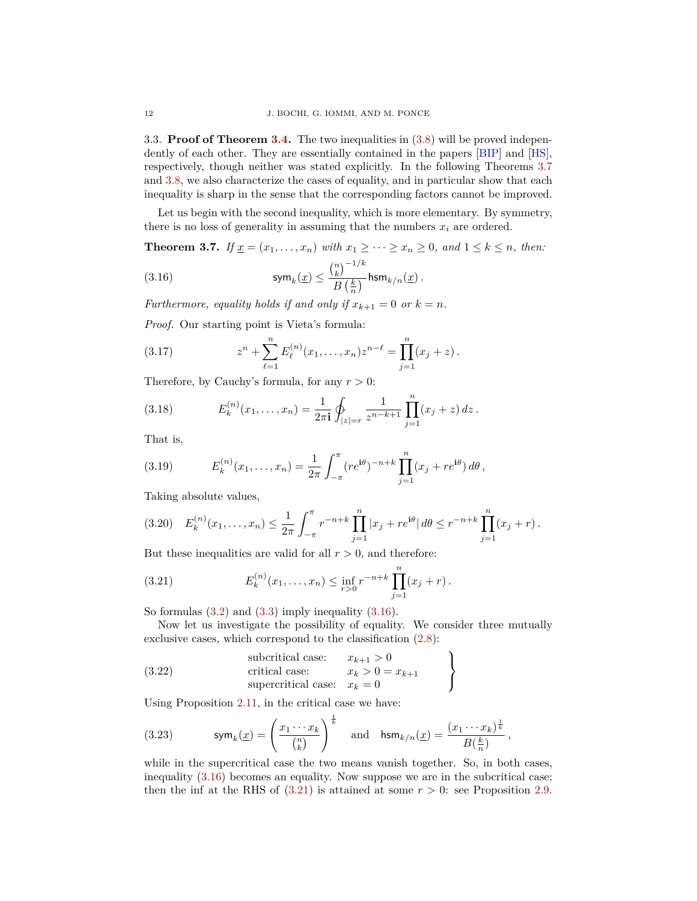<span id="page-11-5"></span>3.3. **Proof of Theorem [3.4.](#page-10-0)** The two inequalities in [\(3.8\)](#page-10-1) will be proved independently of each other. They are essentially contained in the papers [\[BIP\]](#page-33-10) and [\[HS\]](#page-33-7), respectively, though neither was stated explicitly. In the following Theorems [3.7](#page-11-0) and [3.8,](#page-12-0) we also characterize the cases of equality, and in particular show that each inequality is sharp in the sense that the corresponding factors cannot be improved.

Let us begin with the second inequality, which is more elementary. By symmetry, there is no loss of generality in assuming that the numbers  $x_i$  are ordered.

<span id="page-11-0"></span>**Theorem 3.7.** *If*  $\underline{x} = (x_1, \ldots, x_n)$  *with*  $x_1 \geq \cdots \geq x_n \geq 0$ *, and*  $1 \leq k \leq n$ *, then:* 

<span id="page-11-1"></span>(3.16) 
$$
\mathsf{sym}_k(\underline{x}) \leq \frac{{\binom{n}{k}}^{-1/k}}{B\left(\frac{k}{n}\right)} \mathsf{hsm}_{k/n}(\underline{x}).
$$

*Furthermore, equality holds if and only if*  $x_{k+1} = 0$  *or*  $k = n$ *.* 

*Proof.* Our starting point is Vieta's formula:

(3.17) 
$$
z^{n} + \sum_{\ell=1}^{n} E_{\ell}^{(n)}(x_{1},...,x_{n}) z^{n-\ell} = \prod_{j=1}^{n} (x_{j} + z).
$$

Therefore, by Cauchy's formula, for any  $r > 0$ :

<span id="page-11-4"></span>(3.18) 
$$
E_k^{(n)}(x_1,\ldots,x_n) = \frac{1}{2\pi i} \oint_{|z|=r} \frac{1}{z^{n-k+1}} \prod_{j=1}^n (x_j+z) dz.
$$

That is,

(3.19) 
$$
E_k^{(n)}(x_1,\ldots,x_n) = \frac{1}{2\pi} \int_{-\pi}^{\pi} (re^{i\theta})^{-n+k} \prod_{j=1}^n (x_j + re^{i\theta}) d\theta,
$$

Taking absolute values,

<span id="page-11-3"></span>
$$
(3.20) \quad E_k^{(n)}(x_1,\ldots,x_n) \leq \frac{1}{2\pi} \int_{-\pi}^{\pi} r^{-n+k} \prod_{j=1}^n |x_j + re^{i\theta}| \, d\theta \leq r^{-n+k} \prod_{j=1}^n (x_j + r).
$$

But these inequalities are valid for all  $r > 0$ , and therefore:

<span id="page-11-2"></span>(3.21) 
$$
E_k^{(n)}(x_1,\ldots,x_n) \leq \inf_{r>0} r^{-n+k} \prod_{j=1}^n (x_j+r).
$$

So formulas  $(3.2)$  and  $(3.3)$  imply inequality  $(3.16)$ .

Now let us investigate the possibility of equality. We consider three mutually exclusive cases, which correspond to the classification [\(2.8\)](#page-5-4):

(3.22) subcritical case: 
$$
\begin{aligned}\nx_{k+1} > 0 \\
\text{critical case:} & x_k > 0 = x_{k+1} \\
\text{supercritical case:} & x_k > 0\n\end{aligned}
$$

Using Proposition [2.11,](#page-8-1) in the critical case we have:

(3.23) 
$$
\operatorname{sym}_k(\underline{x}) = \left(\frac{x_1 \cdots x_k}{\binom{n}{k}}\right)^{\frac{1}{k}} \quad \text{and} \quad \operatorname{hsm}_{k/n}(\underline{x}) = \frac{(x_1 \cdots x_k)^{\frac{1}{k}}}{B(\frac{k}{n})},
$$

while in the supercritical case the two means vanish together. So, in both cases, inequality [\(3.16\)](#page-11-1) becomes an equality. Now suppose we are in the subcritical case; then the inf at the RHS of  $(3.21)$  is attained at some  $r > 0$ : see Proposition [2.9.](#page-6-6)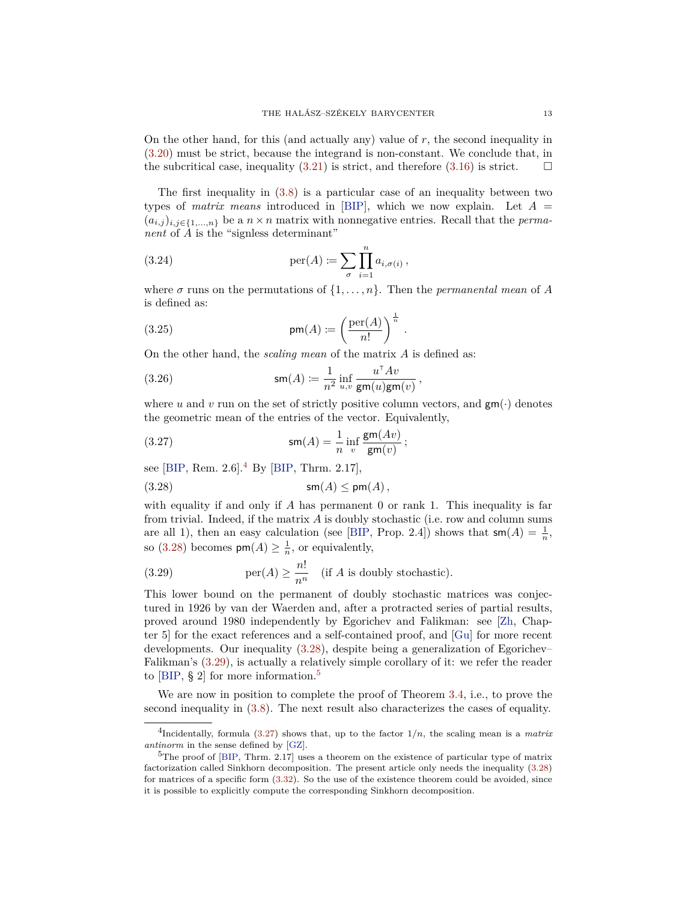<span id="page-12-7"></span>On the other hand, for this (and actually any) value of *r*, the second inequality in [\(3.20\)](#page-11-3) must be strict, because the integrand is non-constant. We conclude that, in the subcritical case, inequality [\(3.21\)](#page-11-2) is strict, and therefore [\(3.16\)](#page-11-1) is strict.  $\Box$ 

The first inequality in [\(3.8\)](#page-10-1) is a particular case of an inequality between two types of *matrix means* introduced in [\[BIP\]](#page-33-10), which we now explain. Let *A* =  $(a_{i,j})_{i,j\in\{1,\ldots,n\}}$  be a  $n\times n$  matrix with nonnegative entries. Recall that the *permanent* of *A* is the "signless determinant"

(3.24) 
$$
\operatorname{per}(A) \coloneqq \sum_{\sigma} \prod_{i=1}^{n} a_{i,\sigma(i)},
$$

where  $\sigma$  runs on the permutations of  $\{1, \ldots, n\}$ . Then the *permanental mean* of *A* is defined as:

*.*

(3.25) 
$$
\mathsf{pm}(A) := \left(\frac{\text{per}(A)}{n!}\right)^{\frac{1}{n}}
$$

On the other hand, the *scaling mean* of the matrix *A* is defined as:

<span id="page-12-6"></span>(3.26) 
$$
\mathsf{sm}(A) \coloneqq \frac{1}{n^2} \inf_{u,v} \frac{u^\top A v}{\mathsf{gm}(u) \mathsf{gm}(v)},
$$

where *u* and *v* run on the set of strictly positive column vectors, and  $\mathsf{gm}(\cdot)$  denotes the geometric mean of the entries of the vector. Equivalently,

<span id="page-12-5"></span>(3.27) 
$$
\mathsf{sm}(A) = \frac{1}{n} \inf_v \frac{\mathsf{gm}(Av)}{\mathsf{gm}(v)};
$$

see [\[BIP,](#page-33-10) Rem.  $2.6$ ].<sup>[4](#page-12-1)</sup> By [BIP, Thrm.  $2.17$ ],

<span id="page-12-2"></span>(3.28) sm(*A*) ≤ pm(*A*)*,*

with equality if and only if *A* has permanent 0 or rank 1. This inequality is far from trivial. Indeed, if the matrix *A* is doubly stochastic (i.e. row and column sums are all 1), then an easy calculation (see [\[BIP,](#page-33-10) Prop. 2.4]) shows that  $\mathsf{sm}(A) = \frac{1}{n}$ , so [\(3.28\)](#page-12-2) becomes  $\mathsf{pm}(A) \geq \frac{1}{n}$ , or equivalently,

<span id="page-12-3"></span>(3.29) 
$$
\text{per}(A) \ge \frac{n!}{n^n} \quad \text{(if } A \text{ is doubly stochastic)}.
$$

This lower bound on the permanent of doubly stochastic matrices was conjectured in 1926 by van der Waerden and, after a protracted series of partial results, proved around 1980 independently by Egorichev and Falikman: see [\[Zh,](#page-34-7) Chapter 5] for the exact references and a self-contained proof, and [\[Gu\]](#page-33-11) for more recent developments. Our inequality [\(3.28\)](#page-12-2), despite being a generalization of Egorichev– Falikman's [\(3.29\)](#page-12-3), is actually a relatively simple corollary of it: we refer the reader to  $[BIP, § 2]$  $[BIP, § 2]$  for more information.<sup>[5](#page-12-4)</sup>

We are now in position to complete the proof of Theorem [3.4,](#page-10-0) i.e., to prove the second inequality in [\(3.8\)](#page-10-1). The next result also characterizes the cases of equality.

<span id="page-12-1"></span><span id="page-12-0"></span><sup>&</sup>lt;sup>4</sup>Incidentally, formula [\(3.27\)](#page-12-5) shows that, up to the factor  $1/n$ , the scaling mean is a *matrix antinorm* in the sense defined by [\[GZ\]](#page-33-12).

<span id="page-12-4"></span> $5$ The proof of [\[BIP,](#page-33-10) Thrm. 2.17] uses a theorem on the existence of particular type of matrix factorization called Sinkhorn decomposition. The present article only needs the inequality [\(3.28\)](#page-12-2) for matrices of a specific form [\(3.32\)](#page-13-0). So the use of the existence theorem could be avoided, since it is possible to explicitly compute the corresponding Sinkhorn decomposition.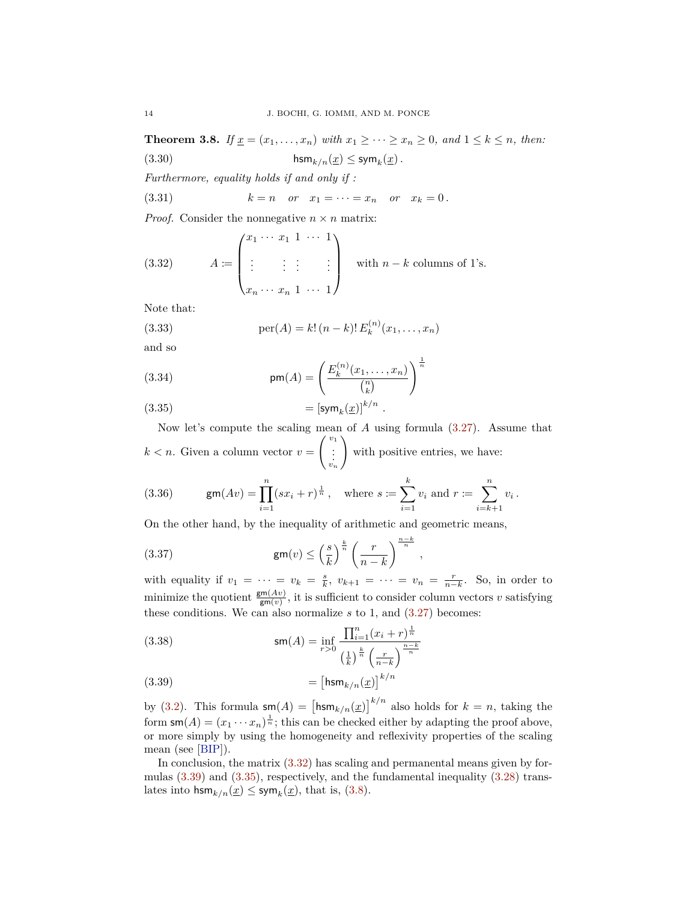<span id="page-13-5"></span>**Theorem 3.8.** *If*  $\underline{x} = (x_1, ..., x_n)$  *with*  $x_1 \ge ... \ge x_n \ge 0$ *, and*  $1 \le k \le n$ *, then:* 

<span id="page-13-4"></span>(3.30) hsm<sub>k/n</sub>( $\underline{x}$ )  $\leq$  sym<sub>k</sub>( $\underline{x}$ ).

*Furthermore, equality holds if and only if :*

<span id="page-13-3"></span>(3.31) 
$$
k = n
$$
 or  $x_1 = \cdots = x_n$  or  $x_k = 0$ .

*Proof.* Consider the nonnegative  $n \times n$  matrix:

<span id="page-13-0"></span>(3.32) 
$$
A := \begin{pmatrix} x_1 & \cdots & x_1 & 1 & \cdots & 1 \\ \vdots & \vdots & \vdots & & \vdots \\ x_n & \cdots & x_n & 1 & \cdots & 1 \end{pmatrix} \text{ with } n - k \text{ columns of } 1\text{'s.}
$$

Note that:

(3.33) 
$$
\operatorname{per}(A) = k! (n-k)! E_k^{(n)}(x_1, \dots, x_n)
$$

and so

(3.34) 
$$
\mathsf{pm}(A) = \left(\frac{E_k^{(n)}(x_1,\ldots,x_n)}{\binom{n}{k}}\right)^{\frac{1}{n}}
$$

<span id="page-13-2"></span>(3.35)  $= [\text{sym}_k(\underline{x})]^{k/n}.$ 

Now let's compute the scaling mean of *A* using formula [\(3.27\)](#page-12-5). Assume that  $k < n$ . Given a column vector  $v =$  $\begin{pmatrix} v_1 \\ \vdots \\ v_n \end{pmatrix}$  $\lambda$ with positive entries, we have:

(3.36) 
$$
\mathsf{gm}(Av) = \prod_{i=1}^{n} (sx_i + r)^{\frac{1}{n}}, \text{ where } s := \sum_{i=1}^{k} v_i \text{ and } r := \sum_{i=k+1}^{n} v_i.
$$

On the other hand, by the inequality of arithmetic and geometric means,

(3.37) 
$$
\mathsf{gm}(v) \leq \left(\frac{s}{k}\right)^{\frac{k}{n}} \left(\frac{r}{n-k}\right)^{\frac{n-k}{n}},
$$

with equality if  $v_1 = \cdots = v_k = \frac{s}{k}$ ,  $v_{k+1} = \cdots = v_n = \frac{r}{n-k}$ . So, in order to minimize the quotient  $\frac{\mathsf{gm}(Av)}{\mathsf{gm}(v)}$ , it is sufficient to consider column vectors *v* satisfying these conditions. We can also normalize  $s$  to 1, and  $(3.27)$  becomes:

(3.38) 
$$
\mathsf{sm}(A) = \inf_{r>0} \frac{\prod_{i=1}^{n} (x_i + r)^{\frac{1}{n}}}{\left(\frac{1}{k}\right)^{\frac{k}{n}} \left(\frac{r}{n-k}\right)^{\frac{n-k}{n}}}
$$

<span id="page-13-1"></span>
$$
(3.39) \qquad \qquad = \left[\text{hsm}_{k/n}(\underline{x})\right]^{k/n}
$$

by [\(3.2\)](#page-9-5). This formula  $\mathsf{sm}(A) = \left[\mathsf{hsm}_{k/n}(\underline{x})\right]^{k/n}$  also holds for  $k = n$ , taking the form  $\mathsf{sm}(A) = (x_1 \cdots x_n)^{\frac{1}{n}}$ ; this can be checked either by adapting the proof above, or more simply by using the homogeneity and reflexivity properties of the scaling mean (see [\[BIP\]](#page-33-10)).

In conclusion, the matrix  $(3.32)$  has scaling and permanental means given by formulas [\(3.39\)](#page-13-1) and [\(3.35\)](#page-13-2), respectively, and the fundamental inequality [\(3.28\)](#page-12-2) translates into  $\text{hsm}_{k/n}(\underline{x}) \leq \text{sym}_k(\underline{x})$ , that is, [\(3.8\)](#page-12-0).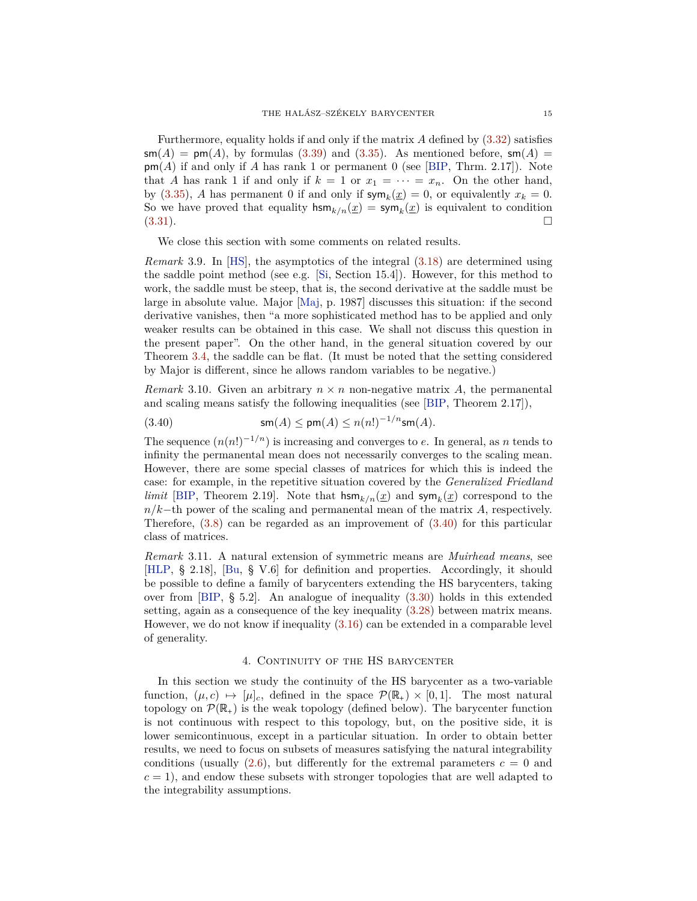<span id="page-14-2"></span>Furthermore, equality holds if and only if the matrix *A* defined by [\(3.32\)](#page-13-0) satisfies  $\mathsf{sm}(A) = \mathsf{pm}(A)$ , by formulas [\(3.39\)](#page-13-1) and [\(3.35\)](#page-13-2). As mentioned before,  $\mathsf{sm}(A) =$ pm(*A*) if and only if *A* has rank 1 or permanent 0 (see [\[BIP,](#page-33-10) Thrm. 2.17]). Note that *A* has rank 1 if and only if  $k = 1$  or  $x_1 = \cdots = x_n$ . On the other hand, by [\(3.35\)](#page-13-2), *A* has permanent 0 if and only if  $\mathsf{sym}_k(\underline{x}) = 0$ , or equivalently  $x_k = 0$ . So we have proved that equality  $\lim_{k/n}(\underline{x}) = \text{sym}_k(\underline{x})$  is equivalent to condition  $(3.31).$  $(3.31).$ 

We close this section with some comments on related results.

*Remark* 3.9*.* In [\[HS\]](#page-33-7), the asymptotics of the integral [\(3.18\)](#page-11-4) are determined using the saddle point method (see e.g. [\[Si,](#page-34-8) Section 15.4]). However, for this method to work, the saddle must be steep, that is, the second derivative at the saddle must be large in absolute value. Major [\[Maj,](#page-34-9) p. 1987] discusses this situation: if the second derivative vanishes, then "a more sophisticated method has to be applied and only weaker results can be obtained in this case. We shall not discuss this question in the present paper". On the other hand, in the general situation covered by our Theorem [3.4,](#page-10-0) the saddle can be flat. (It must be noted that the setting considered by Major is different, since he allows random variables to be negative.)

*Remark* 3.10. Given an arbitrary  $n \times n$  non-negative matrix A, the permanental and scaling means satisfy the following inequalities (see [\[BIP,](#page-33-10) Theorem 2.17]),

<span id="page-14-1"></span>
$$
(3.40) \qquad \qquad \mathsf{sm}(A) \le \mathsf{pm}(A) \le n(n!)^{-1/n} \mathsf{sm}(A).
$$

The sequence  $(n(n!)^{-1/n})$  is increasing and converges to *e*. In general, as *n* tends to infinity the permanental mean does not necessarily converges to the scaling mean. However, there are some special classes of matrices for which this is indeed the case: for example, in the repetitive situation covered by the *Generalized Friedland limit* [\[BIP,](#page-33-10) Theorem 2.19]. Note that  $\lim_{k/n}(\underline{x})$  and  $\lim_{k}(\underline{x})$  correspond to the *n/k*−th power of the scaling and permanental mean of the matrix *A*, respectively. Therefore,  $(3.8)$  can be regarded as an improvement of  $(3.40)$  for this particular class of matrices.

*Remark* 3.11*.* A natural extension of symmetric means are *Muirhead means*, see [\[HLP,](#page-33-3) § 2.18], [\[Bu,](#page-33-5) § V.6] for definition and properties. Accordingly, it should be possible to define a family of barycenters extending the HS barycenters, taking over from [\[BIP,](#page-33-10) § 5.2]. An analogue of inequality [\(3.30\)](#page-13-4) holds in this extended setting, again as a consequence of the key inequality [\(3.28\)](#page-12-2) between matrix means. However, we do not know if inequality [\(3.16\)](#page-11-1) can be extended in a comparable level of generality.

### 4. CONTINUITY OF THE HS BARYCENTER

<span id="page-14-0"></span>In this section we study the continuity of the HS barycenter as a two-variable function,  $(\mu, c) \mapsto [\mu]_c$ , defined in the space  $\mathcal{P}(\mathbb{R}_+) \times [0, 1]$ . The most natural topology on  $\mathcal{P}(\mathbb{R}_+)$  is the weak topology (defined below). The barycenter function is not continuous with respect to this topology, but, on the positive side, it is lower semicontinuous, except in a particular situation. In order to obtain better results, we need to focus on subsets of measures satisfying the natural integrability conditions (usually  $(2.6)$ , but differently for the extremal parameters  $c = 0$  and  $c = 1$ , and endow these subsets with stronger topologies that are well adapted to the integrability assumptions.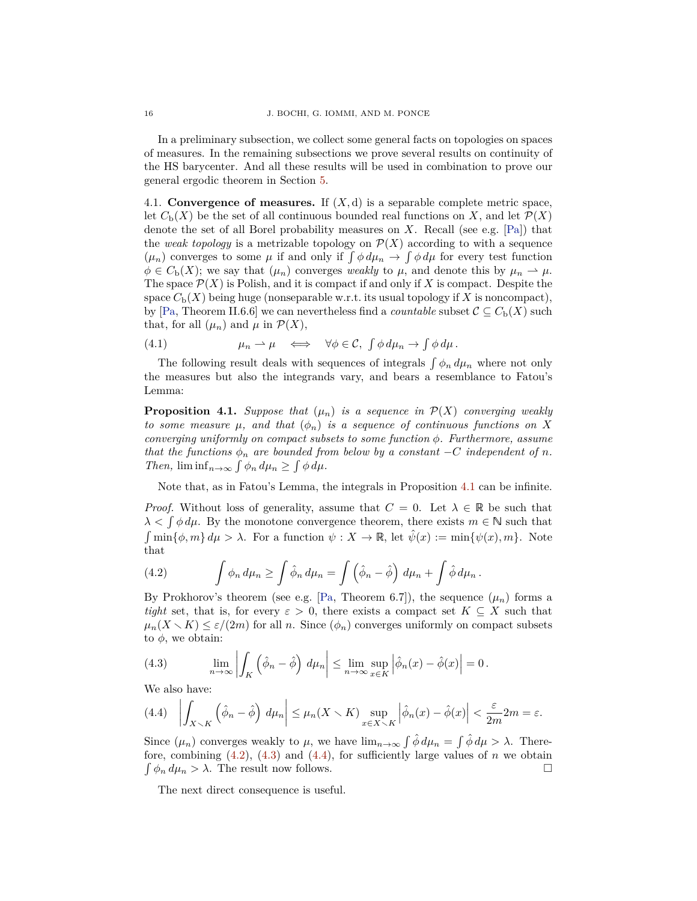<span id="page-15-7"></span>In a preliminary subsection, we collect some general facts on topologies on spaces of measures. In the remaining subsections we prove several results on continuity of the HS barycenter. And all these results will be used in combination to prove our general ergodic theorem in Section [5.](#page-21-0)

<span id="page-15-5"></span>4.1. **Convergence of measures.** If  $(X, d)$  is a separable complete metric space, let  $C_{\rm b}(X)$  be the set of all continuous bounded real functions on X, and let  $\mathcal{P}(X)$ denote the set of all Borel probability measures on *X*. Recall (see e.g. [\[Pa\]](#page-34-6)) that the *weak topology* is a metrizable topology on  $\mathcal{P}(X)$  according to with a sequence  $(\mu_n)$  converges to some  $\mu$  if and only if  $\int \phi \, d\mu_n \to \int \phi \, d\mu$  for every test function  $\phi \in C_{\mathbf{b}}(X)$ ; we say that  $(\mu_n)$  converges *weakly* to  $\mu$ , and denote this by  $\mu_n \to \mu$ . The space  $\mathcal{P}(X)$  is Polish, and it is compact if and only if X is compact. Despite the space  $C_b(X)$  being huge (nonseparable w.r.t. its usual topology if X is noncompact), by [\[Pa,](#page-34-6) Theorem II.6.6] we can nevertheless find a *countable* subset  $C \subseteq C_{b}(X)$  such that, for all  $(\mu_n)$  and  $\mu$  in  $\mathcal{P}(X)$ ,

<span id="page-15-6"></span>(4.1) 
$$
\mu_n \to \mu \iff \forall \phi \in \mathcal{C}, \int \phi \, d\mu_n \to \int \phi \, d\mu.
$$

The following result deals with sequences of integrals  $\int \phi_n d\mu_n$  where not only the measures but also the integrands vary, and bears a resemblance to Fatou's Lemma:

<span id="page-15-1"></span>**Proposition 4.1.** *Suppose that*  $(\mu_n)$  *is a sequence in*  $\mathcal{P}(X)$  *converging weakly to some measure*  $\mu$ *, and that*  $(\phi_n)$  *is a sequence of continuous functions on X converging uniformly on compact subsets to some function φ. Furthermore, assume that the functions*  $\phi_n$  *are bounded from below by a constant* −*C independent* of *n*. *Then,*  $\liminf_{n\to\infty} \int \phi_n d\mu_n \geq \int \phi d\mu$ .

Note that, as in Fatou's Lemma, the integrals in Proposition [4.1](#page-15-1) can be infinite.

*Proof.* Without loss of generality, assume that  $C = 0$ . Let  $\lambda \in \mathbb{R}$  be such that  $\lambda < \int \phi \, d\mu$ . By the monotone convergence theorem, there exists  $m \in \mathbb{N}$  such that  $\int \min{\phi, m} d\mu > \lambda$ . For a function  $\psi : X \to \mathbb{R}$ , let  $\hat{\psi}(x) := \min{\psi(x), m}$ . Note that

<span id="page-15-2"></span>(4.2) 
$$
\int \phi_n \, d\mu_n \ge \int \hat{\phi}_n \, d\mu_n = \int \left(\hat{\phi}_n - \hat{\phi}\right) \, d\mu_n + \int \hat{\phi} \, d\mu_n.
$$

By Prokhorov's theorem (see e.g. [\[Pa,](#page-34-6) Theorem 6.7]), the sequence  $(\mu_n)$  forms a *tight* set, that is, for every  $\varepsilon > 0$ , there exists a compact set  $K \subseteq X$  such that  $\mu_n(X \setminus K) \leq \varepsilon/(2m)$  for all *n*. Since  $(\phi_n)$  converges uniformly on compact subsets to  $\phi$ , we obtain:

<span id="page-15-3"></span>(4.3) 
$$
\lim_{n \to \infty} \left| \int_K (\hat{\phi}_n - \hat{\phi}) d\mu_n \right| \leq \lim_{n \to \infty} \sup_{x \in K} \left| \hat{\phi}_n(x) - \hat{\phi}(x) \right| = 0.
$$

We also have:

<span id="page-15-0"></span>
$$
(4.4) \quad \left| \int_{X \setminus K} \left( \hat{\phi}_n - \hat{\phi} \right) \, d\mu_n \right| \le \mu_n(X \setminus K) \sup_{x \in X \setminus K} \left| \hat{\phi}_n(x) - \hat{\phi}(x) \right| < \frac{\varepsilon}{2m} 2m = \varepsilon.
$$

Since  $(\mu_n)$  converges weakly to  $\mu$ , we have  $\lim_{n\to\infty} \int \hat{\phi} d\mu = \int \hat{\phi} d\mu > \lambda$ . Therefore, combining  $(4.2)$ ,  $(4.3)$  and  $(4.4)$ , for sufficiently large values of *n* we obtain  $\int \phi_n d\mu_n > \lambda$ . The result now follows.  $\Box$ 

<span id="page-15-4"></span>The next direct consequence is useful.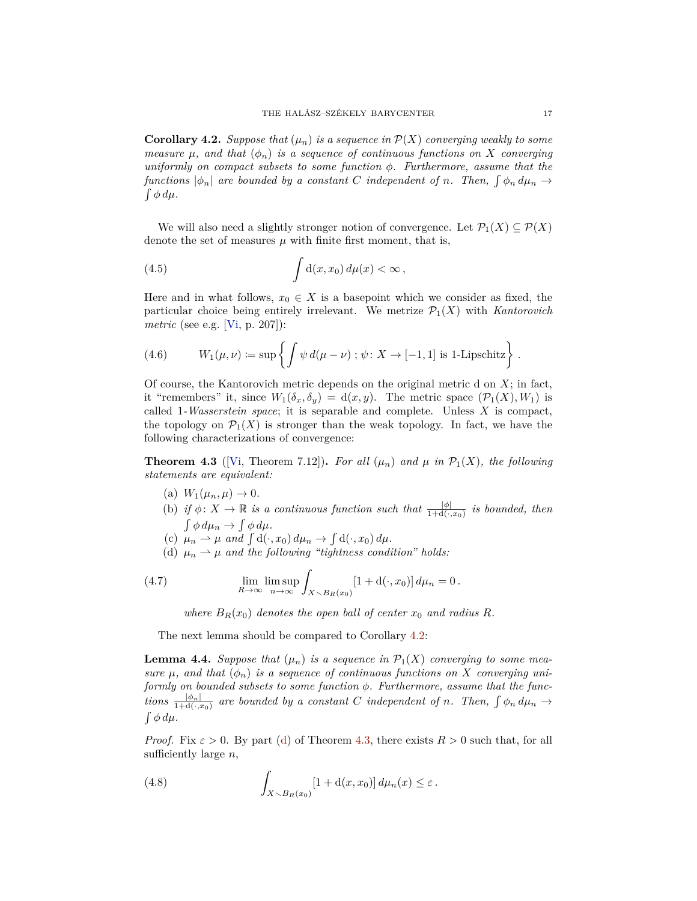<span id="page-16-6"></span>**Corollary 4.2.** *Suppose that*  $(\mu_n)$  *is a sequence in*  $\mathcal{P}(X)$  *converging weakly to some measure*  $\mu$ , and that  $(\phi_n)$  is a sequence of continuous functions on X converging *uniformly on compact subsets to some function φ. Furthermore, assume that the functions*  $|\phi_n|$  *are bounded by a constant C independent of n. Then,*  $\int \phi_n d\mu_n \rightarrow$  $\int \phi \, d\mu$ .

We will also need a slightly stronger notion of convergence. Let  $\mathcal{P}_1(X) \subseteq \mathcal{P}(X)$ denote the set of measures  $\mu$  with finite first moment, that is,

<span id="page-16-3"></span>(4.5) 
$$
\int d(x,x_0) d\mu(x) < \infty,
$$

Here and in what follows,  $x_0 \in X$  is a basepoint which we consider as fixed, the particular choice being entirely irrelevant. We metrize  $\mathcal{P}_1(X)$  with *Kantorovich metric* (see e.g. [\[Vi,](#page-34-5) p. 207]):

(4.6) 
$$
W_1(\mu,\nu) := \sup \left\{ \int \psi \, d(\mu - \nu) ; \psi \colon X \to [-1,1] \text{ is 1-Lipschitz} \right\}
$$

Of course, the Kantorovich metric depends on the original metric d on *X*; in fact, it "remembers" it, since  $W_1(\delta_x, \delta_y) = d(x, y)$ . The metric space  $(\mathcal{P}_1(X), W_1)$  is called 1*-Wasserstein space*; it is separable and complete. Unless *X* is compact, the topology on  $\mathcal{P}_1(X)$  is stronger than the weak topology. In fact, we have the following characterizations of convergence:

<span id="page-16-0"></span>**Theorem 4.3** ([\[Vi,](#page-34-5) Theorem 7.12]). For all  $(\mu_n)$  and  $\mu$  in  $\mathcal{P}_1(X)$ , the following *statements are equivalent:*

- (a)  $W_1(\mu_n, \mu) \to 0$ .
- <span id="page-16-2"></span>(b) *if*  $\phi: X \to \mathbb{R}$  *is a continuous function such that*  $\frac{|\phi|}{1+d(\cdot,x_0)}$  *is bounded, then*  $\int \phi \, d\mu_n \to \int \phi \, d\mu.$
- <span id="page-16-4"></span>(c)  $\mu_n \rightharpoonup \mu$  and  $\int d(\cdot, x_0) d\mu_n \rightarrow \int d(\cdot, x_0) d\mu$ .
- <span id="page-16-1"></span>(d)  $\mu_n \to \mu$  and the following "tightness condition" holds:

(4.7) 
$$
\lim_{R \to \infty} \lim_{n \to \infty} \int_{X \setminus B_R(x_0)} [1 + d(\cdot, x_0)] d\mu_n = 0.
$$

*where*  $B_R(x_0)$  *denotes the open ball of center*  $x_0$  *and radius*  $R$ *.* 

The next lemma should be compared to Corollary [4.2:](#page-15-4)

<span id="page-16-5"></span>**Lemma 4.4.** *Suppose that*  $(\mu_n)$  *is a sequence in*  $\mathcal{P}_1(X)$  *converging to some measure*  $\mu$ , and that  $(\phi_n)$  *is a sequence of continuous functions on X converging uniformly on bounded subsets to some function φ. Furthermore, assume that the functions*  $\frac{|\phi_n|}{1+d(\cdot,x_0)}$  *are bounded by a constant C independent of n. Then,*  $\int \phi_n d\mu_n \to$  $\int \phi \, d\mu$ .

*Proof.* Fix  $\varepsilon > 0$ . By part [\(d\)](#page-16-1) of Theorem [4.3,](#page-16-0) there exists  $R > 0$  such that, for all sufficiently large *n*,

(4.8) 
$$
\int_{X \setminus B_R(x_0)} [1 + d(x, x_0)] d\mu_n(x) \leq \varepsilon.
$$

*.*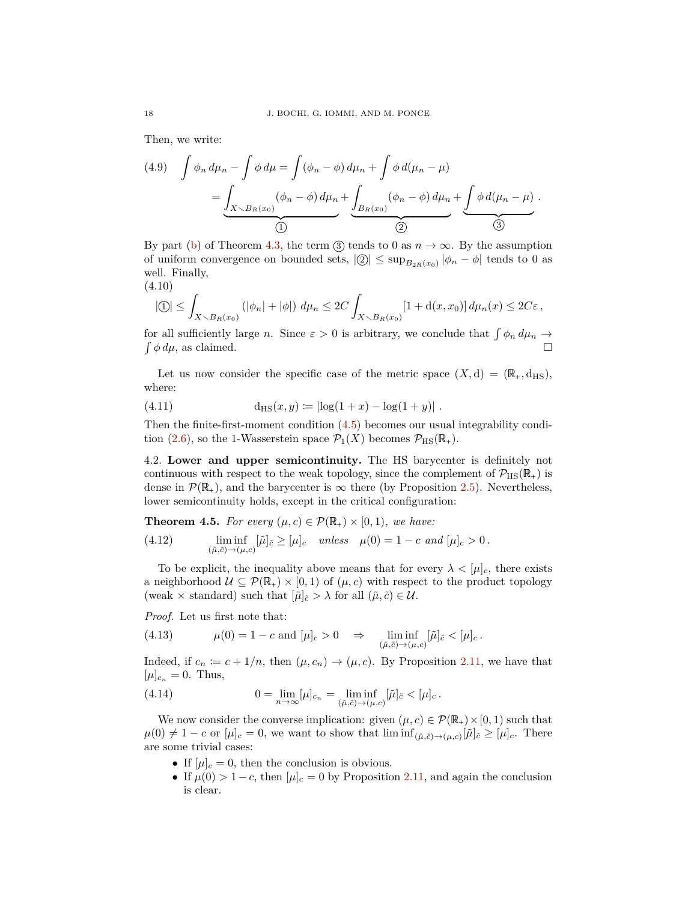Then, we write:

$$
(4.9) \quad \int \phi_n \, d\mu_n - \int \phi \, d\mu = \int (\phi_n - \phi) \, d\mu_n + \int \phi \, d(\mu_n - \mu)
$$

$$
= \underbrace{\int_{X \searrow B_R(x_0)} (\phi_n - \phi) \, d\mu_n}_{\textcircled{1}} + \underbrace{\int_{B_R(x_0)} (\phi_n - \phi) \, d\mu_n}_{\textcircled{2}} + \underbrace{\int \phi \, d(\mu_n - \mu)}_{\textcircled{3}}.
$$

By part [\(b\)](#page-16-2) of Theorem [4.3,](#page-16-0) the term  $(3)$  tends to 0 as  $n \to \infty$ . By the assumption of uniform convergence on bounded sets,  $|Q| \leq \sup_{B_{2R}(x_0)} |\phi_n - \phi|$  tends to 0 as well. Finally,

(4.10)

$$
|\mathbb{O}| \leq \int_{X \setminus B_R(x_0)} (|\phi_n| + |\phi|) d\mu_n \leq 2C \int_{X \setminus B_R(x_0)} [1 + d(x, x_0)] d\mu_n(x) \leq 2C\varepsilon,
$$

for all sufficiently large *n*. Since  $\varepsilon > 0$  is arbitrary, we conclude that  $\int \phi_n d\mu_n \to$  $\int \phi \, d\mu$ , as claimed.  $\Box$ 

Let us now consider the specific case of the metric space  $(X, d) = (\mathbb{R}_+, d_{\text{HS}}),$ where:

<span id="page-17-1"></span>(4.11) 
$$
d_{\text{HS}}(x, y) := |\log(1 + x) - \log(1 + y)|.
$$

Then the finite-first-moment condition [\(4.5\)](#page-16-3) becomes our usual integrability condi-tion [\(2.6\)](#page-4-3), so the 1-Wasserstein space  $\mathcal{P}_1(X)$  becomes  $\mathcal{P}_{\text{HS}}(\mathbb{R}_+).$ 

4.2. **Lower and upper semicontinuity.** The HS barycenter is definitely not continuous with respect to the weak topology, since the complement of  $\mathcal{P}_{\text{HS}}(\mathbb{R}_+)$  is dense in  $\mathcal{P}(\mathbb{R}_+)$ , and the barycenter is  $\infty$  there (by Proposition [2.5\)](#page-4-2). Nevertheless, lower semicontinuity holds, except in the critical configuration:

<span id="page-17-0"></span>**Theorem 4.5.** *For every*  $(\mu, c) \in \mathcal{P}(\mathbb{R}_+) \times [0, 1)$ *, we have:* 

(4.12) 
$$
\liminf_{(\tilde{\mu}, \tilde{c}) \to (\mu, c)} [\tilde{\mu}]_{\tilde{c}} \geq [\mu]_c \quad unless \quad \mu(0) = 1 - c \ and \ [\mu]_c > 0.
$$

To be explicit, the inequality above means that for every  $\lambda < [\mu]_c$ , there exists a neighborhood  $\mathcal{U} \subseteq \mathcal{P}(\mathbb{R}_+) \times [0,1)$  of  $(\mu, c)$  with respect to the product topology (weak  $\times$  standard) such that  $[\tilde{\mu}]_{\tilde{c}} > \lambda$  for all  $(\tilde{\mu}, \tilde{c}) \in \mathcal{U}$ .

*Proof.* Let us first note that:

(4.13) 
$$
\mu(0) = 1 - c \text{ and } [\mu]_c > 0 \Rightarrow \liminf_{(\tilde{\mu}, \tilde{c}) \to (\mu, c)} [\tilde{\mu}]_{\tilde{c}} < [\mu]_c.
$$

Indeed, if  $c_n := c + 1/n$ , then  $(\mu, c_n) \to (\mu, c)$ . By Proposition [2.11,](#page-8-1) we have that  $[\mu]_{c_n} = 0$ . Thus,

(4.14) 
$$
0 = \lim_{n \to \infty} [\mu]_{c_n} = \liminf_{(\tilde{\mu}, \tilde{c}) \to (\mu, c)} [\tilde{\mu}]_{\tilde{c}} < [\mu]_c.
$$

We now consider the converse implication: given  $(\mu, c) \in \mathcal{P}(\mathbb{R}_+) \times [0, 1)$  such that  $\mu(0) \neq 1 - c$  or  $[\mu]_c = 0$ , we want to show that  $\liminf_{(\tilde{\mu}, \tilde{c}) \to (\mu, c)} [\tilde{\mu}]_{\tilde{c}} \geq [\mu]_c$ . There are some trivial cases:

- If  $[\mu]_c = 0$ , then the conclusion is obvious.
- If  $\mu(0) > 1 c$ , then  $[\mu]_c = 0$  by Proposition [2.11,](#page-8-1) and again the conclusion is clear.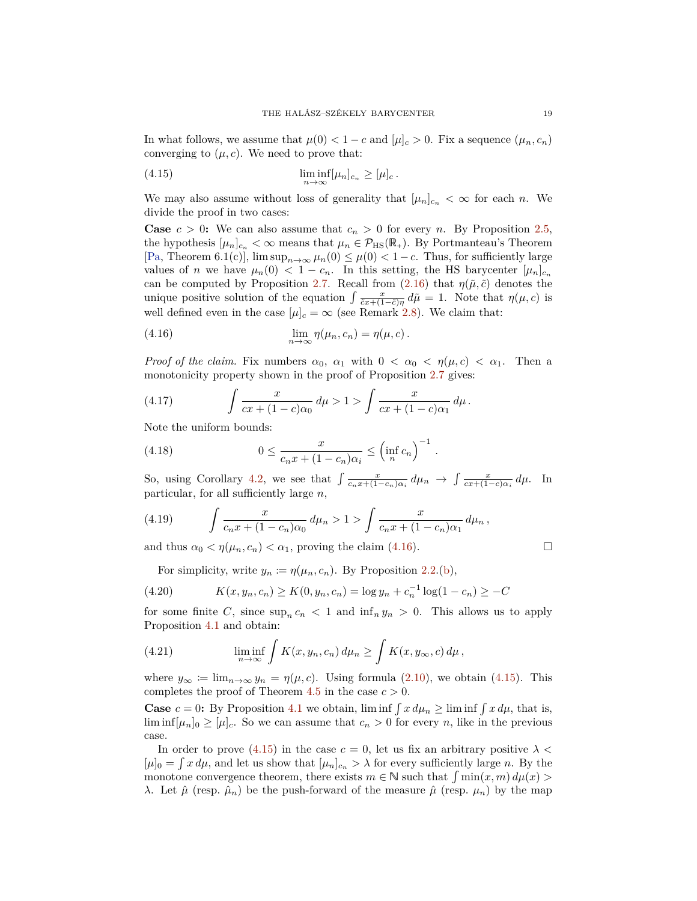<span id="page-18-5"></span>In what follows, we assume that  $\mu(0) < 1 - c$  and  $|\mu|_c > 0$ . Fix a sequence  $(\mu_n, c_n)$ converging to  $(\mu, c)$ . We need to prove that:

<span id="page-18-0"></span>(4.15) 
$$
\liminf_{n \to \infty} [\mu_n]_{c_n} \geq [\mu]_c.
$$

We may also assume without loss of generality that  $[\mu_n]_{c_n} < \infty$  for each *n*. We divide the proof in two cases:

**Case**  $c > 0$ : We can also assume that  $c_n > 0$  for every *n*. By Proposition [2.5,](#page-4-2) the hypothesis  $[\mu_n]_{c_n} < \infty$  means that  $\mu_n \in \mathcal{P}_{HS}(\mathbb{R}_+)$ . By Portmanteau's Theorem [\[Pa,](#page-34-6) Theorem 6.1(c)],  $\limsup_{n\to\infty} \mu_n(0) \leq \mu(0) < 1-c$ . Thus, for sufficiently large values of *n* we have  $\mu_n(0) < 1 - c_n$ . In this setting, the HS barycenter  $[\mu_n]_{c_n}$ can be computed by Proposition [2.7.](#page-5-3) Recall from  $(2.16)$  that  $\eta(\tilde{\mu}, \tilde{c})$  denotes the unique positive solution of the equation  $\int \frac{x}{\tilde{c}x + (1-\tilde{c})\eta} d\tilde{\mu} = 1$ . Note that  $\eta(\mu, c)$  is well defined even in the case  $[\mu]_c = \infty$  (see Remark [2.8\)](#page-6-7). We claim that:

<span id="page-18-1"></span>(4.16) 
$$
\lim_{n \to \infty} \eta(\mu_n, c_n) = \eta(\mu, c).
$$

*Proof of the claim.* Fix numbers  $\alpha_0$ ,  $\alpha_1$  with  $0 < \alpha_0 < \eta(\mu, c) < \alpha_1$ . Then a monotonicity property shown in the proof of Proposition [2.7](#page-5-3) gives:

(4.17) 
$$
\int \frac{x}{cx + (1 - c)\alpha_0} d\mu > 1 > \int \frac{x}{cx + (1 - c)\alpha_1} d\mu.
$$

Note the uniform bounds:

<span id="page-18-2"></span>(4.18) 
$$
0 \leq \frac{x}{c_n x + (1 - c_n)\alpha_i} \leq \left(\inf_n c_n\right)^{-1}
$$

So, using Corollary [4.2,](#page-15-4) we see that  $\int \frac{x}{c_n x + (1 - c_n)\alpha_i} d\mu_n \to \int \frac{x}{cx + (1 - c)\alpha_i} d\mu$ . In particular, for all sufficiently large *n*,

*.*

(4.19) 
$$
\int \frac{x}{c_n x + (1 - c_n)\alpha_0} d\mu_n > 1 > \int \frac{x}{c_n x + (1 - c_n)\alpha_1} d\mu_n,
$$

and thus  $\alpha_0 < \eta(\mu_n, c_n) < \alpha_1$ , proving the claim [\(4.16\)](#page-18-1).

<span id="page-18-3"></span>For simplicity, write  $y_n := \eta(\mu_n, c_n)$ . By Proposition [2.2.](#page-3-8)[\(b\)](#page-3-10),

(4.20) 
$$
K(x, y_n, c_n) \ge K(0, y_n, c_n) = \log y_n + c_n^{-1} \log(1 - c_n) \ge -C
$$

for some finite *C*, since  $\sup_n c_n < 1$  and  $\inf_n y_n > 0$ . This allows us to apply Proposition [4.1](#page-15-1) and obtain:

<span id="page-18-4"></span>(4.21) 
$$
\liminf_{n \to \infty} \int K(x, y_n, c_n) d\mu_n \ge \int K(x, y_\infty, c) d\mu,
$$

where  $y_{\infty} := \lim_{n \to \infty} y_n = \eta(\mu, c)$ . Using formula [\(2.10\)](#page-5-2), we obtain [\(4.15\)](#page-18-0). This completes the proof of Theorem [4.5](#page-17-0) in the case  $c > 0$ .

**Case**  $c = 0$ : By Proposition [4.1](#page-15-1) we obtain,  $\liminf \int x d\mu_n \ge \liminf \int x d\mu$ , that is,  $\liminf[\mu_n]_0 \geq [\mu]_c$ . So we can assume that  $c_n > 0$  for every *n*, like in the previous case.

In order to prove [\(4.15\)](#page-18-0) in the case  $c = 0$ , let us fix an arbitrary positive  $\lambda <$  $[\mu]_0 = \int x \, d\mu$ , and let us show that  $[\mu_n]_{c_n} > \lambda$  for every sufficiently large *n*. By the monotone convergence theorem, there exists  $m \in \mathbb{N}$  such that  $\int \min(x, m) d\mu(x)$ *λ*. Let  $\hat{\mu}$  (resp.  $\hat{\mu}_n$ ) be the push-forward of the measure  $\hat{\mu}$  (resp.  $\mu_n$ ) by the map

$$
\sqcup
$$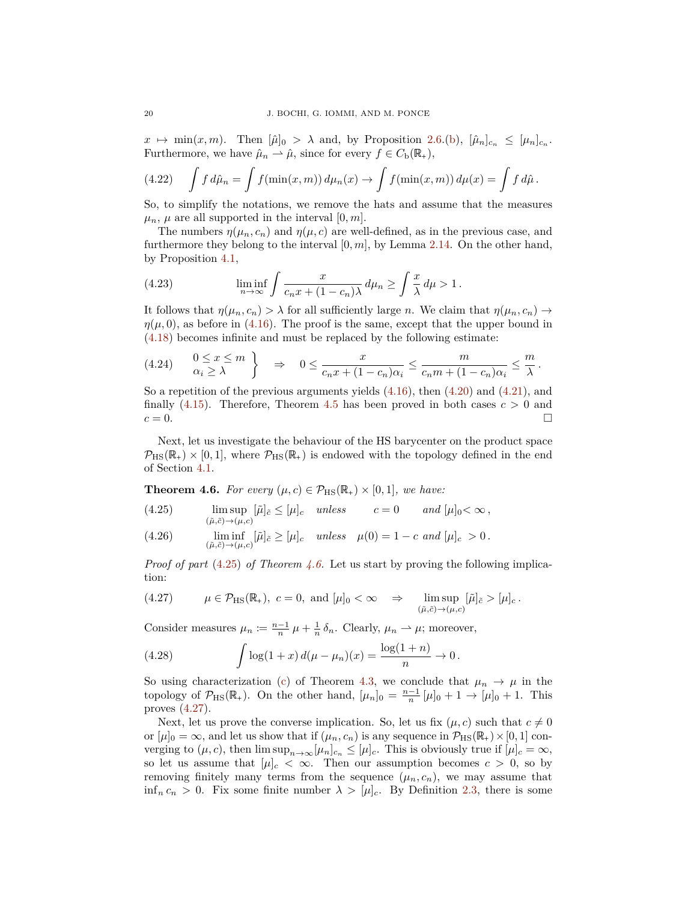$x \mapsto \min(x, m)$ . Then  $[\hat{\mu}]_0 > \lambda$  and, by Proposition [2.6.](#page-5-5)[\(b\)](#page-5-6),  $[\hat{\mu}_n]_{c_n} \leq [\mu_n]_{c_n}$ . Furthermore, we have  $\hat{\mu}_n \rightharpoonup \hat{\mu}$ , since for every  $f \in C_{\rm b}(\mathbb{R}_+),$ 

(4.22) 
$$
\int f d\hat{\mu}_n = \int f(\min(x,m)) d\mu_n(x) \to \int f(\min(x,m)) d\mu(x) = \int f d\hat{\mu}.
$$

So, to simplify the notations, we remove the hats and assume that the measures  $\mu_n$ ,  $\mu$  are all supported in the interval [0, m].

The numbers  $\eta(\mu_n, c_n)$  and  $\eta(\mu, c)$  are well-defined, as in the previous case, and furthermore they belong to the interval [0*, m*], by Lemma [2.14.](#page-8-4) On the other hand, by Proposition [4.1,](#page-15-1)

(4.23) 
$$
\liminf_{n \to \infty} \int \frac{x}{c_n x + (1 - c_n)\lambda} d\mu_n \ge \int \frac{x}{\lambda} d\mu > 1.
$$

It follows that  $\eta(\mu_n, c_n) > \lambda$  for all sufficiently large *n*. We claim that  $\eta(\mu_n, c_n) \to$  $\eta(\mu, 0)$ , as before in [\(4.16\)](#page-18-1). The proof is the same, except that the upper bound in [\(4.18\)](#page-18-2) becomes infinite and must be replaced by the following estimate:

$$
(4.24) \qquad \begin{array}{c} 0 \leq x \leq m \\ \alpha_i \geq \lambda \end{array} \bigg\} \quad \Rightarrow \quad 0 \leq \frac{x}{c_n x + (1 - c_n)\alpha_i} \leq \frac{m}{c_n m + (1 - c_n)\alpha_i} \leq \frac{m}{\lambda} \, .
$$

So a repetition of the previous arguments yields [\(4.16\)](#page-18-1), then [\(4.20\)](#page-18-3) and [\(4.21\)](#page-18-4), and finally  $(4.15)$ . Therefore, Theorem [4.5](#page-17-0) has been proved in both cases  $c > 0$  and  $c = 0.$ 

Next, let us investigate the behaviour of the HS barycenter on the product space  $\mathcal{P}_{\rm HS}(\mathbb{R}_+) \times [0,1]$ , where  $\mathcal{P}_{\rm HS}(\mathbb{R}_+)$  is endowed with the topology defined in the end of Section [4.1.](#page-15-5)

<span id="page-19-1"></span>**Theorem 4.6.** *For every*  $(\mu, c) \in \mathcal{P}_{\text{HS}}(\mathbb{R}_+) \times [0, 1]$ *, we have:* 

- <span id="page-19-0"></span>lim sup (4.25)  $\limsup_{(\tilde{\mu}, \tilde{c}) \to (\mu, c)} [\tilde{\mu}]_{\tilde{c}} \leq [\mu]_c$  *unless*  $c = 0$  *and*  $[\mu]_0 < \infty$ ,
- <span id="page-19-3"></span>(4.26)  $\liminf_{(\tilde{\mu}, \tilde{c}) \to (\mu, c)} [\tilde{\mu}]_{\tilde{c}} \geq [\mu]_c \text{ unless } \mu(0) = 1 - c \text{ and } [\mu]_c > 0.$

*Proof of part* [\(4.25\)](#page-19-0) *of Theorem [4.6.](#page-19-1)* Let us start by proving the following implication:

<span id="page-19-2"></span>(4.27) 
$$
\mu \in \mathcal{P}_{\text{HS}}(\mathbb{R}_+), c = 0, \text{ and } [\mu]_0 < \infty \Rightarrow \limsup_{(\tilde{\mu}, \tilde{c}) \to (\mu, c)} [\tilde{\mu}]_{\tilde{c}} > [\mu]_c.
$$

Consider measures  $\mu_n := \frac{n-1}{n} \mu + \frac{1}{n} \delta_n$ . Clearly,  $\mu_n \to \mu$ ; moreover,

(4.28) 
$$
\int \log(1+x) d(\mu - \mu_n)(x) = \frac{\log(1+n)}{n} \to 0.
$$

So using characterization [\(c\)](#page-16-4) of Theorem [4.3,](#page-16-0) we conclude that  $\mu_n \to \mu$  in the topology of  $\mathcal{P}_{\text{HS}}(\mathbb{R}_+)$ . On the other hand,  $[\mu_n]_0 = \frac{n-1}{n} [\mu]_0 + 1 \rightarrow [\mu]_0 + 1$ . This proves [\(4.27\)](#page-19-2).

Next, let us prove the converse implication. So, let us fix  $(\mu, c)$  such that  $c \neq 0$ or  $[\mu]_0 = \infty$ , and let us show that if  $(\mu_n, c_n)$  is any sequence in  $\mathcal{P}_{\text{HS}}(\mathbb{R}_+) \times [0, 1]$  converging to  $(\mu, c)$ , then  $\limsup_{n\to\infty}$   $[\mu_n]_{c_n} \leq [\mu]_c$ . This is obviously true if  $[\mu]_c = \infty$ , so let us assume that  $[\mu]_c < \infty$ . Then our assumption becomes  $c > 0$ , so by removing finitely many terms from the sequence  $(\mu_n, c_n)$ , we may assume that inf<sub>n</sub>  $c_n > 0$ . Fix some finite number  $\lambda > [\mu]_c$ . By Definition [2.3,](#page-3-0) there is some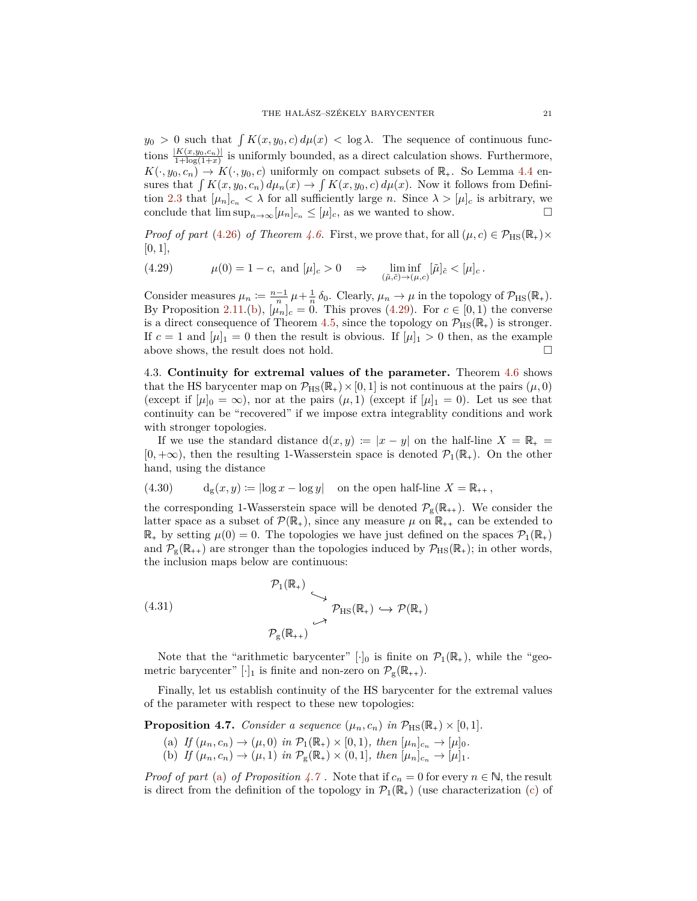$y_0 > 0$  such that  $\int K(x, y_0, c) d\mu(x) < \log \lambda$ . The sequence of continuous functions  $\frac{|K(x,y_0,c_n)|}{1+\log(1+x)}$  is uniformly bounded, as a direct calculation shows. Furthermore,  $K(\cdot, y_0, c_n) \to K(\cdot, y_0, c)$  uniformly on compact subsets of  $\mathbb{R}_+$ . So Lemma [4.4](#page-16-5) ensures that  $\int K(x, y_0, c_n) d\mu_n(x) \to \int K(x, y_0, c) d\mu(x)$ . Now it follows from Defini-tion [2.3](#page-3-0) that  $[\mu_n]_{c_n} < \lambda$  for all sufficiently large *n*. Since  $\lambda > [\mu]_c$  is arbitrary, we conclude that  $\limsup_{n\to\infty}$  [ $\mu_n$ ]<sub>*c<sub>n</sub>*</sub> ≤ [ $\mu$ ]<sub>*c*</sub>, as we wanted to show.  $\Box$ 

*Proof of part* [\(4.26\)](#page-19-3) *of Theorem [4.6.](#page-19-1)* First, we prove that, for all  $(\mu, c) \in \mathcal{P}_{\text{HS}}(\mathbb{R}_+) \times$  $[0, 1],$ 

<span id="page-20-0"></span>(4.29) 
$$
\mu(0) = 1 - c, \text{ and } [\mu]_c > 0 \Rightarrow \liminf_{(\tilde{\mu}, \tilde{c}) \to (\mu, c)} [\tilde{\mu}]_{\tilde{c}} < [\mu]_c.
$$

Consider measures  $\mu_n := \frac{n-1}{n} \mu + \frac{1}{n} \delta_0$ . Clearly,  $\mu_n \to \mu$  in the topology of  $\mathcal{P}_{\text{HS}}(\mathbb{R}_+)$ . By Proposition [2.11.](#page-8-1)[\(b\)](#page-8-3),  $[\mu_n]_c = 0$ . This proves [\(4.29\)](#page-20-0). For  $c \in [0,1)$  the converse is a direct consequence of Theorem [4.5,](#page-17-0) since the topology on  $\mathcal{P}_{\text{HS}}(\mathbb{R}_{+})$  is stronger. If  $c = 1$  and  $[\mu]_1 = 0$  then the result is obvious. If  $[\mu]_1 > 0$  then, as the example above shows, the result does not hold.  $\Box$ 

4.3. **Continuity for extremal values of the parameter.** Theorem [4.6](#page-19-1) shows that the HS barycenter map on  $\mathcal{P}_{\text{HS}}(\mathbb{R}_+) \times [0, 1]$  is not continuous at the pairs  $(\mu, 0)$ (except if  $[\mu]_0 = \infty$ ), nor at the pairs  $(\mu, 1)$  (except if  $[\mu]_1 = 0$ ). Let us see that continuity can be "recovered" if we impose extra integrablity conditions and work with stronger topologies.

If we use the standard distance  $d(x, y) := |x - y|$  on the half-line  $X = \mathbb{R}_+$  $[0, +\infty)$ , then the resulting 1-Wasserstein space is denoted  $\mathcal{P}_1(\mathbb{R}_+)$ . On the other hand, using the distance

<span id="page-20-4"></span>(4.30) 
$$
d_g(x, y) := |\log x - \log y| \text{ on the open half-line } X = \mathbb{R}_{++},
$$

the corresponding 1-Wasserstein space will be denoted  $\mathcal{P}_{g}(\mathbb{R}_{++})$ . We consider the latter space as a subset of  $\mathcal{P}(\mathbb{R}_+)$ , since any measure  $\mu$  on  $\mathbb{R}_{++}$  can be extended to  $\mathbb{R}_+$  by setting  $\mu(0) = 0$ . The topologies we have just defined on the spaces  $\mathcal{P}_1(\mathbb{R}_+)$ and  $\mathcal{P}_{g}(\mathbb{R}_{++})$  are stronger than the topologies induced by  $\mathcal{P}_{HS}(\mathbb{R}_{+})$ ; in other words, the inclusion maps below are continuous:

(4.31)  

$$
\begin{array}{c}\n\mathcal{P}_1(\mathbb{R}_+) \\
\downarrow \\
\mathcal{P}_\text{HS}(\mathbb{R}_+) \hookrightarrow \mathcal{P}(\mathbb{R}_+)\n\end{array}
$$

$$
\begin{array}{c}\n\mathcal{P}_\text{HS}(\mathbb{R}_+) \hookrightarrow \mathcal{P}(\mathbb{R}_+) \\
\downarrow \\
\mathcal{P}_\text{S}(\mathbb{R}_{++})\n\end{array}
$$

Note that the "arithmetic barycenter" [ $\cdot$ ]<sub>0</sub> is finite on  $\mathcal{P}_1(\mathbb{R}_+)$ , while the "geometric barycenter" [ $\cdot$ ]<sub>1</sub> is finite and non-zero on  $\mathcal{P}_{g}(\mathbb{R}_{++})$ .

Finally, let us establish continuity of the HS barycenter for the extremal values of the parameter with respect to these new topologies:

<span id="page-20-2"></span><span id="page-20-1"></span>**Proposition 4.7.** *Consider a sequence*  $(\mu_n, c_n)$  *in*  $\mathcal{P}_{\text{HS}}(\mathbb{R}_+) \times [0, 1]$ *.* 

<span id="page-20-3"></span>(a) *If*  $(\mu_n, c_n) \to (\mu, 0)$  *in*  $\mathcal{P}_1(\mathbb{R}_+) \times [0, 1)$ *, then*  $[\mu_n]_{c_n} \to [\mu]_0$ *.* (b) *If*  $(\mu_n, c_n) \to (\mu, 1)$  *in*  $\mathcal{P}_g(\mathbb{R}_+) \times (0, 1]$ *, then*  $[\mu_n]_{c_n} \to [\mu]_1$ *.* 

*Proof of part* [\(a\)](#page-20-1) *of Proposition*  $4.7$ . Note that if  $c_n = 0$  for every  $n \in \mathbb{N}$ , the result is direct from the definition of the topology in  $\mathcal{P}_1(\mathbb{R}_+)$  (use characterization [\(c\)](#page-16-4) of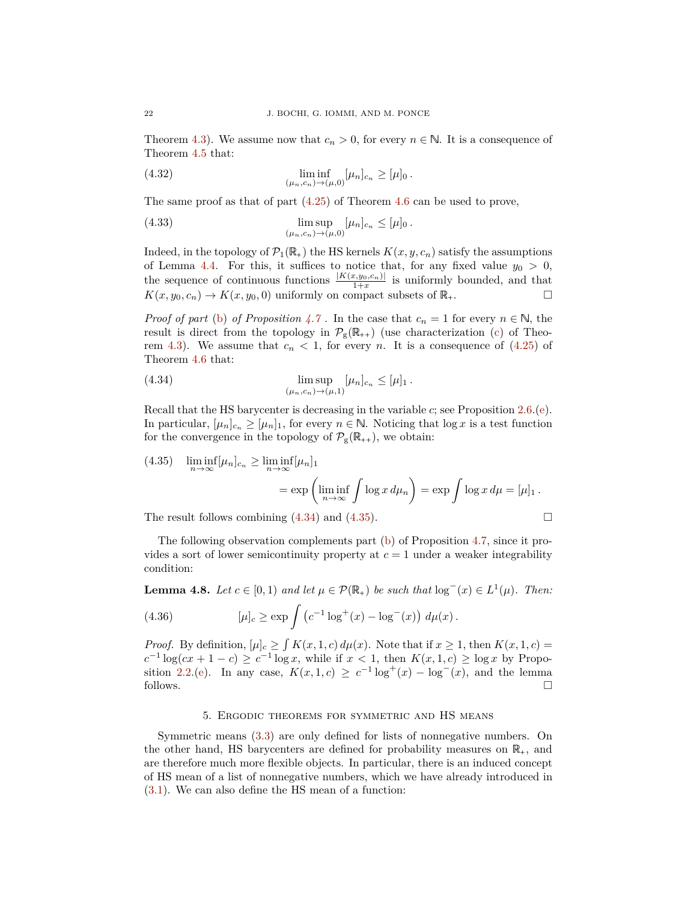Theorem [4.3\)](#page-16-0). We assume now that  $c_n > 0$ , for every  $n \in \mathbb{N}$ . It is a consequence of Theorem [4.5](#page-17-0) that:

(4.32) 
$$
\liminf_{(\mu_n, c_n) \to (\mu, 0)} [\mu_n]_{c_n} \geq [\mu]_0.
$$

The same proof as that of part [\(4.25\)](#page-19-0) of Theorem [4.6](#page-19-1) can be used to prove,

(4.33) 
$$
\limsup_{(\mu_n, c_n) \to (\mu, 0)} [\mu_n]_{c_n} \leq [\mu]_0.
$$

Indeed, in the topology of  $\mathcal{P}_1(\mathbb{R}_+)$  the HS kernels  $K(x, y, c_n)$  satisfy the assumptions of Lemma [4.4.](#page-16-5) For this, it suffices to notice that, for any fixed value  $y_0 > 0$ , the sequence of continuous functions  $\frac{|K(x,y_0,c_n)|}{1+x}$  is uniformly bounded, and that  $K(x, y_0, c_n) \to K(x, y_0, 0)$  uniformly on compact subsets of  $\mathbb{R}_+$ .

*Proof of part* [\(b\)](#page-20-3) *of Proposition* [4.7](#page-20-2). In the case that  $c_n = 1$  for every  $n \in \mathbb{N}$ , the result is direct from the topology in  $\mathcal{P}_{g}(\mathbb{R}_{++})$  (use characterization [\(c\)](#page-16-4) of Theo-rem [4.3\)](#page-16-0). We assume that  $c_n < 1$ , for every *n*. It is a consequence of  $(4.25)$  of Theorem [4.6](#page-19-1) that:

<span id="page-21-1"></span>(4.34) 
$$
\limsup_{(\mu_n,c_n)\to(\mu,1)}[\mu_n]_{c_n}\leq[\mu]_1.
$$

Recall that the HS barycenter is decreasing in the variable *c*; see Proposition [2.6.](#page-5-5)[\(e\)](#page-5-7). In particular,  $[\mu_n]_{c_n} \geq [\mu_n]_1$ , for every  $n \in \mathbb{N}$ . Noticing that  $\log x$  is a test function for the convergence in the topology of  $\mathcal{P}_{g}(\mathbb{R}_{++})$ , we obtain:

<span id="page-21-2"></span>(4.35) 
$$
\liminf_{n \to \infty} [\mu_n]_{c_n} \ge \liminf_{n \to \infty} [\mu_n]_1
$$

$$
= \exp \left( \liminf_{n \to \infty} \int \log x \, d\mu_n \right) = \exp \int \log x \, d\mu = [\mu]_1.
$$

The result follows combining  $(4.34)$  and  $(4.35)$ .

The following observation complements part [\(b\)](#page-20-3) of Proposition [4.7,](#page-20-2) since it provides a sort of lower semicontinuity property at  $c = 1$  under a weaker integrability condition:

<span id="page-21-3"></span>**Lemma 4.8.** *Let*  $c \in [0,1)$  *and let*  $\mu \in \mathcal{P}(\mathbb{R}_+)$  *be such that*  $\log^{-}(x) \in L^{1}(\mu)$ *. Then:* 

(4.36) 
$$
[\mu]_c \ge \exp \int (c^{-1} \log^+(x) - \log^-(x)) d\mu(x).
$$

*Proof.* By definition,  $[\mu]_c \geq \int K(x, 1, c) d\mu(x)$ . Note that if  $x \geq 1$ , then  $K(x, 1, c) =$ *c*<sup>−1</sup> log(*cx* + 1 − *c*) ≥ *c*<sup>−1</sup> log *x*, while if  $x < 1$ , then  $K(x, 1, c)$  ≥ log *x* by Propo-sition [2.2.](#page-3-8)[\(e\)](#page-3-4). In any case,  $K(x, 1, c) \ge c^{-1} \log^+(x) - \log^-(x)$ , and the lemma follows. follows.  $\Box$ 

#### 5. Ergodic theorems for symmetric and HS means

<span id="page-21-4"></span><span id="page-21-0"></span>Symmetric means [\(3.3\)](#page-9-6) are only defined for lists of nonnegative numbers. On the other hand, HS barycenters are defined for probability measures on  $\mathbb{R}_+$ , and are therefore much more flexible objects. In particular, there is an induced concept of HS mean of a list of nonnegative numbers, which we have already introduced in [\(3.1\)](#page-9-7). We can also define the HS mean of a function: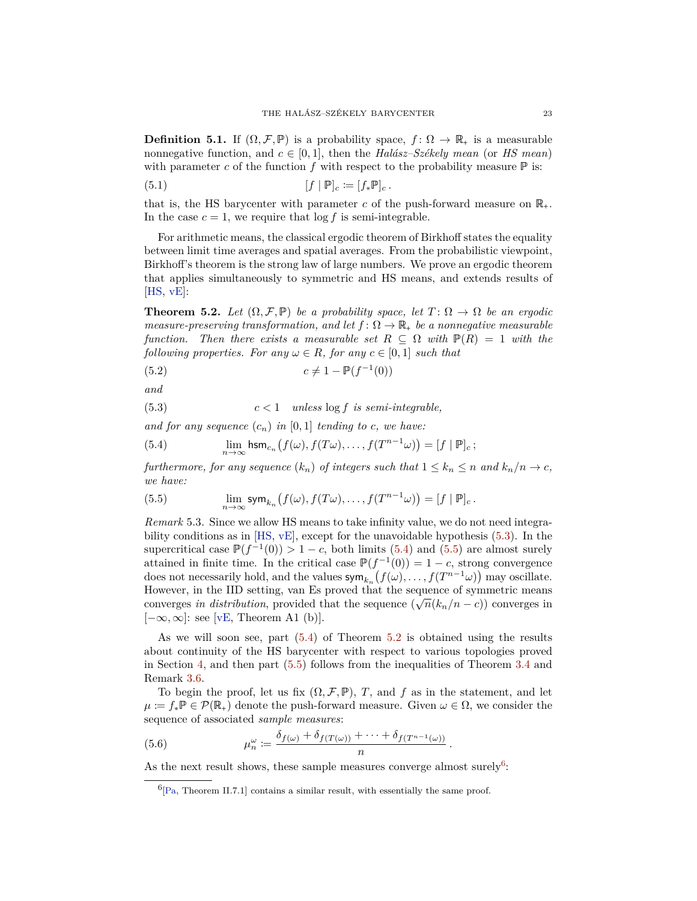<span id="page-22-7"></span>**Definition 5.1.** If  $(\Omega, \mathcal{F}, \mathbb{P})$  is a probability space,  $f : \Omega \to \mathbb{R}_+$  is a measurable nonnegative function, and  $c \in [0, 1]$ , then the *Halász–Székely mean* (or *HS mean*) with parameter  $c$  of the function  $f$  with respect to the probability measure  $\mathbb P$  is:

(5.1) 
$$
[f | \mathbb{P}]_c \coloneqq [f_* \mathbb{P}]_c.
$$

that is, the HS barycenter with parameter c of the push-forward measure on  $\mathbb{R}_+$ . In the case  $c = 1$ , we require that  $\log f$  is semi-integrable.

For arithmetic means, the classical ergodic theorem of Birkhoff states the equality between limit time averages and spatial averages. From the probabilistic viewpoint, Birkhoff's theorem is the strong law of large numbers. We prove an ergodic theorem that applies simultaneously to symmetric and HS means, and extends results of  $[HS, vE]$  $[HS, vE]$  $[HS, vE]$ :

<span id="page-22-3"></span>**Theorem 5.2.** Let  $(\Omega, \mathcal{F}, \mathbb{P})$  be a probability space, let  $T: \Omega \to \Omega$  be an ergodic *measure-preserving transformation, and let*  $f: \Omega \to \mathbb{R}_+$  *be a nonnegative measurable function.* Then there exists a measurable set  $R \subseteq \Omega$  with  $\mathbb{P}(R) = 1$  with the *following properties. For any*  $\omega \in R$ *, for any*  $c \in [0, 1]$  *such that* 

<span id="page-22-6"></span>(5.2) 
$$
c \neq 1 - \mathbb{P}(f^{-1}(0))
$$

*and*

<span id="page-22-0"></span>(5.3)  $c < 1$  *unless*  $\log f$  *is semi-integrable,* 

*and for any sequence*  $(c_n)$  *in*  $[0,1]$  *tending to c, we have:* 

<span id="page-22-1"></span>(5.4) 
$$
\lim_{n\to\infty}\operatorname{hsm}_{c_n}\left(f(\omega),f(T\omega),\ldots,f(T^{n-1}\omega)\right)=[f\mid\mathbb{P}]_c;
$$

*furthermore, for any sequence*  $(k_n)$  *of integers such that*  $1 \leq k_n \leq n$  *and*  $k_n/n \to c$ *, we have:*

<span id="page-22-2"></span>(5.5) 
$$
\lim_{n\to\infty}\operatorname{sym}_{k_n}\left(f(\omega),f(T\omega),\ldots,f(T^{n-1}\omega)\right)=[f\mid\mathbb{P}]_c.
$$

*Remark* 5.3*.* Since we allow HS means to take infinity value, we do not need integrability conditions as in [\[HS,](#page-33-7) [vE\]](#page-34-4), except for the unavoidable hypothesis [\(5.3\)](#page-22-0). In the supercritical case  $\mathbb{P}(f^{-1}(0)) > 1 - c$ , both limits [\(5.4\)](#page-22-1) and [\(5.5\)](#page-22-2) are almost surely attained in finite time. In the critical case  $\mathbb{P}(f^{-1}(0)) = 1 - c$ , strong convergence does not necessarily hold, and the values  $\text{sym}_{k_n}(f(\omega), \ldots, f(T^{n-1}\omega))$  may oscillate. However, in the IID setting, van Es proved that the sequence of symmetric means converges *in distribution*, provided that the sequence  $(\sqrt{n}(k_n/n-c))$  converges in [−∞*,*∞]: see [\[vE,](#page-34-4) Theorem A1 (b)].

As we will soon see, part [\(5.4\)](#page-22-1) of Theorem [5.2](#page-22-3) is obtained using the results about continuity of the HS barycenter with respect to various topologies proved in Section [4,](#page-14-0) and then part [\(5.5\)](#page-22-2) follows from the inequalities of Theorem [3.4](#page-10-0) and Remark [3.6.](#page-10-4)

To begin the proof, let us fix  $(\Omega, \mathcal{F}, \mathbb{P})$ , *T*, and *f* as in the statement, and let  $\mu := f_* \mathbb{P} \in \mathcal{P}(\mathbb{R}_+)$  denote the push-forward measure. Given  $\omega \in \Omega$ , we consider the sequence of associated *sample measures*:

(5.6) 
$$
\mu_n^{\omega} := \frac{\delta_{f(\omega)} + \delta_{f(T(\omega))} + \cdots + \delta_{f(T^{n-1}(\omega))}}{n}.
$$

<span id="page-22-5"></span>As the next result shows, these sample measures converge almost surely<sup>[6](#page-22-4)</sup>:

<span id="page-22-4"></span> ${}^{6}$ [\[Pa,](#page-34-6) Theorem II.7.1] contains a similar result, with essentially the same proof.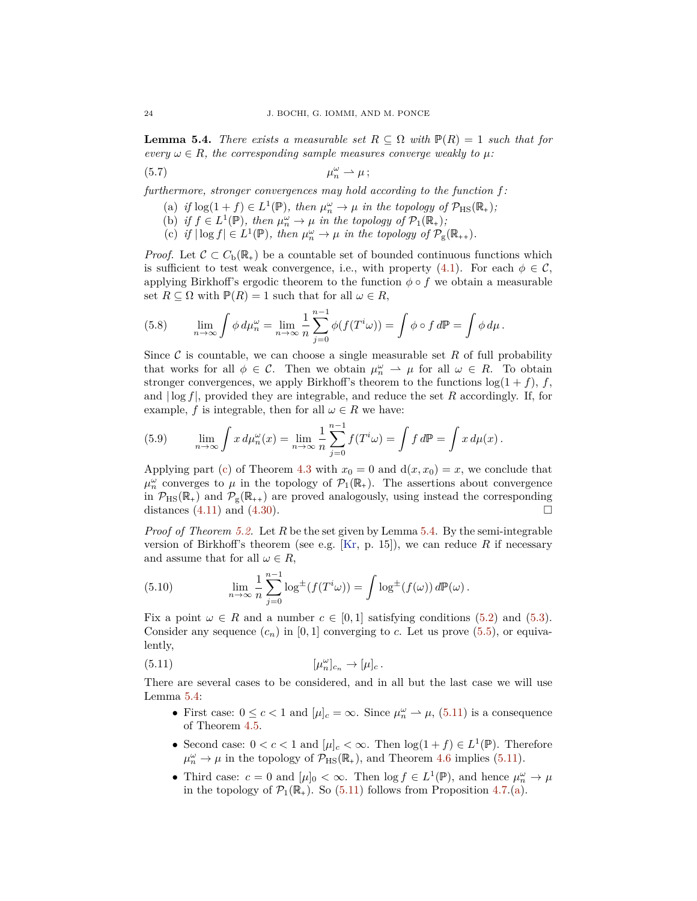<span id="page-23-2"></span>**Lemma 5.4.** *There exists a measurable set*  $R \subseteq \Omega$  *with*  $\mathbb{P}(R) = 1$  *such that for every*  $\omega \in R$ *, the corresponding sample measures converge weakly to*  $\mu$ *:* 

$$
\mu_n^{\omega} \rightharpoonup \mu; \qquad \mu_n^{\omega} \rightharpoonup \mu
$$

*furthermore, stronger convergences may hold according to the function f:*

- (a) if  $\log(1+f) \in L^1(\mathbb{P})$ *, then*  $\mu_n^{\omega} \to \mu$  *in the topology of*  $\mathcal{P}_{\text{HS}}(\mathbb{R}_+);$
- (b) *if*  $f \in L^1(\mathbb{P})$ *, then*  $\mu_n^{\omega} \to \mu$  *in the topology of*  $\mathcal{P}_1(\mathbb{R}_+)$ *;*
- (c) *if*  $|\log f| \in L^1(\mathbb{P})$ *, then*  $\mu_n^{\omega} \to \mu$  *in the topology of*  $\mathcal{P}_{g}(\mathbb{R}_{++})$ *.*

*Proof.* Let  $\mathcal{C} \subset C_{\rm b}(\mathbb{R}_+)$  be a countable set of bounded continuous functions which is sufficient to test weak convergence, i.e., with property [\(4.1\)](#page-15-6). For each  $\phi \in \mathcal{C}$ , applying Birkhoff's ergodic theorem to the function  $\phi \circ f$  we obtain a measurable set  $R \subseteq \Omega$  with  $P(R) = 1$  such that for all  $\omega \in R$ ,

(5.8) 
$$
\lim_{n \to \infty} \int \phi \, d\mu_n^{\omega} = \lim_{n \to \infty} \frac{1}{n} \sum_{j=0}^{n-1} \phi(f(T^i \omega)) = \int \phi \circ f \, d\mathbb{P} = \int \phi \, d\mu.
$$

Since  $\mathcal C$  is countable, we can choose a single measurable set  $R$  of full probability that works for all  $\phi \in \mathcal{C}$ . Then we obtain  $\mu_n^{\omega} \to \mu$  for all  $\omega \in R$ . To obtain stronger convergences, we apply Birkhoff's theorem to the functions  $\log(1 + f)$ , *f*, and | log *f*|, provided they are integrable, and reduce the set *R* accordingly. If, for example, *f* is integrable, then for all  $\omega \in R$  we have:

(5.9) 
$$
\lim_{n \to \infty} \int x d\mu_n^{\omega}(x) = \lim_{n \to \infty} \frac{1}{n} \sum_{j=0}^{n-1} f(T^i \omega) = \int f d\mathbb{P} = \int x d\mu(x).
$$

Applying part [\(c\)](#page-16-4) of Theorem [4.3](#page-16-0) with  $x_0 = 0$  and  $d(x, x_0) = x$ , we conclude that  $\mu_n^{\omega}$  converges to  $\mu$  in the topology of  $\mathcal{P}_1(\mathbb{R}_+)$ . The assertions about convergence in  $\mathcal{P}_{\text{HS}}(\mathbb{R}_+)$  and  $\mathcal{P}_{\text{g}}(\mathbb{R}_{++})$  are proved analogously, using instead the corresponding distances (4.11) and (4.30). distances  $(4.11)$  and  $(4.30)$ .

*Proof of Theorem [5.2.](#page-22-3)* Let *R* be the set given by Lemma [5.4.](#page-22-5) By the semi-integrable version of Birkhoff's theorem (see e.g. [\[Kr,](#page-34-10) p. 15]), we can reduce *R* if necessary and assume that for all  $\omega \in R$ ,

<span id="page-23-1"></span>(5.10) 
$$
\lim_{n \to \infty} \frac{1}{n} \sum_{j=0}^{n-1} \log^{\pm} (f(T^i \omega)) = \int \log^{\pm} (f(\omega)) d\mathbb{P}(\omega).
$$

Fix a point  $\omega \in R$  and a number  $c \in [0,1]$  satisfying conditions [\(5.2\)](#page-22-6) and [\(5.3\)](#page-22-0). Consider any sequence  $(c_n)$  in [0,1] converging to *c*. Let us prove [\(5.5\)](#page-22-2), or equivalently,

(5.11) 
$$
[\mu_n^{\omega}]_{c_n} \to [\mu]_c.
$$

There are several cases to be considered, and in all but the last case we will use Lemma [5.4:](#page-22-5)

- <span id="page-23-0"></span>• First case:  $0 \le c < 1$  and  $[\mu]_c = \infty$ . Since  $\mu_n^{\omega} \to \mu$ , [\(5.11\)](#page-23-0) is a consequence of Theorem [4.5.](#page-17-0)
- Second case:  $0 < c < 1$  and  $[\mu]_c < \infty$ . Then  $\log(1+f) \in L^1(\mathbb{P})$ . Therefore  $\mu_n^{\omega} \to \mu$  in the topology of  $\mathcal{P}_{\text{HS}}(\mathbb{R}_+),$  and Theorem [4.6](#page-19-1) implies [\(5.11\)](#page-23-0).
- Third case:  $c = 0$  and  $[\mu]_0 < \infty$ . Then  $\log f \in L^1(\mathbb{P})$ , and hence  $\mu_n^{\omega} \to \mu$ in the topology of  $\mathcal{P}_1(\mathbb{R}_+)$ . So [\(5.11\)](#page-23-0) follows from Proposition [4.7.](#page-20-2)[\(a\)](#page-20-1).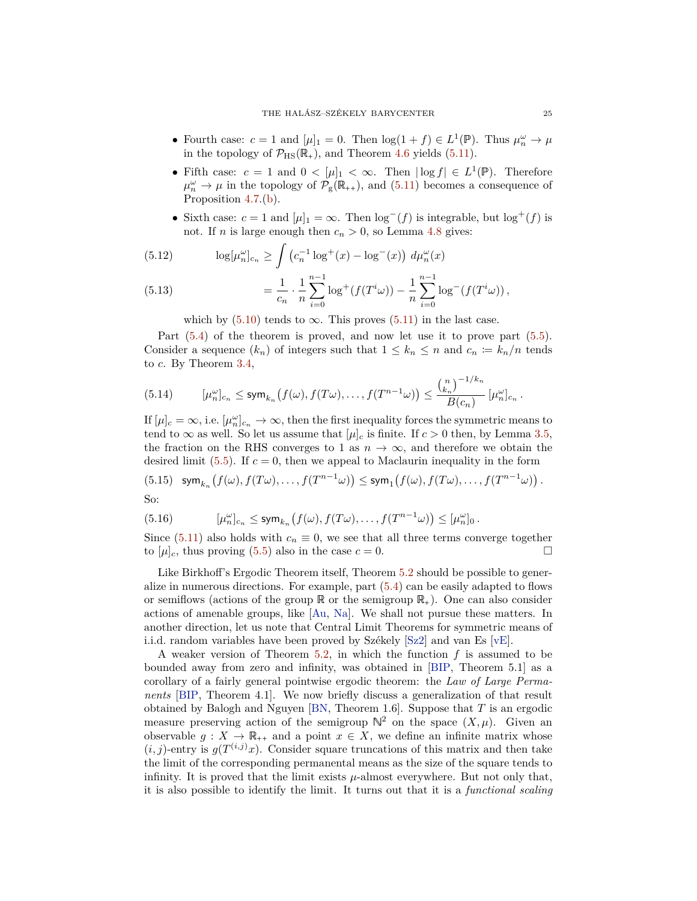- <span id="page-24-0"></span>• Fourth case:  $c = 1$  and  $[\mu]_1 = 0$ . Then  $\log(1 + f) \in L^1(\mathbb{P})$ . Thus  $\mu_n^{\omega} \to \mu$ in the topology of  $\mathcal{P}_{\text{HS}}(\mathbb{R}_+)$ , and Theorem [4.6](#page-19-1) yields [\(5.11\)](#page-23-0).
- Fifth case:  $c = 1$  and  $0 < |\mu|_1 < \infty$ . Then  $|\log f| \in L^1(\mathbb{P})$ . Therefore  $\mu_n^{\omega} \to \mu$  in the topology of  $\mathcal{P}_{g}(\mathbb{R}_{++})$ , and [\(5.11\)](#page-23-0) becomes a consequence of Proposition [4.7.](#page-20-2)[\(b\)](#page-20-3).
- Sixth case:  $c = 1$  and  $[\mu]_1 = \infty$ . Then  $\log^{-}(f)$  is integrable, but  $\log^{+}(f)$  is not. If *n* is large enough then  $c_n > 0$ , so Lemma [4.8](#page-21-3) gives:

(5.12) 
$$
\log[\mu_n^{\omega}]_{c_n} \ge \int \left( c_n^{-1} \log^+(x) - \log^-(x) \right) d\mu_n^{\omega}(x)
$$

(5.13) 
$$
= \frac{1}{c_n} \cdot \frac{1}{n} \sum_{i=0}^{n-1} \log^+(f(T^i \omega)) - \frac{1}{n} \sum_{i=0}^{n-1} \log^-(f(T^i \omega)),
$$

which by  $(5.10)$  tends to  $\infty$ . This proves  $(5.11)$  in the last case.

Part [\(5.4\)](#page-22-1) of the theorem is proved, and now let use it to prove part [\(5.5\)](#page-22-2). Consider a sequence  $(k_n)$  of integers such that  $1 \leq k_n \leq n$  and  $c_n := k_n/n$  tends to *c*. By Theorem [3.4,](#page-10-0)

(5.14) 
$$
[\mu_n^{\omega}]_{c_n} \leq \operatorname{sym}_{k_n} (f(\omega), f(T\omega), \dots, f(T^{n-1}\omega)) \leq \frac{{\binom{n}{k_n}}^{-1/k_n}}{B(c_n)} [\mu_n^{\omega}]_{c_n}.
$$

If  $[\mu]_c = \infty$ , i.e.  $[\mu_n^{\omega}]_{c_n} \to \infty$ , then the first inequality forces the symmetric means to tend to  $\infty$  as well. So let us assume that  $[\mu]_c$  is finite. If  $c > 0$  then, by Lemma [3.5,](#page-10-3) the fraction on the RHS converges to 1 as  $n \to \infty$ , and therefore we obtain the desired limit  $(5.5)$ . If  $c = 0$ , then we appeal to Maclaurin inequality in the form

(5.15) 
$$
\text{sym}_{k_n}(f(\omega), f(T\omega), \dots, f(T^{n-1}\omega)) \le \text{sym}_1(f(\omega), f(T\omega), \dots, f(T^{n-1}\omega)).
$$
  
So:

So:

(5.16) 
$$
[\mu_n^{\omega}]_{c_n} \le \operatorname{sym}_{k_n} (f(\omega), f(T\omega), \dots, f(T^{n-1}\omega)) \le [\mu_n^{\omega}]_0.
$$

Since [\(5.11\)](#page-23-0) also holds with  $c_n \equiv 0$ , we see that all three terms converge together to [ $\mu$ ]<sub>*c*</sub>, thus proving (5.5) also in the case  $c = 0$ . to  $[\mu]_c$ , thus proving [\(5.5\)](#page-22-2) also in the case  $c = 0$ .

Like Birkhoff's Ergodic Theorem itself, Theorem [5.2](#page-22-3) should be possible to generalize in numerous directions. For example, part  $(5.4)$  can be easily adapted to flows or semiflows (actions of the group  $\mathbb R$  or the semigroup  $\mathbb R_+$ ). One can also consider actions of amenable groups, like [\[Au,](#page-33-14) [Na\]](#page-34-2). We shall not pursue these matters. In another direction, let us note that Central Limit Theorems for symmetric means of i.i.d. random variables have been proved by Székely [\[Sz2\]](#page-34-11) and van Es [\[vE\]](#page-34-4).

A weaker version of Theorem [5.2,](#page-22-3) in which the function *f* is assumed to be bounded away from zero and infinity, was obtained in [\[BIP,](#page-33-10) Theorem 5.1] as a corollary of a fairly general pointwise ergodic theorem: the *Law of Large Permanents* [\[BIP,](#page-33-10) Theorem 4.1]. We now briefly discuss a generalization of that result obtained by Balogh and Nguyen [\[BN,](#page-33-13) Theorem 1.6]. Suppose that *T* is an ergodic measure preserving action of the semigroup  $\mathbb{N}^2$  on the space  $(X,\mu)$ . Given an observable  $g: X \to \mathbb{R}_{++}$  and a point  $x \in X$ , we define an infinite matrix whose  $(i, j)$ -entry is  $g(T^{(i,j)}x)$ . Consider square truncations of this matrix and then take the limit of the corresponding permanental means as the size of the square tends to infinity. It is proved that the limit exists *µ*-almost everywhere. But not only that, it is also possible to identify the limit. It turns out that it is a *functional scaling*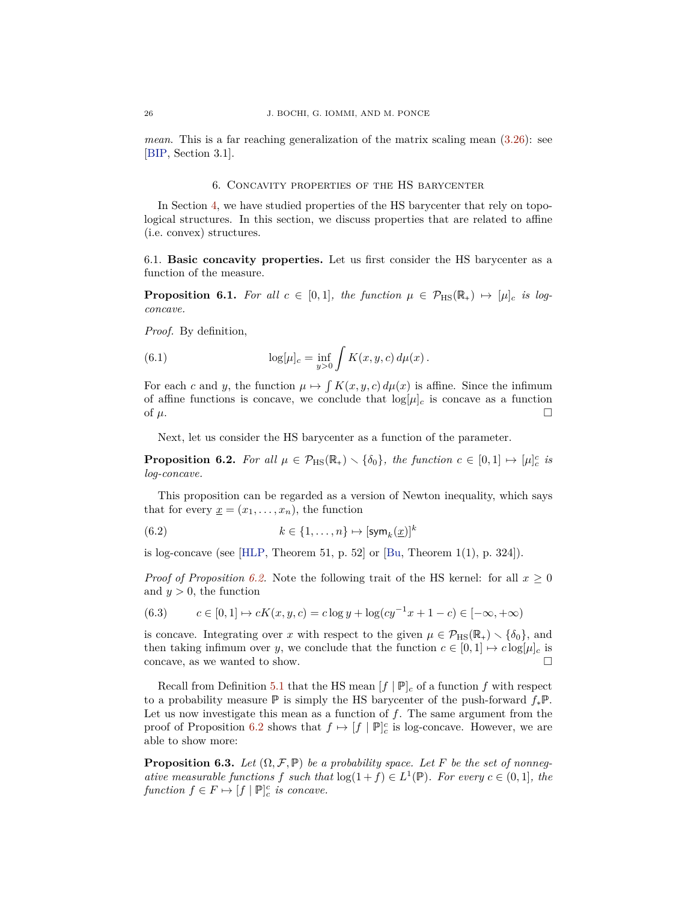<span id="page-25-4"></span>*mean*. This is a far reaching generalization of the matrix scaling mean  $(3.26)$ : see [\[BIP,](#page-33-10) Section 3.1].

#### 6. Concavity properties of the HS barycenter

<span id="page-25-0"></span>In Section [4,](#page-14-0) we have studied properties of the HS barycenter that rely on topological structures. In this section, we discuss properties that are related to affine (i.e. convex) structures.

6.1. **Basic concavity properties.** Let us first consider the HS barycenter as a function of the measure.

<span id="page-25-3"></span>**Proposition 6.1.** For all  $c \in [0,1]$ , the function  $\mu \in \mathcal{P}_{\text{HS}}(\mathbb{R}_+) \mapsto [\mu]_c$  is log*concave.*

*Proof.* By definition,

(6.1) 
$$
\log[\mu]_c = \inf_{y>0} \int K(x, y, c) d\mu(x).
$$

For each *c* and *y*, the function  $\mu \mapsto \int K(x, y, c) d\mu(x)$  is affine. Since the infimum of affine functions is concave, we conclude that  $log[\mu]_c$  is concave as a function of  $\mu$ .

Next, let us consider the HS barycenter as a function of the parameter.

<span id="page-25-1"></span>**Proposition 6.2.** For all  $\mu \in \mathcal{P}_{\text{HS}}(\mathbb{R}_+) \setminus \{\delta_0\}$ , the function  $c \in [0,1] \mapsto [\mu]_c^c$  is *log-concave.*

This proposition can be regarded as a version of Newton inequality, which says that for every  $x = (x_1, \ldots, x_n)$ , the function

(6.2) 
$$
k \in \{1, ..., n\} \mapsto [\text{sym}_k(\underline{x})]^k
$$

is log-concave (see [\[HLP,](#page-33-3) Theorem 51, p. 52] or  $[Bu, Theorem 1(1), p. 324]$  $[Bu, Theorem 1(1), p. 324]$ .

*Proof of Proposition* [6.2.](#page-25-1) Note the following trait of the HS kernel: for all  $x \geq 0$ and  $y > 0$ , the function

(6.3) 
$$
c \in [0,1] \mapsto cK(x,y,c) = c \log y + \log(c y^{-1} x + 1 - c) \in [-\infty, +\infty)
$$

is concave. Integrating over *x* with respect to the given  $\mu \in \mathcal{P}_{\text{HS}}(\mathbb{R}_+) \setminus {\delta_0}$ , and then taking infimum over *y*, we conclude that the function  $c \in [0,1] \mapsto c \log[\mu]_c$  is concave as we wanted to show concave, as we wanted to show.

Recall from Definition [5.1](#page-21-4) that the HS mean  $[f | \mathbb{P}]_c$  of a function  $f$  with respect to a probability measure P is simply the HS barycenter of the push-forward *f*∗P. Let us now investigate this mean as a function of *f*. The same argument from the proof of Proposition [6.2](#page-25-1) shows that  $f \mapsto [f \mid \mathbb{P}]_c^c$  is log-concave. However, we are able to show more:

<span id="page-25-2"></span>**Proposition 6.3.** *Let*  $(\Omega, \mathcal{F}, \mathbb{P})$  *be a probability space. Let F be the set of nonnegative measurable functions f such that*  $\log(1+f) \in L^1(\mathbb{P})$ *. For every*  $c \in (0,1]$ *, the function*  $f \in F \mapsto [f | \mathbb{P}]^c_c$  *is concave.*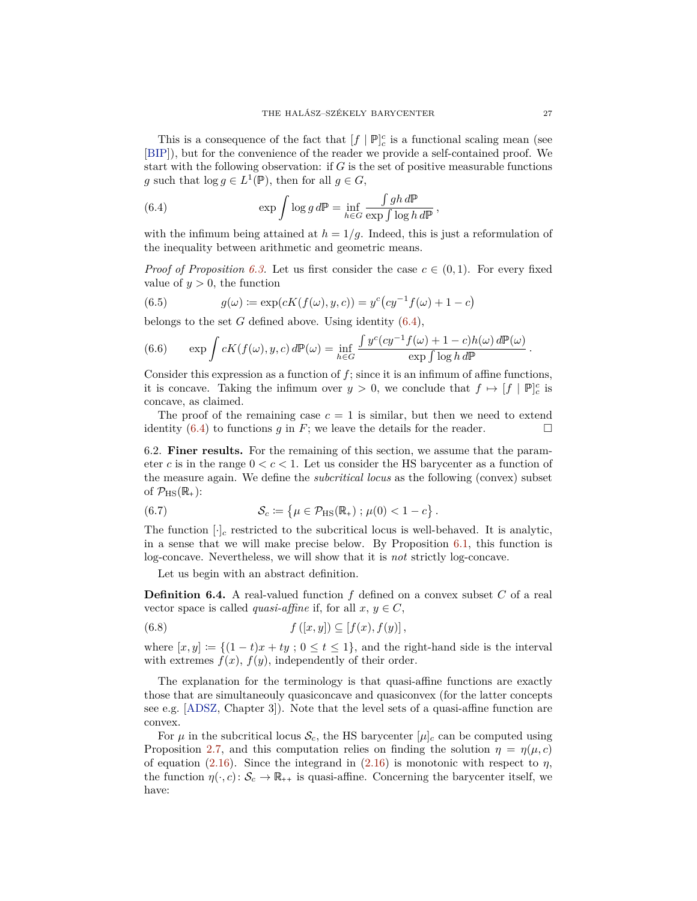<span id="page-26-3"></span>This is a consequence of the fact that  $[f | \mathbb{P}]_c^c$  is a functional scaling mean (see [\[BIP\]](#page-33-10)), but for the convenience of the reader we provide a self-contained proof. We start with the following observation: if *G* is the set of positive measurable functions *g* such that  $\log g \in L^1(\mathbb{P})$ , then for all  $g \in G$ ,

<span id="page-26-0"></span>(6.4) 
$$
\exp \int \log g \, d\mathbb{P} = \inf_{h \in G} \frac{\int gh \, d\mathbb{P}}{\exp \int \log h \, d\mathbb{P}},
$$

with the infimum being attained at  $h = 1/q$ . Indeed, this is just a reformulation of the inequality between arithmetic and geometric means.

*Proof of Proposition [6.3.](#page-25-2)* Let us first consider the case  $c \in (0,1)$ . For every fixed value of  $y > 0$ , the function

(6.5) 
$$
g(\omega) := \exp(cK(f(\omega), y, c)) = y^{c}(cy^{-1}f(\omega) + 1 - c)
$$

belongs to the set *G* defined above. Using identity [\(6.4\)](#page-26-0),

(6.6) 
$$
\exp \int cK(f(\omega), y, c) d\mathbb{P}(\omega) = \inf_{h \in G} \frac{\int y^c(cy^{-1}f(\omega) + 1 - c)h(\omega) d\mathbb{P}(\omega)}{\exp \int \log h d\mathbb{P}}.
$$

Consider this expression as a function of *f*; since it is an infimum of affine functions, it is concave. Taking the infimum over  $y > 0$ , we conclude that  $f \mapsto [f \mid \mathbb{P}]_c^c$  is concave, as claimed.

The proof of the remaining case  $c = 1$  is similar, but then we need to extend identity  $(6.4)$  to functions *q* in *F*; we leave the details for the reader.

6.2. **Finer results.** For the remaining of this section, we assume that the parameter c is in the range  $0 < c < 1$ . Let us consider the HS barycenter as a function of the measure again. We define the *subcritical locus* as the following (convex) subset of  $\mathcal{P}_{\rm HS}(\mathbb{R}_+)$ :

<span id="page-26-2"></span>(6.7) 
$$
\mathcal{S}_c := \{ \mu \in \mathcal{P}_{\text{HS}}(\mathbb{R}_+); \mu(0) < 1 - c \}.
$$

The function  $[\cdot]_c$  restricted to the subcritical locus is well-behaved. It is analytic, in a sense that we will make precise below. By Proposition [6.1,](#page-25-3) this function is log-concave. Nevertheless, we will show that it is *not* strictly log-concave.

Let us begin with an abstract definition.

**Definition 6.4.** A real-valued function *f* defined on a convex subset *C* of a real vector space is called *quasi-affine* if, for all  $x, y \in C$ ,

(6.8) 
$$
f([x,y]) \subseteq [f(x), f(y)],
$$

where  $[x, y] := \{(1 - t)x + ty : 0 \le t \le 1\}$ , and the right-hand side is the interval with extremes  $f(x)$ ,  $f(y)$ , independently of their order.

The explanation for the terminology is that quasi-affine functions are exactly those that are simultaneouly quasiconcave and quasiconvex (for the latter concepts see e.g. [\[ADSZ,](#page-33-15) Chapter 3]). Note that the level sets of a quasi-affine function are convex.

<span id="page-26-1"></span>For  $\mu$  in the subcritical locus  $\mathcal{S}_c$ , the HS barycenter  $[\mu]_c$  can be computed using Proposition [2.7,](#page-5-3) and this computation relies on finding the solution  $\eta = \eta(\mu, c)$ of equation [\(2.16\)](#page-6-2). Since the integrand in  $(2.16)$  is monotonic with respect to  $\eta$ , the function  $\eta(\cdot, c) : \mathcal{S}_c \to \mathbb{R}_{++}$  is quasi-affine. Concerning the barycenter itself, we have: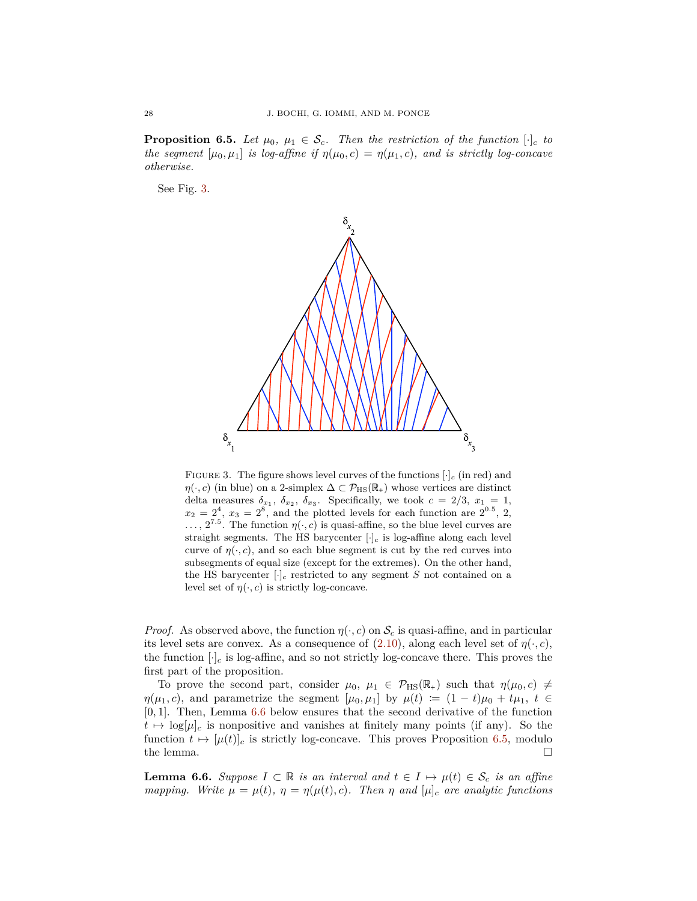**Proposition 6.5.** *Let*  $\mu_0$ ,  $\mu_1 \in \mathcal{S}_c$ *. Then the restriction of the function*  $[\cdot]_c$  *to the segment*  $[\mu_0, \mu_1]$  *is log-affine if*  $\eta(\mu_0, c) = \eta(\mu_1, c)$ *, and is strictly log-concave otherwise.*

<span id="page-27-0"></span>See Fig. [3.](#page-27-0)



FIGURE 3. The figure shows level curves of the functions  $[\cdot]_c$  (in red) and  $\eta(\cdot, c)$  (in blue) on a 2-simplex  $\Delta \subset \mathcal{P}_{\text{HS}}(\mathbb{R}_+)$  whose vertices are distinct delta measures  $\delta_{x_1}, \delta_{x_2}, \delta_{x_3}$ . Specifically, we took  $c = 2/3, x_1 = 1$ ,  $x_2 = 2^4$ ,  $x_3 = 2^8$ , and the plotted levels for each function are  $2^{0.5}$ , 2,  $\ldots$ ,  $2^{7.5}$ . The function  $\eta(\cdot, c)$  is quasi-affine, so the blue level curves are straight segments. The HS barycenter  $[\cdot]_c$  is log-affine along each level curve of  $\eta(\cdot, c)$ , and so each blue segment is cut by the red curves into subsegments of equal size (except for the extremes). On the other hand, the HS barycenter  $[\cdot]_c$  restricted to any segment *S* not contained on a level set of  $\eta(\cdot, c)$  is strictly log-concave.

*Proof.* As observed above, the function  $\eta(\cdot, c)$  on  $\mathcal{S}_c$  is quasi-affine, and in particular its level sets are convex. As a consequence of  $(2.10)$ , along each level set of  $\eta(\cdot, c)$ , the function  $[\cdot]_c$  is log-affine, and so not strictly log-concave there. This proves the first part of the proposition.

To prove the second part, consider  $\mu_0$ ,  $\mu_1 \in \mathcal{P}_{\text{HS}}(\mathbb{R}_+)$  such that  $\eta(\mu_0, c) \neq$ *η*( $\mu_1, c$ ), and parametrize the segment [ $\mu_0, \mu_1$ ] by  $\mu(t) := (1 - t)\mu_0 + t\mu_1, t \in$ [0*,* 1]. Then, Lemma [6.6](#page-27-1) below ensures that the second derivative of the function  $t \mapsto \log[\mu]_c$  is nonpositive and vanishes at finitely many points (if any). So the function  $t \mapsto [\mu(t)]_c$  is strictly log-concave. This proves Proposition [6.5,](#page-26-1) modulo the lemma. the lemma.

<span id="page-27-1"></span>**Lemma 6.6.** Suppose  $I \subset \mathbb{R}$  *is an interval and*  $t \in I \mapsto \mu(t) \in \mathcal{S}_c$  *is an affine mapping.* Write  $\mu = \mu(t)$ ,  $\eta = \eta(\mu(t), c)$ . Then  $\eta$  and  $[\mu]_c$  are analytic functions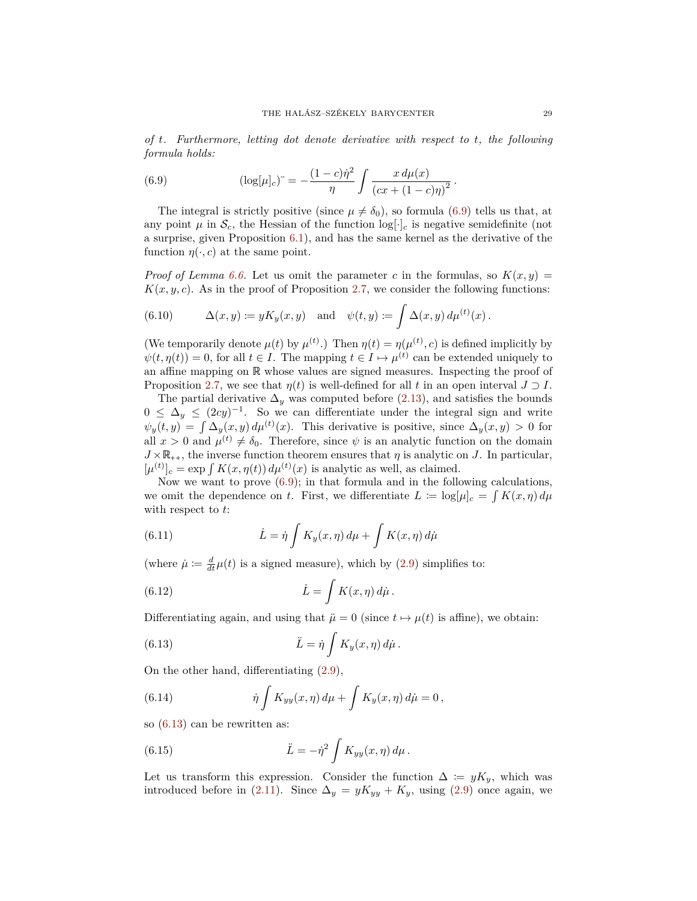*of t. Furthermore, letting dot denote derivative with respect to t, the following formula holds:*

<span id="page-28-0"></span>(6.9) 
$$
(\log[\mu]_c)^{-} = -\frac{(1-c)\dot{\eta}^2}{\eta} \int \frac{x \, d\mu(x)}{(cx + (1-c)\eta)^2}.
$$

The integral is strictly positive (since  $\mu \neq \delta_0$ ), so formula [\(6.9\)](#page-28-0) tells us that, at any point  $\mu$  in  $\mathcal{S}_c$ , the Hessian of the function  $\log[\cdot]_c$  is negative semidefinite (not a surprise, given Proposition [6.1\)](#page-25-3), and has the same kernel as the derivative of the function  $\eta(\cdot, c)$  at the same point.

*Proof of Lemma [6.6.](#page-27-1)* Let us omit the parameter *c* in the formulas, so  $K(x, y)$  =  $K(x, y, c)$ . As in the proof of Proposition [2.7,](#page-5-3) we consider the following functions:

(6.10) 
$$
\Delta(x, y) := yK_y(x, y) \text{ and } \psi(t, y) := \int \Delta(x, y) d\mu^{(t)}(x).
$$

(We temporarily denote  $\mu(t)$  by  $\mu^{(t)}$ .) Then  $\eta(t) = \eta(\mu^{(t)}, c)$  is defined implicitly by  $\psi(t, \eta(t)) = 0$ , for all  $t \in I$ . The mapping  $t \in I \mapsto \mu^{(t)}$  can be extended uniquely to an affine mapping on R whose values are signed measures. Inspecting the proof of Proposition [2.7,](#page-5-3) we see that  $\eta(t)$  is well-defined for all t in an open interval  $J \supset I$ .

The partial derivative  $\Delta_y$  was computed before [\(2.13\)](#page-6-8), and satisfies the bounds  $0 \leq \Delta_y \leq (2cy)^{-1}$ . So we can differentiate under the integral sign and write  $\psi_y(t, y) = \int \Delta_y(x, y) d\mu^{(t)}(x)$ . This derivative is positive, since  $\Delta_y(x, y) > 0$  for all  $x > 0$  and  $\mu^{(t)} \neq \delta_0$ . Therefore, since  $\psi$  is an analytic function on the domain  $J \times \mathbb{R}_{++}$ , the inverse function theorem ensures that  $\eta$  is analytic on *J*. In particular,  $[\mu^{(t)}]_c = \exp \int K(x, \eta(t)) d\mu^{(t)}(x)$  is analytic as well, as claimed.

Now we want to prove  $(6.9)$ ; in that formula and in the following calculations, we omit the dependence on *t*. First, we differentiate  $L := \log|\mu|_c = \int K(x, \eta) d\mu$ with respect to *t*:

(6.11) 
$$
\dot{L} = \dot{\eta} \int K_y(x, \eta) d\mu + \int K(x, \eta) d\mu
$$

(where  $\dot{\mu} \coloneqq \frac{d}{dt}\mu(t)$  is a signed measure), which by [\(2.9\)](#page-5-1) simplifies to:

<span id="page-28-3"></span>(6.12) 
$$
\dot{L} = \int K(x, \eta) d\dot{\mu}.
$$

Differentiating again, and using that  $\ddot{\mu} = 0$  (since  $t \mapsto \mu(t)$  is affine), we obtain:

<span id="page-28-1"></span>(6.13) 
$$
\ddot{L} = \dot{\eta} \int K_y(x, \eta) d\dot{\mu}.
$$

On the other hand, differentiating [\(2.9\)](#page-5-1),

(6.14) 
$$
\dot{\eta} \int K_{yy}(x,\eta) \, d\mu + \int K_{y}(x,\eta) \, d\mu = 0,
$$

so [\(6.13\)](#page-28-1) can be rewritten as:

<span id="page-28-2"></span>(6.15) 
$$
\ddot{L} = -\dot{\eta}^2 \int K_{yy}(x,\eta) \, d\mu \, .
$$

Let us transform this expression. Consider the function  $\Delta := yK_y$ , which was introduced before in [\(2.11\)](#page-6-1). Since  $\Delta_y = yK_{yy} + K_y$ , using [\(2.9\)](#page-5-1) once again, we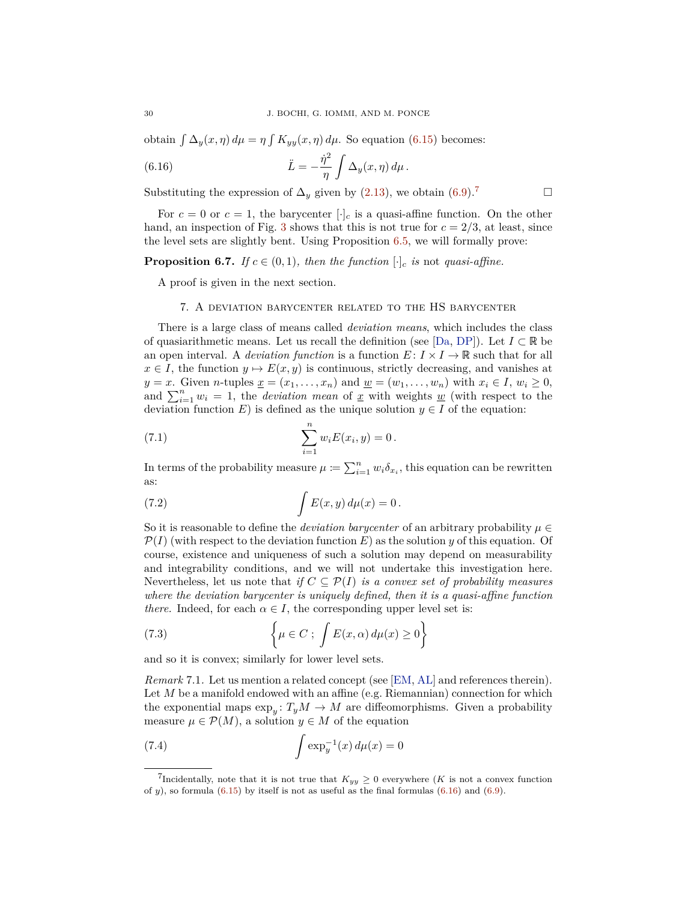<span id="page-29-6"></span>obtain  $\int \Delta_y(x,\eta) d\mu = \eta \int K_{yy}(x,\eta) d\mu$ . So equation [\(6.15\)](#page-28-2) becomes:

<span id="page-29-2"></span>(6.16) 
$$
\ddot{L} = -\frac{\dot{\eta}^2}{\eta} \int \Delta_y(x, \eta) d\mu.
$$

Substituting the expression of  $\Delta_y$  given by [\(2.13\)](#page-6-8), we obtain [\(6.9\)](#page-28-0).<sup>[7](#page-29-1)</sup>

For  $c = 0$  or  $c = 1$ , the barycenter  $[\cdot]_c$  is a quasi-affine function. On the other hand, an inspection of Fig. [3](#page-27-0) shows that this is not true for  $c = 2/3$ , at least, since the level sets are slightly bent. Using Proposition [6.5,](#page-26-1) we will formally prove:

# <span id="page-29-5"></span>**Proposition 6.7.** *If*  $c \in (0,1)$ *, then the function*  $[\cdot]_c$  *is* not *quasi-affine.*

A proof is given in the next section.

### 7. A deviation barycenter related to the HS barycenter

<span id="page-29-0"></span>There is a large class of means called *deviation means*, which includes the class of quasiarithmetic means. Let us recall the definition (see [\[Da,](#page-33-16) [DP\]](#page-33-17)). Let  $I \subset \mathbb{R}$  be an open interval. A *deviation function* is a function  $E: I \times I \to \mathbb{R}$  such that for all  $x \in I$ , the function  $y \mapsto E(x, y)$  is continuous, strictly decreasing, and vanishes at *y* = *x*. Given *n*-tuples  $\underline{x} = (x_1, \ldots, x_n)$  and  $\underline{w} = (w_1, \ldots, w_n)$  with  $x_i \in I$ ,  $w_i \geq 0$ , and  $\sum_{i=1}^{n} w_i = 1$ , the *deviation mean* of <u>*x*</u> with weights <u>*w*</u> (with respect to the deviation function *E*) is defined as the unique solution  $y \in I$  of the equation:

(7.1) 
$$
\sum_{i=1}^{n} w_i E(x_i, y) = 0.
$$

In terms of the probability measure  $\mu := \sum_{i=1}^{n} w_i \delta_{x_i}$ , this equation can be rewritten as:

<span id="page-29-4"></span>(7.2) 
$$
\int E(x, y) d\mu(x) = 0.
$$

So it is reasonable to define the *deviation barycenter* of an arbitrary probability  $\mu \in$  $\mathcal{P}(I)$  (with respect to the deviation function E) as the solution *y* of this equation. Of course, existence and uniqueness of such a solution may depend on measurability and integrability conditions, and we will not undertake this investigation here. Nevertheless, let us note that *if*  $C \subseteq \mathcal{P}(I)$  *is a convex set of probability measures where the deviation barycenter is uniquely defined, then it is a quasi-affine function there.* Indeed, for each  $\alpha \in I$ , the corresponding upper level set is:

(7.3) 
$$
\left\{\mu \in C; \int E(x, \alpha) d\mu(x) \ge 0\right\}
$$

and so it is convex; similarly for lower level sets.

*Remark* 7.1*.* Let us mention a related concept (see [\[EM,](#page-33-6) [AL\]](#page-33-18) and references therein). Let *M* be a manifold endowed with an affine (e.g. Riemannian) connection for which the exponential maps  $\exp_{y}: T_{y}M \to M$  are diffeomorphisms. Given a probability measure  $\mu \in \mathcal{P}(M)$ , a solution  $y \in M$  of the equation

<span id="page-29-3"></span>(7.4) 
$$
\int \exp_y^{-1}(x) \, d\mu(x) = 0
$$

<span id="page-29-1"></span><sup>&</sup>lt;sup>7</sup>Incidentally, note that it is not true that  $K_{yy} \geq 0$  everywhere (*K* is not a convex function of  $y$ ), so formula [\(6.15\)](#page-28-2) by itself is not as useful as the final formulas [\(6.16\)](#page-29-2) and [\(6.9\)](#page-28-0).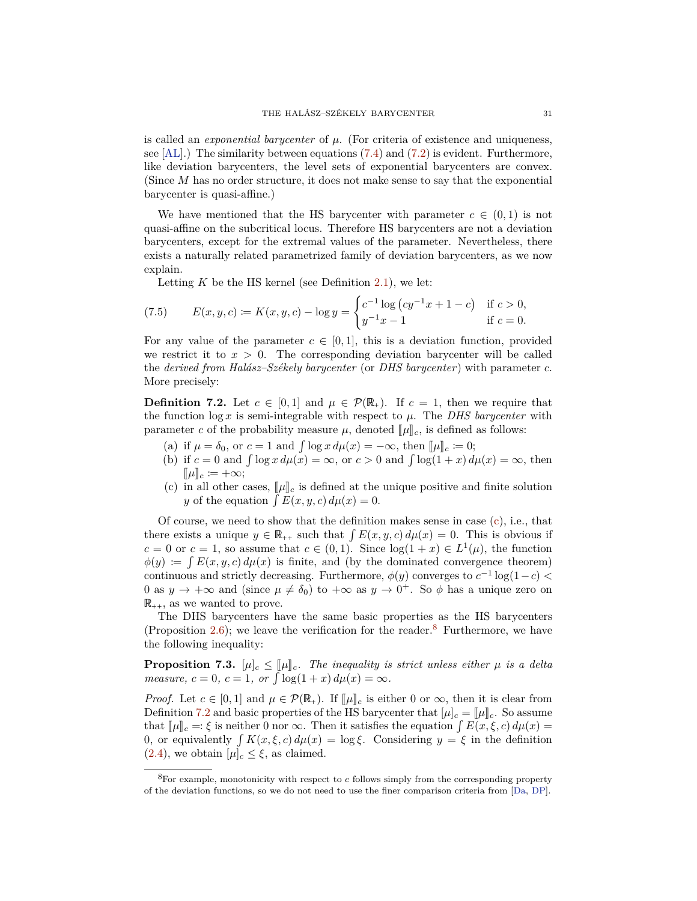<span id="page-30-4"></span>is called an *exponential barycenter* of *µ*. (For criteria of existence and uniqueness, see  $[AL]$ .) The similarity between equations [\(7.4\)](#page-29-3) and [\(7.2\)](#page-29-4) is evident. Furthermore, like deviation barycenters, the level sets of exponential barycenters are convex. (Since *M* has no order structure, it does not make sense to say that the exponential barycenter is quasi-affine.)

We have mentioned that the HS barycenter with parameter  $c \in (0,1)$  is not quasi-affine on the subcritical locus. Therefore HS barycenters are not a deviation barycenters, except for the extremal values of the parameter. Nevertheless, there exists a naturally related parametrized family of deviation barycenters, as we now explain.

Letting  $K$  be the HS kernel (see Definition [2.1\)](#page-3-2), we let:

(7.5) 
$$
E(x, y, c) := K(x, y, c) - \log y = \begin{cases} c^{-1} \log (cy^{-1}x + 1 - c) & \text{if } c > 0, \\ y^{-1}x - 1 & \text{if } c = 0. \end{cases}
$$

For any value of the parameter  $c \in [0, 1]$ , this is a deviation function, provided we restrict it to  $x > 0$ . The corresponding deviation barycenter will be called the *derived from Halász–Székely barycenter* (or *DHS barycenter*) with parameter *c*. More precisely:

<span id="page-30-2"></span>**Definition 7.2.** Let  $c \in [0,1]$  and  $\mu \in \mathcal{P}(\mathbb{R}_+)$ . If  $c = 1$ , then we require that the function  $\log x$  is semi-integrable with respect to  $\mu$ . The *DHS barycenter* with parameter *c* of the probability measure  $\mu$ , denoted  $\llbracket \mu \rrbracket_c$ , is defined as follows:

- (a) if  $\mu = \delta_0$ , or  $c = 1$  and  $\int \log x \, d\mu(x) = -\infty$ , then  $\|\mu\|_c \coloneqq 0$ ;
- (b) if  $c = 0$  and  $\int \log x \, d\mu(x) = \infty$ , or  $c > 0$  and  $\int \log(1 + x) \, d\mu(x) = \infty$ , then  $[\![\mu]\!]_c \coloneqq +\infty;$
- <span id="page-30-0"></span>(c) in all other cases,  $[\![\mu]\!]_c$  is defined at the unique positive and finite solution *y* of the equation  $\int E(x, y, c) d\mu(x) = 0$ .

Of course, we need to show that the definition makes sense in case  $(c)$ , i.e., that there exists a unique  $y \in \mathbb{R}_{++}$  such that  $\int E(x, y, c) d\mu(x) = 0$ . This is obvious if  $c = 0$  or  $c = 1$ , so assume that  $c \in (0, 1)$ . Since  $log(1 + x) \in L^1(\mu)$ , the function  $\phi(y) := \int E(x, y, c) d\mu(x)$  is finite, and (by the dominated convergence theorem) continuous and strictly decreasing. Furthermore,  $\phi(y)$  converges to  $c^{-1} \log(1-c)$ 0 as  $y \to +\infty$  and (since  $\mu \neq \delta_0$ ) to  $+\infty$  as  $y \to 0^+$ . So  $\phi$  has a unique zero on  $\mathbb{R}_{++}$ , as we wanted to prove.

The DHS barycenters have the same basic properties as the HS barycenters (Proposition [2.6\)](#page-5-5); we leave the verification for the reader.<sup>[8](#page-30-1)</sup> Furthermore, we have the following inequality:

<span id="page-30-3"></span>**Proposition 7.3.**  $[\mu]_c \leq [\mu]_c$ *. The inequality is strict unless either*  $\mu$  *is a delta measure,*  $c = 0$ *,*  $c = 1$ *,*  $or \int \log(1 + x) d\mu(x) = \infty$ *.* 

*Proof.* Let  $c \in [0,1]$  and  $\mu \in \mathcal{P}(\mathbb{R}_+)$ . If  $\llbracket \mu \rrbracket_c$  is either 0 or  $\infty$ , then it is clear from Definition [7.2](#page-30-2) and basic properties of the HS barycenter that  $[\mu]_c = [\mu]_c$ . So assume that  $\llbracket \mu \rrbracket_c =: \xi$  is neither 0 nor  $\infty$ . Then it satisfies the equation  $\int E(x,\xi,c) d\mu(x) =$ 0, or equivalently  $\int K(x,\xi,c) d\mu(x) = \log \xi$ . Considering  $y = \xi$  in the definition  $(2.4)$ , we obtain  $[\mu]_c \leq \xi$ , as claimed.

<span id="page-30-1"></span><sup>8</sup>For example, monotonicity with respect to *c* follows simply from the corresponding property of the deviation functions, so we do not need to use the finer comparison criteria from [\[Da,](#page-33-16) [DP\]](#page-33-17).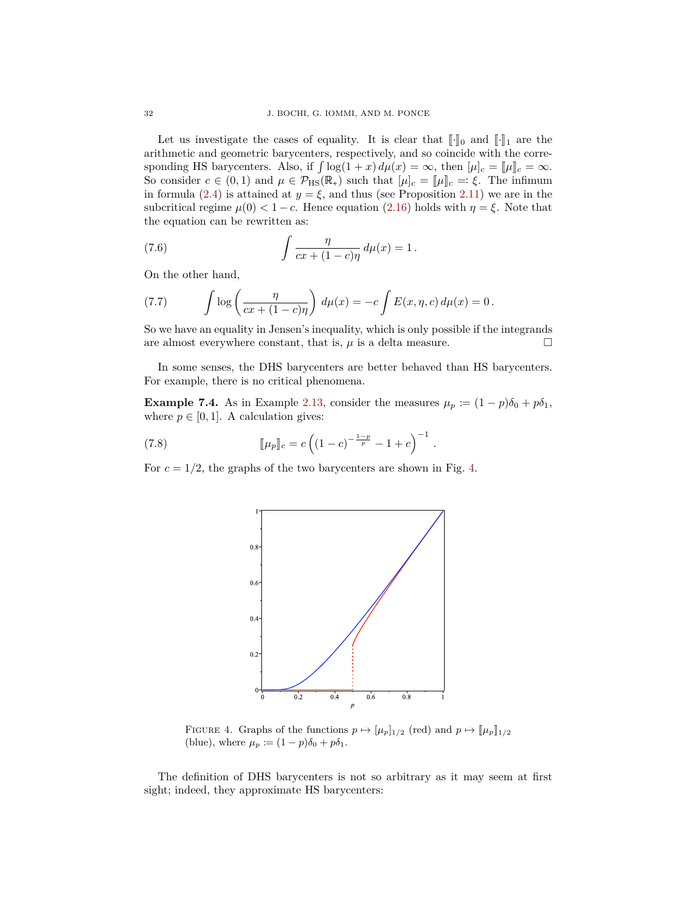Let us investigate the cases of equality. It is clear that  $\lbrack \cdot \rbrack_0$  and  $\lbrack \cdot \rbrack_1$  are the arithmetic and geometric barycenters, respectively, and so coincide with the corresponding HS barycenters. Also, if  $\int \log(1 + x) d\mu(x) = \infty$ , then  $[\mu]_c = [\mu]_c = \infty$ . So consider  $c \in (0,1)$  and  $\mu \in \mathcal{P}_{\text{HS}}(\mathbb{R}_+)$  such that  $[\mu]_c = [\mu]_c = \xi$ . The infimum in formula [\(2.4\)](#page-3-7) is attained at  $y = \xi$ , and thus (see Proposition [2.11\)](#page-8-1) we are in the subcritical regime  $\mu(0) < 1 - c$ . Hence equation [\(2.16\)](#page-6-2) holds with  $\eta = \xi$ . Note that the equation can be rewritten as:

(7.6) 
$$
\int \frac{\eta}{cx + (1 - c)\eta} d\mu(x) = 1.
$$

On the other hand,

(7.7) 
$$
\int \log \left( \frac{\eta}{cx + (1 - c)\eta} \right) d\mu(x) = -c \int E(x, \eta, c) d\mu(x) = 0.
$$

So we have an equality in Jensen's inequality, which is only possible if the integrands are almost everywhere constant, that is,  $\mu$  is a delta measure.  $\Box$ 

In some senses, the DHS barycenters are better behaved than HS barycenters. For example, there is no critical phenomena.

**Example 7.4.** As in Example [2.13,](#page-8-0) consider the measures  $\mu_p \coloneqq (1 - p)\delta_0 + p\delta_1$ , where  $p \in [0, 1]$ . A calculation gives:

(7.8) 
$$
\[\mu_p\]_c = c \left( (1-c)^{-\frac{1-p}{p}} - 1 + c \right)^{-1}.
$$

<span id="page-31-0"></span>For  $c = 1/2$ , the graphs of the two barycenters are shown in Fig. [4.](#page-31-0)



FIGURE 4. Graphs of the functions  $p \mapsto [\mu_p]_{1/2}$  (red) and  $p \mapsto [\![\mu_p]\!]_{1/2}$ (blue), where  $\mu_p \coloneqq (1 - p)\delta_0 + p\delta_1$ .

The definition of DHS barycenters is not so arbitrary as it may seem at first sight; indeed, they approximate HS barycenters: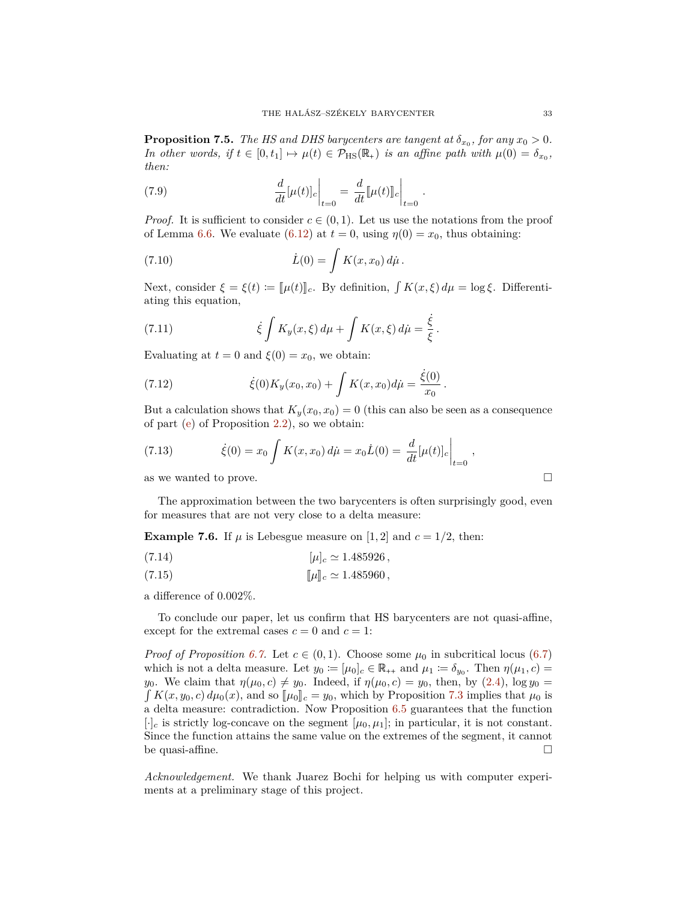**Proposition 7.5.** *The HS and DHS barycenters are tangent at*  $\delta_{x_0}$ , for any  $x_0 > 0$ . *In other words, if*  $t \in [0, t_1] \mapsto \mu(t) \in \mathcal{P}_{\text{HS}}(\mathbb{R}_+)$  *is an affine path with*  $\mu(0) = \delta_{x_0}$ , *then:*

(7.9) 
$$
\frac{d}{dt}[\mu(t)]_c \bigg|_{t=0} = \frac{d}{dt}[\mu(t)]]_c \bigg|_{t=0} .
$$

*Proof.* It is sufficient to consider  $c \in (0,1)$ . Let us use the notations from the proof of Lemma [6.6.](#page-27-1) We evaluate [\(6.12\)](#page-28-3) at  $t = 0$ , using  $\eta(0) = x_0$ , thus obtaining:

(7.10) 
$$
\dot{L}(0) = \int K(x, x_0) d\mu.
$$

Next, consider  $\xi = \xi(t) := [\![\mu(t)]\!]_c$ . By definition,  $\int K(x,\xi) d\mu = \log \xi$ . Differentiating this equation,

(7.11) 
$$
\dot{\xi} \int K_y(x,\xi) \, d\mu + \int K(x,\xi) \, d\mu = \frac{\dot{\xi}}{\xi}.
$$

Evaluating at  $t = 0$  and  $\xi(0) = x_0$ , we obtain:

(7.12) 
$$
\dot{\xi}(0)K_y(x_0,x_0) + \int K(x,x_0)d\mu = \frac{\dot{\xi}(0)}{x_0}.
$$

But a calculation shows that  $K_y(x_0, x_0) = 0$  (this can also be seen as a consequence of part [\(e\)](#page-3-4) of Proposition [2.2\)](#page-3-8), so we obtain:

(7.13) 
$$
\dot{\xi}(0) = x_0 \int K(x, x_0) d\dot{\mu} = x_0 \dot{L}(0) = \frac{d}{dt} [\mu(t)]_c \bigg|_{t=0}
$$

as we wanted to prove.

The approximation between the two barycenters is often surprisingly good, even for measures that are not very close to a delta measure:

**Example 7.6.** If  $\mu$  is Lebesgue measure on [1, 2] and  $c = 1/2$ , then:

(7.14) 
$$
[\mu]_c \simeq 1.485926,
$$

(7.15) 
$$
[\![\mu]\!]_c \simeq 1.485960,
$$

a difference of 0*.*002%.

To conclude our paper, let us confirm that HS barycenters are not quasi-affine, except for the extremal cases  $c = 0$  and  $c = 1$ :

*Proof of Proposition* [6.7.](#page-29-5) Let  $c \in (0,1)$ . Choose some  $\mu_0$  in subcritical locus [\(6.7\)](#page-26-2) which is not a delta measure. Let  $y_0 := [\mu_0]_c \in \mathbb{R}_{++}$  and  $\mu_1 := \delta_{y_0}$ . Then  $\eta(\mu_1, c) =$ *y*<sub>0</sub>. We claim that  $\eta(\mu_0, c) \neq y_0$ . Indeed, if  $\eta(\mu_0, c) = y_0$ , then, by [\(2.4\)](#page-3-7), log  $y_0 =$  $\int K(x, y_0, c) d\mu_0(x)$ , and so  $\llbracket \mu_0 \rrbracket_c = y_0$ , which by Proposition [7.3](#page-30-3) implies that  $\mu_0$  is a delta measure: contradiction. Now Proposition [6.5](#page-26-1) guarantees that the function  $[\cdot]_c$  is strictly log-concave on the segment  $[\mu_0, \mu_1]$ ; in particular, it is not constant. Since the function attains the same value on the extremes of the segment, it cannot be quasi-affine.  $\Box$ 

*Acknowledgement.* We thank Juarez Bochi for helping us with computer experiments at a preliminary stage of this project.

$$
\sqcup
$$

*,*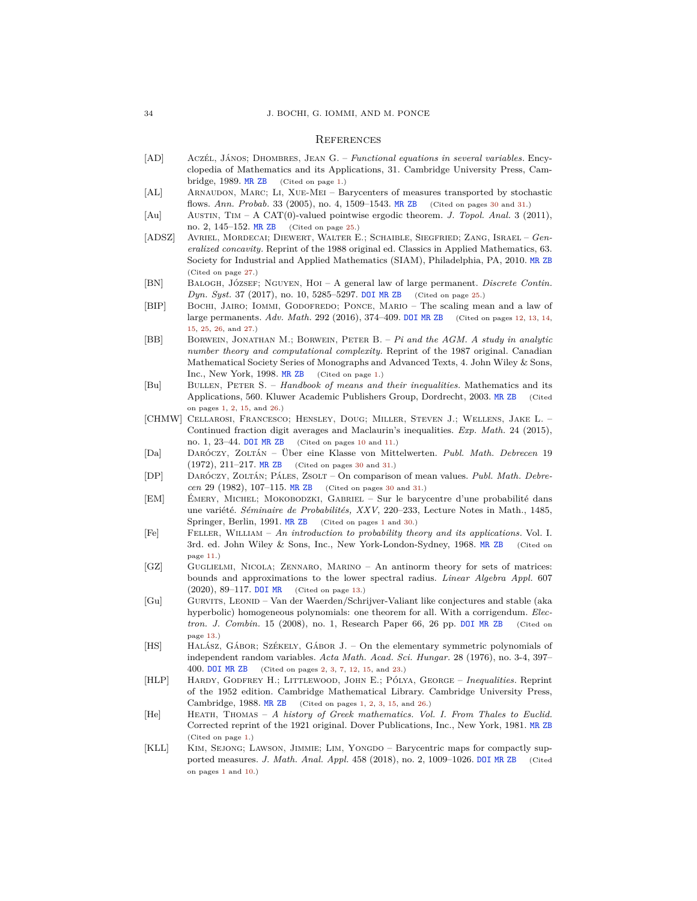#### **REFERENCES**

- <span id="page-33-4"></span>[AD] Aczél, János; Dhombres, Jean G. – *Functional equations in several variables.* Encyclopedia of Mathematics and its Applications, 31. Cambridge University Press, Cambridge, 1989. [MR](https://mathscinet.ams.org/mathscinet-getitem?mr=1004465) [ZB](https://zbmath.org/?q=an:0685.39006) (Cited on page [1.](#page-0-1))
- <span id="page-33-18"></span>[AL] Arnaudon, Marc; Li, Xue-Mei – Barycenters of measures transported by stochastic flows. *Ann. Probab.* 33 (2005), no. 4, 1509–1543. [MR](https://mathscinet.ams.org/mathscinet-getitem?mr=2150197) [ZB](https://zbmath.org/?q=an:1077.60039) (Cited on pages [30](#page-29-6) and [31.](#page-30-4))
- <span id="page-33-14"></span>[Au] Austin, Tim – A CAT(0)-valued pointwise ergodic theorem. *J. Topol. Anal.* 3 (2011), no. 2, 145–152. [MR](https://mathscinet.ams.org/mathscinet-getitem?mr=2819191) [ZB](https://zbmath.org/?q=an:1221.37006) (Cited on page [25.](#page-24-0))
- <span id="page-33-15"></span>[ADSZ] Avriel, Mordecai; Diewert, Walter E.; Schaible, Siegfried; Zang, Israel – *Generalized concavity.* Reprint of the 1988 original ed. Classics in Applied Mathematics, 63. Society for Industrial and Applied Mathematics (SIAM), Philadelphia, PA, 2010. [MR](https://mathscinet.ams.org/mathscinet-getitem?mr=3396214) [ZB](https://zbmath.org/?q=an:1200.90001) (Cited on page [27.](#page-26-3))
- <span id="page-33-13"></span>[BN] Balogh, József; Nguyen, Hoi – A general law of large permanent. *Discrete Contin. Dyn. Syst.* 37 (2017), no. 10, 5285–5297. [DOI](http://dx.doi.org/10.3934/dcds.2017229) [MR](https://mathscinet.ams.org/mathscinet-getitem?mr=3668362) [ZB](https://zbmath.org/?q=an:1368.15007) (Cited on page [25.](#page-24-0))
- <span id="page-33-10"></span>[BIP] BOCHI, JAIRO; IOMMI, GODOFREDO; PONCE, MARIO - The scaling mean and a law of large permanents. *Adv. Math.* 292 (2016), 374–409. [DOI](http://dx.doi.org/10.1016/j.aim.2016.01.013) [MR](https://mathscinet.ams.org/mathscinet-getitem?mr=3464025) [ZB](https://zbmath.org/?q=an:1392.15011) (Cited on pages [12,](#page-11-5) [13,](#page-12-7) [14,](#page-13-5) [15,](#page-14-2) [25,](#page-24-0) [26,](#page-25-4) and [27.](#page-26-3))
- <span id="page-33-2"></span>[BB] Borwein, Jonathan M.; Borwein, Peter B. – *Pi and the AGM. A study in analytic number theory and computational complexity.* Reprint of the 1987 original. Canadian Mathematical Society Series of Monographs and Advanced Texts, 4. John Wiley & Sons, Inc., New York, 1998. [MR](https://mathscinet.ams.org/mathscinet-getitem?mr=1641658) [ZB](https://zbmath.org/?q=an:0903.11001) (Cited on page [1.](#page-0-1))
- <span id="page-33-5"></span>[Bu] Bullen, Peter S. – *Handbook of means and their inequalities.* Mathematics and its Applications, 560. Kluwer Academic Publishers Group, Dordrecht, 2003. [MR](https://mathscinet.ams.org/mathscinet-getitem?mr=2024343) [ZB](https://zbmath.org/?q=an:1035.26024) (Cited on pages [1,](#page-0-1) [2,](#page-1-0) [15,](#page-14-2) and [26.](#page-25-4))
- <span id="page-33-8"></span>[CHMW] Cellarosi, Francesco; Hensley, Doug; Miller, Steven J.; Wellens, Jake L. – Continued fraction digit averages and Maclaurin's inequalities. *Exp. Math.* 24 (2015), no. 1, 23–44. [DOI](http://dx.doi.org/10.1080/10586458.2014.952050) [MR](https://mathscinet.ams.org/mathscinet-getitem?mr=3305037) [ZB](https://zbmath.org/?q=an:1390.11097) (Cited on pages [10](#page-9-8) and [11.](#page-10-5))
- <span id="page-33-16"></span>[Da] Daróczy, Zoltán – Über eine Klasse von Mittelwerten. *Publ. Math. Debrecen* 19 (1972), 211–217. [MR](https://mathscinet.ams.org/mathscinet-getitem?mr=0328008) [ZB](https://zbmath.org/?q=an:0265.26010) (Cited on pages [30](#page-29-6) and [31.](#page-30-4))
- <span id="page-33-17"></span>[DP] Daróczy, Zoltán; Páles, Zsolt – On comparison of mean values. *Publ. Math. Debrecen* 29 (1982), 107–115. [MR](https://mathscinet.ams.org/mathscinet-getitem?mr=0673144) [ZB](https://zbmath.org/?q=an:0508.26010) (Cited on pages [30](#page-29-6) and [31.](#page-30-4))
- <span id="page-33-6"></span>[EM] Émery, Michel; Mokobodzki, Gabriel – Sur le barycentre d'une probabilité dans une variété. *Séminaire de Probabilités, XXV*, 220–233, Lecture Notes in Math., 1485, Springer, Berlin, 1991. [MR](https://mathscinet.ams.org/mathscinet-getitem?mr=1187782) [ZB](https://zbmath.org/?q=an:0753.60046) (Cited on pages [1](#page-0-1) and [30.](#page-29-6))
- <span id="page-33-9"></span>[Fe] Feller, William – *An introduction to probability theory and its applications.* Vol. I. 3rd. ed. John Wiley & Sons, Inc., New York-London-Sydney, 1968. [MR](https://mathscinet.ams.org/mathscinet-getitem?mr=0228020) [ZB](https://zbmath.org/?q=an:0155.23101) (Cited on page [11.](#page-10-5))
- <span id="page-33-12"></span>[GZ] Guglielmi, Nicola; Zennaro, Marino – An antinorm theory for sets of matrices: bounds and approximations to the lower spectral radius. *Linear Algebra Appl.* 607 (2020), 89–117. [DOI](http://dx.doi.org/10.1016/j.laa.2020.07.037) [MR](https://mathscinet.ams.org/mathscinet-getitem?mr=4137719) (Cited on page [13.](#page-12-7))
- <span id="page-33-11"></span>[Gu] Gurvits, Leonid – Van der Waerden/Schrijver-Valiant like conjectures and stable (aka hyperbolic) homogeneous polynomials: one theorem for all. With a corrigendum. *Electron. J. Combin.* 15 (2008), no. 1, Research Paper 66, 26 pp. [DOI](http://dx.doi.org/10.37236/790) [MR](https://mathscinet.ams.org/mathscinet-getitem?mr=2411443) [ZB](https://zbmath.org/?q=an:1182.15008) (Cited on page [13.](#page-12-7))
- <span id="page-33-7"></span>[HS] Halász, Gábor; Székely, Gábor J. – On the elementary symmetric polynomials of independent random variables. *Acta Math. Acad. Sci. Hungar.* 28 (1976), no. 3-4, 397– 400. [DOI](http://dx.doi.org/10.1007/BF01896806) [MR](https://mathscinet.ams.org/mathscinet-getitem?mr=0423491) [ZB](https://zbmath.org/?q=an:0349.60053) (Cited on pages [2,](#page-1-0) [3,](#page-2-1) [7,](#page-6-9) [12,](#page-11-5) [15,](#page-14-2) and [23.](#page-22-7))
- <span id="page-33-3"></span>[HLP] Hardy, Godfrey H.; Littlewood, John E.; Pólya, George – *Inequalities.* Reprint of the 1952 edition. Cambridge Mathematical Library. Cambridge University Press, Cambridge, 1988. [MR](https://mathscinet.ams.org/mathscinet-getitem?mr=0944909) [ZB](https://zbmath.org/?q=an:0634.26008) (Cited on pages [1,](#page-0-1) [2,](#page-1-0) [3,](#page-2-1) [15,](#page-14-2) and [26.](#page-25-4))
- <span id="page-33-1"></span>[He] Heath, Thomas – *A history of Greek mathematics. Vol. I. From Thales to Euclid.* Corrected reprint of the 1921 original. Dover Publications, Inc., New York, 1981. [MR](https://mathscinet.ams.org/mathscinet-getitem?mr=0654679) [ZB](https://zbmath.org/?q=an:48.0046.01) (Cited on page [1.](#page-0-1))
- <span id="page-33-0"></span>[KLL] KIM, SEJONG; LAWSON, JIMMIE; LIM, YONGDO – Barycentric maps for compactly supported measures. *J. Math. Anal. Appl.* 458 (2018), no. 2, 1009–1026. [DOI](http://dx.doi.org/10.1016/j.jmaa.2017.09.037) [MR](https://mathscinet.ams.org/mathscinet-getitem?mr=3724713) [ZB](https://zbmath.org/?q=an:1376.28001) (Cited on pages [1](#page-0-1) and [10.](#page-9-8))